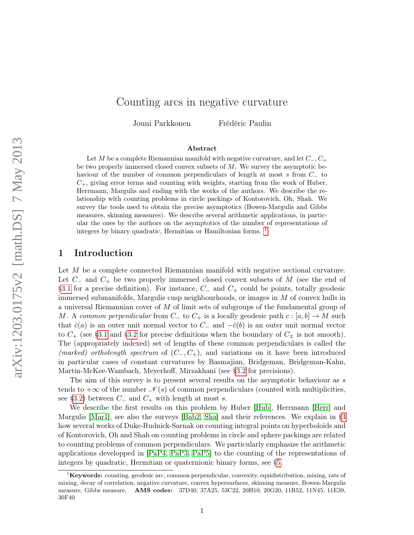# Counting arcs in negative curvature

Jouni Parkkonen Frédéric Paulin

# Abstract

Let M be a complete Riemannian manifold with negative curvature, and let  $C_-, C_+$ be two properly immersed closed convex subsets of  $M$ . We survey the asymptotic behaviour of the number of common perpendiculars of length at most s from C<sup>−</sup> to  $C_{+}$ , giving error terms and counting with weights, starting from the work of Huber, Herrmann, Margulis and ending with the works of the authors. We describe the relationship with counting problems in circle packings of Kontorovich, Oh, Shah. We survey the tools used to obtain the precise asymptotics (Bowen-Margulis and Gibbs measures, skinning measures). We describe several arithmetic applications, in particular the ones by the authors on the asymptotics of the number of representations of integers by binary quadratic, Hermitian or Hamiltonian forms. [1](#page-0-0)

# 1 Introduction

Let M be a complete connected Riemannian manifold with negative sectional curvature. Let  $C_-\,$  and  $C_+$  be two properly immersed closed convex subsets of M (see the end of [§3.1](#page-8-0) for a precise definition). For instance,  $C_-\$  and  $C_+\$  could be points, totally geodesic immersed submanifolds, Margulis cusp neighbourhoods, or images in  $M$  of convex hulls in a universal Riemannian cover of M of limit sets of subgroups of the fundamental group of M. A common perpendicular from  $C_-\text{ to } C_+$  is a locally geodesic path  $c : [a, b] \to M$  such that  $\dot{c}(a)$  is an outer unit normal vector to  $C_-\$  and  $-\dot{c}(b)$  is an outer unit normal vector to  $C_{+}$  (see [§3.1](#page-8-0) and [§3.2](#page-9-0) for precise definitions when the boundary of  $C_{+}$  is not smooth). The (appropriately indexed) set of lengths of these common perpendiculars is called the (marked) ortholength spectrum of  $(C_-, C_+)$ , and variations on it have been introduced in particular cases of constant curvatures by Basmajian, Bridgeman, Bridgeman-Kahn, Martin-McKee-Wambach, Meyerhoff, Mirzakhani (see [§3.2](#page-9-0) for precisions).

The aim of this survey is to present several results on the asymptotic behaviour as s tends to  $+\infty$  of the number  $\mathcal{N}(s)$  of common perpendiculars (counted with multiplicities, see [§3.2\)](#page-9-0) between  $C_-\$  and  $C_+$  with length at most s.

We describe the first results on this problem by Huber [\[Hub\]](#page-40-0), Herrmann [\[Herr\]](#page-40-1) and Margulis [\[Mar1\]](#page-41-0), see also the surveys [\[Bab2,](#page-39-0) [Sha\]](#page-42-0) and their references. We explain in [§3](#page-8-1) how several works of Duke-Rudnick-Sarnak on counting integral points on hyperboloids and of Kontorovich, Oh and Shah on counting problems in circle and sphere packings are related to counting problems of common perpendiculars. We particularly emphasize the arithmetic applications developped in [\[PaP4,](#page-42-1) [PaP3,](#page-42-2) [PaP5\]](#page-42-3) to the counting of the representations of integers by quadratic, Hermitian or quaternionic binary forms, see [§5.](#page-18-0)

<span id="page-0-0"></span> ${}^{1}$ **Keywords:** counting, geodesic arc, common perpendicular, convexity, equidistribution, mixing, rate of mixing, decay of correlation, negative curvature, convex hypersurfaces, skinning measure, Bowen-Margulis measure, Gibbs measure. AMS codes: 37D40, 37A25, 53C22, 20H10, 20G20, 11R52, 11N45, 11E39, 30F40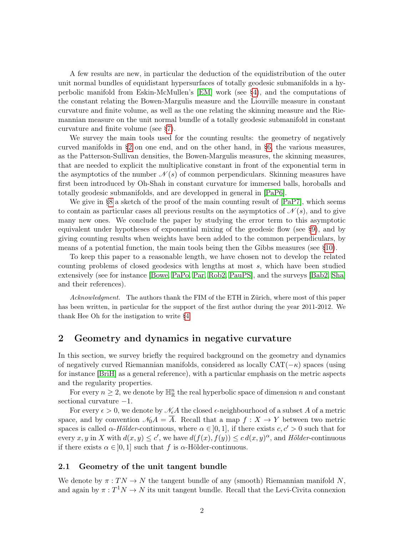A few results are new, in particular the deduction of the equidistribution of the outer unit normal bundles of equidistant hypersurfaces of totally geodesic submanifolds in a hyperbolic manifold from Eskin-McMullen's [\[EM\]](#page-40-2) work (see [§4\)](#page-15-0), and the computations of the constant relating the Bowen-Margulis measure and the Liouville measure in constant curvature and finite volume, as well as the one relating the skinning measure and the Riemannian measure on the unit normal bundle of a totally geodesic submanifold in constant curvature and finite volume (see [§7\)](#page-28-0).

We survey the main tools used for the counting results: the geometry of negatively curved manifolds in [§2](#page-1-0) on one end, and on the other hand, in [§6,](#page-25-0) the various measures, as the Patterson-Sullivan densities, the Bowen-Margulis measures, the skinning measures, that are needed to explicit the multiplicative constant in front of the exponential term in the asymptotics of the number  $\mathcal{N}(s)$  of common perpendiculars. Skinning measures have first been introduced by Oh-Shah in constant curvature for immersed balls, horoballs and totally geodesic submanifolds, and are developped in general in [\[PaP6\]](#page-42-4).

We give in [§8](#page-32-0) a sketch of the proof of the main counting result of  $[PaP7]$ , which seems to contain as particular cases all previous results on the asymptotics of  $\mathcal{N}(s)$ , and to give many new ones. We conclude the paper by studying the error term to this asymptotic equivalent under hypotheses of exponential mixing of the geodesic flow (see [§9\)](#page-35-0), and by giving counting results when weights have been added to the common perpendiculars, by means of a potential function, the main tools being then the Gibbs measures (see [§10\)](#page-36-0).

To keep this paper to a reasonable length, we have chosen not to develop the related counting problems of closed geodesics with lengths at most s, which have been studied extensively (see for instance [\[Bowe,](#page-39-1) [PaPo,](#page-42-6) [Par,](#page-42-7) [Rob2,](#page-42-8) [PauPS\]](#page-42-9), and the surveys [\[Bab2,](#page-39-0) [Sha\]](#page-42-0) and their references).

Acknowledgment. The authors thank the FIM of the ETH in Zürich, where most of this paper has been written, in particular for the support of the first author during the year 2011-2012. We thank Hee Oh for the instigation to write [§4.](#page-15-0)

# <span id="page-1-0"></span>2 Geometry and dynamics in negative curvature

In this section, we survey briefly the required background on the geometry and dynamics of negatively curved Riemannian manifolds, considered as locally  $CAT(-\kappa)$  spaces (using for instance [\[BriH\]](#page-39-2) as a general reference), with a particular emphasis on the metric aspects and the regularity properties.

For every  $n \geq 2$ , we denote by  $\mathbb{H}^n_{\mathbb{R}}$  the real hyperbolic space of dimension n and constant sectional curvature −1.

For every  $\epsilon > 0$ , we denote by  $\mathcal{N}_{\epsilon}A$  the closed  $\epsilon$ -neighbourhood of a subset A of a metric space, and by convention  $\mathcal{N}_0A = \overline{A}$ . Recall that a map  $f : X \to Y$  between two metric spaces is called  $\alpha$ -Hölder-continuous, where  $\alpha \in ]0,1]$ , if there exists  $c, c' > 0$  such that for every x, y in X with  $d(x, y) \leq c'$ , we have  $d(f(x), f(y)) \leq c d(x, y)^\alpha$ , and Hölder-continuous if there exists  $\alpha \in [0, 1]$  such that f is  $\alpha$ -Hölder-continuous.

#### 2.1 Geometry of the unit tangent bundle

We denote by  $\pi: TN \to N$  the tangent bundle of any (smooth) Riemannian manifold N, and again by  $\pi: T^1 N \to N$  its unit tangent bundle. Recall that the Levi-Civita connexion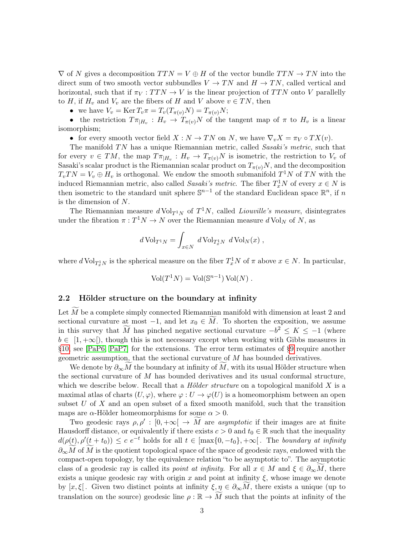$\nabla$  of N gives a decomposition  $TTN = V \oplus H$  of the vector bundle  $TTN \rightarrow TN$  into the direct sum of two smooth vector subbundles  $V \to TN$  and  $H \to TN$ , called vertical and horizontal, such that if  $\pi_V : T T N \to V$  is the linear projection of TTN onto V parallelly to H, if  $H_v$  and  $V_v$  are the fibers of H and V above  $v \in TN$ , then

• we have  $V_v = \text{Ker } T_v \pi = T_v(T_{\pi(v)}N) = T_{\pi(v)}N;$ 

• the restriction  $T\pi_{|H_v}: H_v \to T_{\pi(v)}N$  of the tangent map of  $\pi$  to  $H_v$  is a linear isomorphism;

• for every smooth vector field  $X : N \to TN$  on N, we have  $\nabla_v X = \pi_V \circ TX(v)$ .

The manifold  $TN$  has a unique Riemannian metric, called Sasaki's metric, such that for every  $v \in TM$ , the map  $T_{\pi|H_v}: H_v \to T_{\pi(v)}N$  is isometric, the restriction to  $V_v$  of Sasaki's scalar product is the Riemannian scalar product on  $T_{\pi(v)}N$ , and the decomposition  $T_vTN = V_v \oplus H_v$  is orthogonal. We endow the smooth submanifold  $T^1N$  of TN with the induced Riemannian metric, also called *Sasaki's metric*. The fiber  $T_x^1 N$  of every  $x \in N$  is then isometric to the standard unit sphere  $\mathbb{S}^{n-1}$  of the standard Euclidean space  $\mathbb{R}^n$ , if n is the dimension of N.

The Riemannian measure  $d \text{Vol}_{T^1N}$  of  $T^1N$ , called *Liouville's measure*, disintegrates under the fibration  $\pi: T^1 N \to N$  over the Riemannian measure  $d \text{Vol}_N$  of N, as

$$
d\operatorname{Vol}_{T^1N} = \int_{x \in N} d\operatorname{Vol}_{T_x^1N} d\operatorname{Vol}_N(x) ,
$$

where  $d \text{Vol}_{T_x^1}$  is the spherical measure on the fiber  $T_x^1 N$  of  $\pi$  above  $x \in N$ . In particular,

$$
Vol(T^1N) = Vol(\mathbb{S}^{n-1}) Vol(N) .
$$

#### 2.2 Hölder structure on the boundary at infinity

Let  $M$  be a complete simply connected Riemannian manifold with dimension at least  $2$  and sectional curvature at most  $-1$ , and let  $x_0 \in M$ . To shorten the exposition, we assume in this survey that M has pinched negative sectional curvature  $-b^2 \le K \le -1$  (where  $b \in [1, +\infty]$ , though this is not necessary except when working with Gibbs measures in [§10,](#page-36-0) see [\[PaP6,](#page-42-4) [PaP7\]](#page-42-5) for the extensions. The error term estimates of [§9](#page-35-0) require another geometric assumption, that the sectional curvature of  $M$  has bounded derivatives.

We denote by  $\partial_{\infty}M$  the boundary at infinity of M, with its usual Hölder structure when the sectional curvature of M has bounded derivatives and its usual conformal structure, which we describe below. Recall that a *Hölder structure* on a topological manifold  $X$  is a maximal atlas of charts  $(U, \varphi)$ , where  $\varphi : U \to \varphi(U)$  is a homeomorphism between an open subset  $U$  of  $X$  and an open subset of a fixed smooth manifold, such that the transition maps are  $\alpha$ -Hölder homeomorphisms for some  $\alpha > 0$ .

Two geodesic rays  $\rho, \rho' : [0, +\infty[ \rightarrow M]$  are asymptotic if their images are at finite Hausdorff distance, or equivalently if there exists  $c > 0$  and  $t_0 \in \mathbb{R}$  such that the inequality  $d(\rho(t), \rho'(t + t_0)) \leq c e^{-t}$  holds for all  $t \in [\max\{0, -t_0\}, +\infty[$ . The boundary at infinity  $\partial_{\infty}M$  of M is the quotient topological space of the space of geodesic rays, endowed with the compact-open topology, by the equivalence relation "to be asymptotic to". The asymptotic class of a geodesic ray is called its *point at infinity*. For all  $x \in M$  and  $\xi \in \partial_{\infty}M$ , there exists a unique geodesic ray with origin x and point at infinity  $\xi$ , whose image we denote by  $[x,\xi]$ . Given two distinct points at infinity  $\xi, \eta \in \partial_{\infty}M$ , there exists a unique (up to translation on the source) geodesic line  $\rho : \mathbb{R} \to M$  such that the points at infinity of the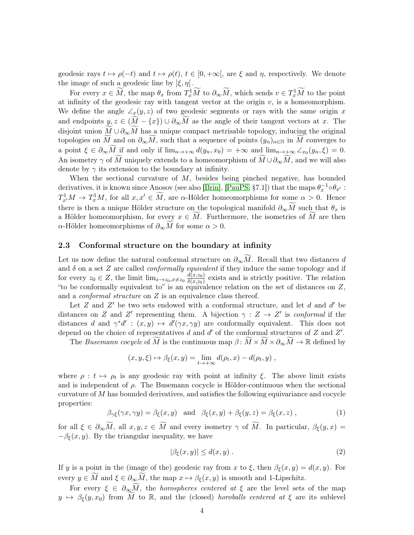geodesic rays  $t \mapsto \rho(-t)$  and  $t \mapsto \rho(t)$ ,  $t \in [0, +\infty)$ , are  $\xi$  and  $\eta$ , respectively. We denote the image of such a geodesic line by  $\left|\xi, \eta\right|$ .

For every  $x \in \widetilde{M}$ , the map  $\theta_x$  from  $T_x^1 \widetilde{M}$  to  $\partial_\infty \widetilde{M}$ , which sends  $v \in T_x^1 \widetilde{M}$  to the point at infinity of the geodesic ray with tangent vector at the origin  $v$ , is a homeomorphism. We define the angle  $\angle_x(y, z)$  of two geodesic segments or rays with the same origin x and endpoints  $y, z \in (M - \{x\}) \cup \partial_{\infty}M$  as the angle of their tangent vectors at x. The disjoint union  $\widetilde{M} \cup \partial_{\infty} \widetilde{M}$  has a unique compact metrisable topology, inducing the original topologies on M and on  $\partial_{\infty}M$ , such that a sequence of points  $(y_n)_{n\in\mathbb{N}}$  in M converges to a point  $\xi \in \partial_{\infty} \widetilde{M}$  if and only if  $\lim_{n \to +\infty} d(y_n, x_0) = +\infty$  and  $\lim_{n \to +\infty} \angle_{x_0}(y_n, \xi) = 0$ . An isometry  $\gamma$  of  $\widetilde{M}$  uniquely extends to a homeomorphism of  $\widetilde{M}\cup\partial_{\infty}M$ , and we will also denote by  $\gamma$  its extension to the boundary at infinity.

When the sectional curvature of  $M$ , besides being pinched negative, has bounded derivatives, it is known since Anosov (see also [\[Brin\]](#page-39-3), [\[PauPS,](#page-42-9) §7.1]) that the maps  $\theta_x^{-1} \circ \theta_{x'}$ :  $T_{x'}^1 M \to T_x^1 M$ , for all  $x, x' \in \widetilde{M}$ , are  $\alpha$ -Hölder homeomorphisms for some  $\alpha > 0$ . Hence there is then a unique Hölder structure on the topological manifold  $\partial_{\infty}M$  such that  $\theta_x$  is a Hölder homeomorphism, for every  $x \in M$ . Furthermore, the isometries of M are then α-Hölder homeomorphisms of  $\partial_{\infty} M$  for some  $\alpha > 0$ .

## <span id="page-3-1"></span>2.3 Conformal structure on the boundary at infinity

Let us now define the natural conformal structure on  $\partial_{\infty}\widetilde{M}$ . Recall that two distances d and  $\delta$  on a set Z are called *conformally equivalent* if they induce the same topology and if for every  $z_0 \in Z$ , the limit  $\lim_{x \to z_0, x \neq z_0} \frac{d(x,z_0)}{\delta(x,z_0)}$  $\frac{a(x,z_0)}{\delta(x,z_0)}$  exists and is strictly positive. The relation "to be conformally equivalent to" is an equivalence relation on the set of distances on  $Z$ , and a *conformal structure* on Z is an equivalence class thereof.

Let  $Z$  and  $Z'$  be two sets endowed with a conformal structure, and let  $d$  and  $d'$  be distances on Z and Z' representing them. A bijection  $\gamma : Z \to Z'$  is conformal if the distances d and  $\gamma^*d': (x, y) \mapsto d'(\gamma x, \gamma y)$  are conformally equivalent. This does not depend on the choice of representatives  $d$  and  $d'$  of the conformal structures of  $Z$  and  $Z'$ .

The Busemann cocycle of M is the continuous map  $\beta: \widetilde{M} \times \widetilde{M} \times \partial_{\infty} \widetilde{M} \to \mathbb{R}$  defined by

$$
(x, y, \xi) \mapsto \beta_{\xi}(x, y) = \lim_{t \to +\infty} d(\rho_t, x) - d(\rho_t, y) ,
$$

where  $\rho : t \mapsto \rho_t$  is any geodesic ray with point at infinity  $\xi$ . The above limit exists and is independent of  $\rho$ . The Busemann cocycle is Hölder-continuous when the sectional curvature of  $M$  has bounded derivatives, and satisfies the following equivariance and cocycle properties:

$$
\beta_{\gamma\xi}(\gamma x, \gamma y) = \beta_{\xi}(x, y) \quad \text{and} \quad \beta_{\xi}(x, y) + \beta_{\xi}(y, z) = \beta_{\xi}(x, z) \tag{1}
$$

for all  $\xi \in \partial_{\infty} \widetilde{M}$ , all  $x, y, z \in \widetilde{M}$  and every isometry  $\gamma$  of  $\widetilde{M}$ . In particular,  $\beta_{\xi}(y, x) =$  $-\beta_{\xi}(x, y)$ . By the triangular inequality, we have

<span id="page-3-0"></span>
$$
|\beta_{\xi}(x,y)| \le d(x,y) . \tag{2}
$$

If y is a point in the (image of the) geodesic ray from x to  $\xi$ , then  $\beta_{\xi}(x, y) = d(x, y)$ . For every  $y \in M$  and  $\xi \in \partial_{\infty}M$ , the map  $x \mapsto \beta_{\xi}(x, y)$  is smooth and 1-Lipschitz.

For every  $\xi \in \partial_{\infty} \widetilde{M}$ , the *horospheres centered at*  $\xi$  are the level sets of the map  $y \mapsto \beta_{\xi}(y, x_0)$  from M to R, and the (closed) horoballs centered at  $\xi$  are its sublevel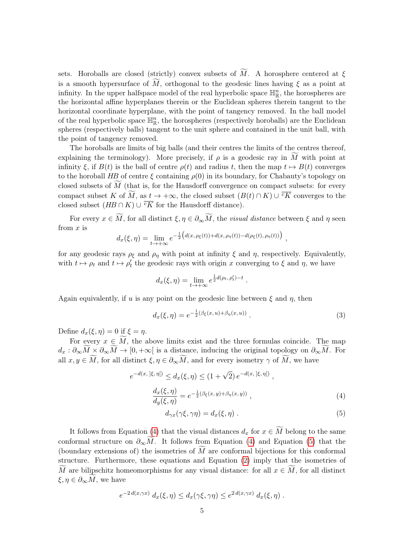sets. Horoballs are closed (strictly) convex subsets of  $\tilde{M}$ . A horosphere centered at  $\xi$ is a smooth hypersurface of  $\widetilde{M}$ , orthogonal to the geodesic lines having  $\xi$  as a point at infinity. In the upper halfspace model of the real hyperbolic space  $\mathbb{H}_{\mathbb{R}}^n$ , the horospheres are the horizontal affine hyperplanes therein or the Euclidean spheres therein tangent to the horizontal coordinate hyperplane, with the point of tangency removed. In the ball model of the real hyperbolic space  $\mathbb{H}_{\mathbb{R}}^n$ , the horospheres (respectively horoballs) are the Euclidean spheres (respectively balls) tangent to the unit sphere and contained in the unit ball, with the point of tangency removed.

The horoballs are limits of big balls (and their centres the limits of the centres thereof, explaining the terminology). More precisely, if  $\rho$  is a geodesic ray in M with point at infinity  $\xi$ , if  $B(t)$  is the ball of centre  $\rho(t)$  and radius t, then the map  $t \mapsto B(t)$  converges to the horoball HB of centre  $\xi$  containing  $\rho(0)$  in its boundary, for Chabauty's topology on closed subsets of  $M$  (that is, for the Hausdorff convergence on compact subsets: for every compact subset K of M, as  $t \to +\infty$ , the closed subset  $(B(t) \cap K) \cup \overline{cK}$  converges to the closed subset  $(HB \cap K) \cup \overline{^cK}$  for the Hausdorff distance).

For every  $x \in \widetilde{M}$ , for all distinct  $\xi, \eta \in \partial_{\infty} \widetilde{M}$ , the *visual distance* between  $\xi$  and  $\eta$  seen from  $x$  is

$$
d_x(\xi, \eta) = \lim_{t \to +\infty} e^{-\frac{1}{2} \left( d(x, \rho_{\xi}(t)) + d(x, \rho_{\eta}(t)) - d(\rho_{\xi}(t), \rho_{\eta}(t)) \right)},
$$

for any geodesic rays  $\rho_{\xi}$  and  $\rho_{\eta}$  with point at infinity  $\xi$  and  $\eta$ , respectively. Equivalently, with  $t \mapsto \rho_t$  and  $t \mapsto \rho'_t$  the geodesic rays with origin x converging to  $\xi$  and  $\eta$ , we have

$$
d_x(\xi, \eta) = \lim_{t \to +\infty} e^{\frac{1}{2}d(\rho_t, \rho'_t) - t}
$$

Again equivalently, if u is any point on the geodesic line between  $\xi$  and  $\eta$ , then

<span id="page-4-2"></span>
$$
d_x(\xi, \eta) = e^{-\frac{1}{2}(\beta_{\xi}(x, u) + \beta_{\eta}(x, u))}.
$$
 (3)

.

Define  $d_x(\xi, \eta) = 0$  if  $\xi = \eta$ .

For every  $x \in \widetilde{M}$ , the above limits exist and the three formulas coincide. The map  $d_x : \partial_{\infty} \widetilde{M} \times \partial_{\infty} \widetilde{M} \to [0, +\infty]$  is a distance, inducing the original topology on  $\partial_{\infty} \widetilde{M}$ . For all  $x, y \in M$ , for all distinct  $\xi, \eta \in \partial_{\infty}M$ , and for every isometry  $\gamma$  of M, we have

<span id="page-4-1"></span><span id="page-4-0"></span>
$$
e^{-d(x, \,|\xi, \,\eta|)} \le d_x(\xi, \eta) \le (1 + \sqrt{2}) e^{-d(x, \,|\xi, \,\eta|)},
$$
  

$$
\frac{d_x(\xi, \eta)}{d_y(\xi, \eta)} = e^{-\frac{1}{2}(\beta_{\xi}(x, y) + \beta_{\eta}(x, y))},
$$
  

$$
d_{\gamma x}(\gamma \xi, \gamma \eta) = d_x(\xi, \eta).
$$
 (5)

It follows from Equation [\(4\)](#page-4-0) that the visual distances  $d_x$  for  $x \in \widetilde{M}$  belong to the same conformal structure on  $\partial_{\infty}M$ . It follows from Equation [\(4\)](#page-4-0) and Equation [\(5\)](#page-4-1) that the (boundary extensions of) the isometries of  $M$  are conformal bijections for this conformal structure. Furthermore, these equations and Equation [\(2\)](#page-3-0) imply that the isometries of M are bilipschitz homeomorphisms for any visual distance: for all  $x \in M$ , for all distinct  $\xi, \eta \in \partial_{\infty} M$ , we have

$$
e^{-2 d(x, \gamma x)} d_x(\xi, \eta) \le d_x(\gamma \xi, \gamma \eta) \le e^{2 d(x, \gamma x)} d_x(\xi, \eta).
$$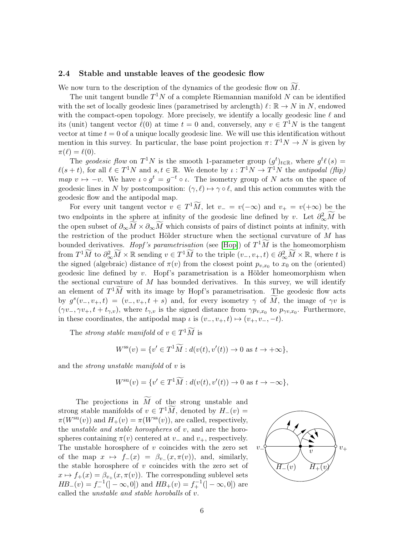#### <span id="page-5-0"></span>2.4 Stable and unstable leaves of the geodesic flow

We now turn to the description of the dynamics of the geodesic flow on  $M$ .

The unit tangent bundle  $T^1N$  of a complete Riemannian manifold N can be identified with the set of locally geodesic lines (parametrised by arclength)  $\ell : \mathbb{R} \to N$  in N, endowed with the compact-open topology. More precisely, we identify a locally geodesic line  $\ell$  and its (unit) tangent vector  $\ell(0)$  at time  $t = 0$  and, conversely, any  $v \in T^1N$  is the tangent vector at time  $t = 0$  of a unique locally geodesic line. We will use this identification without mention in this survey. In particular, the base point projection  $\pi: T^1N \to N$  is given by  $\pi(\ell) = \ell(0).$ 

The geodesic flow on  $T^1N$  is the smooth 1-parameter group  $(g^t)_{t\in\mathbb{R}}$ , where  $g^t\ell(s)$  =  $\ell(s + t)$ , for all  $\ell \in T^1N$  and  $s, t \in \mathbb{R}$ . We denote by  $\iota : T^1N \to T^1N$  the antipodal (flip) map  $v \mapsto -v$ . We have  $\iota \circ g^t = g^{-t} \circ \iota$ . The isometry group of N acts on the space of geodesic lines in N by postcomposition:  $(\gamma, \ell) \mapsto \gamma \circ \ell$ , and this action commutes with the geodesic flow and the antipodal map.

For every unit tangent vector  $v \in T^1 \tilde{M}$ , let  $v = v(-\infty)$  and  $v_+ = v(+\infty)$  be the two endpoints in the sphere at infinity of the geodesic line defined by v. Let  $\partial_{\infty}^2 \widetilde{M}$  be the open subset of  $\partial_{\infty}M\times\partial_{\infty}M$  which consists of pairs of distinct points at infinity, with the restriction of the product Hölder structure when the sectional curvature of  $M$  has bounded derivatives. Hopf's parametrisation (see [\[Hop\]](#page-40-3)) of  $T^1\widetilde{M}$  is the homeomorphism from  $T^1\widetilde{M}$  to  $\partial_{\infty}^2 \widetilde{M} \times \mathbb{R}$  sending  $v \in T^1\widetilde{M}$  to the triple  $(v_-, v_+, t) \in \partial_{\infty}^2 \widetilde{M} \times \mathbb{R}$ , where t is the signed (algebraic) distance of  $\pi(v)$  from the closest point  $p_{v,x_0}$  to  $x_0$  on the (oriented) geodesic line defined by  $v$ . Hopf's parametrisation is a Hölder homeomorphism when the sectional curvature of  $M$  has bounded derivatives. In this survey, we will identify an element of  $T^1 \tilde{M}$  with its image by Hopf's parametrisation. The geodesic flow acts by  $g^{s}(v_-, v_+, t) = (v_-, v_+, t + s)$  and, for every isometry  $\gamma$  of  $\tilde{M}$ , the image of  $\gamma v$  is  $(\gamma v_-, \gamma v_+, t + t_{\gamma, v})$ , where  $t_{\gamma, v}$  is the signed distance from  $\gamma p_{v, x_0}$  to  $p_{\gamma v, x_0}$ . Furthermore, in these coordinates, the antipodal map  $\iota$  is  $(v_-, v_+, t) \mapsto (v_+, v_-, -t)$ .

The *strong stable manifold* of  $v \in T^1\widetilde{M}$  is

$$
W^{\rm ss}(v) = \{v' \in T^1 \widetilde{M} : d(v(t), v'(t)) \to 0 \text{ as } t \to +\infty\},\
$$

and the strong unstable manifold of v is

$$
W^{\mathrm{su}}(v) = \{v' \in T^1 \widetilde{M} : d(v(t), v'(t)) \to 0 \text{ as } t \to -\infty\},\
$$

The projections in  $\widetilde{M}$  of the strong unstable and strong stable manifolds of  $v \in T^1 \widetilde{M}$ , denoted by  $H_-(v) =$  $\pi(W^{\rm su}(v))$  and  $H_+(v) = \pi(W^{\rm ss}(v))$ , are called, respectively, the *unstable and stable horospheres* of  $v$ , and are the horospheres containing  $\pi(v)$  centered at  $v_-\$  and  $v_+$ , respectively. The unstable horosphere of  $v$  coincides with the zero set of the map  $x \mapsto f_-(x) = \beta_{v_-}(x, \pi(v))$ , and, similarly, the stable horosphere of  $v$  coincides with the zero set of  $x \mapsto f_+(x) = \beta_{v_+}(x, \pi(v)).$  The corresponding sublevel sets  $HB_{-}(v) = f_{-}^{-1}(]-\infty,0])$  and  $HB_{+}(v) = f_{+}^{-1}(]-\infty,0])$  are called the unstable and stable horoballs of v.

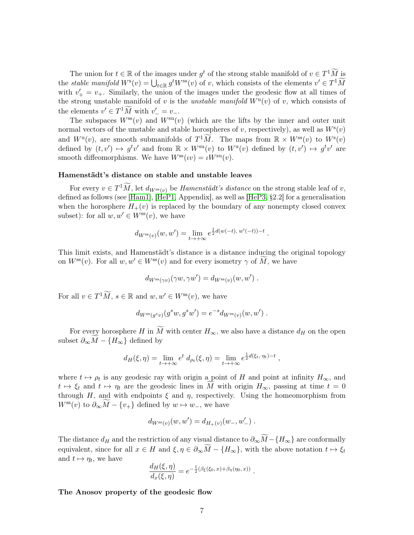The union for  $t \in \mathbb{R}$  of the images under  $g^t$  of the strong stable manifold of  $v \in T^1\widetilde{M}$  is the *stable manifold*  $W^s(v) = \bigcup_{t \in \mathbb{R}} g^t W^{ss}(v)$  of v, which consists of the elements  $v' \in T^1 \widetilde{M}$ with  $v'_{+} = v_{+}$ . Similarly, the union of the images under the geodesic flow at all times of the strong unstable manifold of v is the unstable manifold  $W^{\mathrm{u}}(v)$  of v, which consists of the elements  $v' \in T^1 \widetilde{M}$  with  $v' = v_-.$ 

The subspaces  $W^{\rm ss}(v)$  and  $W^{\rm su}(v)$  (which are the lifts by the inner and outer unit normal vectors of the unstable and stable horospheres of v, respectively), as well as  $W^{s}(v)$ and  $W^{\mathrm{u}}(v)$ , are smooth submanifolds of  $T^1\widetilde{M}$ . The maps from  $\mathbb{R} \times W^{\mathrm{ss}}(v)$  to  $W^{\mathrm{s}}(v)$ defined by  $(t, v') \mapsto g^t v'$  and from  $\mathbb{R} \times W^{\text{su}}(v)$  to  $W^{\text{u}}(v)$  defined by  $(t, v') \mapsto g^t v'$  are smooth diffeomorphisms. We have  $W^{\rm ss}(\iota v) = \iota W^{\rm su}(v)$ .

#### Hamenstädt's distance on stable and unstable leaves

For every  $v \in T^1 \widetilde{M}$ , let  $d_{W^{ss}(v)}$  be *Hamenstädt's distance* on the strong stable leaf of v, defined as follows (see [\[Ham1\]](#page-40-4), [\[HeP1,](#page-40-5) Appendix], as well as [\[HeP3,](#page-40-6) §2.2] for a generalisation when the horosphere  $H_+(v)$  is replaced by the boundary of any nonempty closed convex subset): for all  $w, w' \in W^{\text{ss}}(v)$ , we have

$$
d_{W^{\text{ss}}(v)}(w, w') = \lim_{t \to +\infty} e^{\frac{1}{2}d(w(-t), w'(-t)) - t}
$$

.

This limit exists, and Hamenstädt's distance is a distance inducing the original topology on  $W^{\text{ss}}(v)$ . For all  $w, w' \in W^{\text{ss}}(v)$  and for every isometry  $\gamma$  of M, we have

$$
d_{W^{\rm ss}(\gamma v)}(\gamma w, \gamma w') = d_{W^{\rm ss}(v)}(w, w') .
$$

For all  $v \in T^1 \widetilde{M}$ ,  $s \in \mathbb{R}$  and  $w, w' \in W^{\text{ss}}(v)$ , we have

$$
d_{W^{\rm ss}(g^s v)}(g^s w, g^s w') = e^{-s} d_{W^{\rm ss}(v)}(w, w') .
$$

For every horosphere H in  $\widetilde{M}$  with center  $H_{\infty}$ , we also have a distance  $d_H$  on the open subset  $\partial_{\infty} M - \{H_{\infty}\}\$  defined by

$$
d_H(\xi,\eta) = \lim_{t \to +\infty} e^t d_{\rho_t}(\xi,\eta) = \lim_{t \to +\infty} e^{\frac{1}{2}d(\xi_t,\eta_t)-t},
$$

where  $t \mapsto \rho_t$  is any geodesic ray with origin a point of H and point at infinity  $H_{\infty}$ , and  $t \mapsto \xi_t$  and  $t \mapsto \eta_t$  are the geodesic lines in M with origin  $H_{\infty}$ , passing at time  $t = 0$ through H, and with endpoints  $\xi$  and  $\eta$ , respectively. Using the homeomorphism from  $W^{\text{ss}}(v)$  to  $\partial_{\infty}M-\{v_{+}\}\)$  defined by  $w\mapsto w_{-}$ , we have

$$
d_{W^{\rm ss}(v)}(w, w') = d_{H_+(v)}(w_-, w'_-).
$$

The distance  $d_H$  and the restriction of any visual distance to  $\partial_{\infty} \widetilde{M}$ −{ $H_{\infty}$ } are conformally equivalent, since for all  $x \in H$  and  $\xi, \eta \in \partial_{\infty}M - {H_{\infty}}$ , with the above notation  $t \mapsto \xi_t$ and  $t \mapsto \eta_t$ , we have

$$
\frac{d_H(\xi,\eta)}{d_x(\xi,\eta)} = e^{-\frac{1}{2}(\beta_{\xi}(\xi_0,x) + \beta_{\eta}(\eta_0,x))}.
$$

#### The Anosov property of the geodesic flow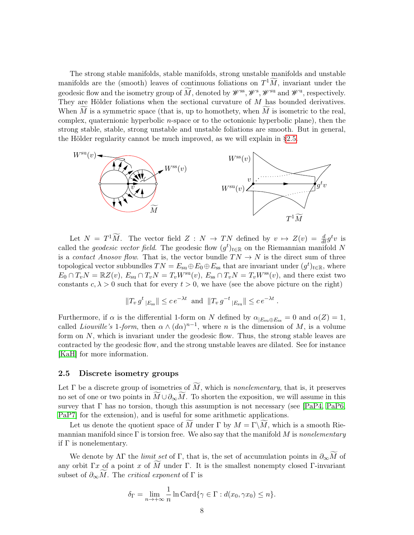The strong stable manifolds, stable manifolds, strong unstable manifolds and unstable manifolds are the (smooth) leaves of continuous foliations on  $T^1\widetilde{M}$ , invariant under the geodesic flow and the isometry group of  $\widetilde{M}$ , denoted by  $\mathscr{W}^{\rm ss}$ ,  $\mathscr{W}^{\rm s}$ ,  $\mathscr{W}^{\rm su}$  and  $\mathscr{W}^{\rm u}$ , respectively. They are Hölder foliations when the sectional curvature of M has bounded derivatives. When  $M$  is a symmetric space (that is, up to homothety, when  $M$  is isometric to the real, complex, quaternionic hyperbolic n-space or to the octonionic hyperbolic plane), then the strong stable, stable, strong unstable and unstable foliations are smooth. But in general, the Hölder regularity cannot be much improved, as we will explain in [§2.5.](#page-7-0)



Let  $N = T^1 \widetilde{M}$ . The vector field  $Z : N \to TN$  defined by  $v \mapsto Z(v) = \frac{d}{dt} g^t v$  is called the *geodesic vector field*. The geodesic flow  $(g<sup>t</sup>)_{t \in \mathbb{R}}$  on the Riemannian manifold N is a *contact Anosov flow*. That is, the vector bundle  $TN \rightarrow N$  is the direct sum of three topological vector subbundles  $TN = E_{su} \oplus E_0 \oplus E_{ss}$  that are invariant under  $(g^t)_{t \in \mathbb{R}}$ , where  $E_0 \cap T_vN = \mathbb{R}Z(v)$ ,  $E_{su} \cap T_vN = T_vW^{su}(v)$ ,  $E_{ss} \cap T_vN = T_vW^{ss}(v)$ , and there exist two constants  $c, \lambda > 0$  such that for every  $t > 0$ , we have (see the above picture on the right)

$$
||T_v g^t|_{E_{ss}}|| \leq c e^{-\lambda t}
$$
 and  $||T_v g^{-t}|_{E_{su}}|| \leq c e^{-\lambda t}$ .

Furthermore, if  $\alpha$  is the differential 1-form on N defined by  $\alpha_{|E_{\text{su}}\oplus E_{\text{ss}}}=0$  and  $\alpha(Z)=1$ , called *Liouville's* 1-form, then  $\alpha \wedge (d\alpha)^{n-1}$ , where n is the dimension of M, is a volume form on  $N$ , which is invariant under the geodesic flow. Thus, the strong stable leaves are contracted by the geodesic flow, and the strong unstable leaves are dilated. See for instance [\[KaH\]](#page-40-7) for more information.

#### <span id="page-7-0"></span>2.5 Discrete isometry groups

Let  $\Gamma$  be a discrete group of isometries of  $\widetilde{M}$ , which is nonelementary, that is, it preserves no set of one or two points in  $\overline{M}\cup\partial_{\infty}M$ . To shorten the exposition, we will assume in this survey that  $\Gamma$  has no torsion, though this assumption is not necessary (see [\[PaP4,](#page-42-1) [PaP6,](#page-42-4) [PaP7\]](#page-42-5) for the extension), and is useful for some arithmetic applications.

Let us denote the quotient space of M under Γ by  $M = \Gamma \backslash M$ , which is a smooth Riemannian manifold since  $\Gamma$  is torsion free. We also say that the manifold M is nonelementary if  $\Gamma$  is nonelementary.

We denote by  $\Lambda \Gamma$  the *limit set* of  $\Gamma$ , that is, the set of accumulation points in  $\partial_{\infty} \widetilde{M}$  of any orbit Γx of a point x of M under Γ. It is the smallest nonempty closed Γ-invariant subset of  $\partial_{\infty}M$ . The *critical exponent* of  $\Gamma$  is

$$
\delta_{\Gamma} = \lim_{n \to +\infty} \frac{1}{n} \ln \text{Card}\{\gamma \in \Gamma : d(x_0, \gamma x_0) \le n\}.
$$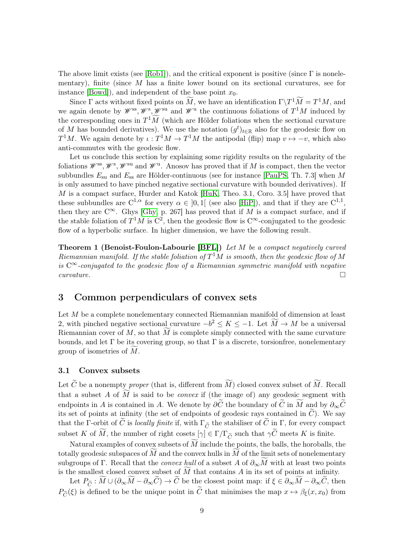The above limit exists (see [\[Rob1\]](#page-42-10)), and the critical exponent is positive (since  $\Gamma$  is nonelementary), finite (since  $M$  has a finite lower bound on its sectional curvatures, see for instance [\[Bowd\]](#page-39-4)), and independent of the base point  $x_0$ .

Since  $\Gamma$  acts without fixed points on  $\widetilde{M}$ , we have an identification  $\Gamma \backslash T^1 \widetilde{M} = T^1 M$ , and we again denote by  $\mathscr{W}^{\rm ss}, \mathscr{W}^{\rm s}$ ,  $\mathscr{W}^{\rm su}$  and  $\mathscr{W}^{\rm u}$  the continuous foliations of  $T^1M$  induced by the corresponding ones in  $T^1\widetilde{M}$  (which are Hölder foliations when the sectional curvature of M has bounded derivatives). We use the notation  $(g<sup>t</sup>)_{t\in\mathbb{R}}$  also for the geodesic flow on  $T^1M$ . We again denote by  $\iota: T^1M \to T^1M$  the antipodal (flip) map  $v \mapsto -v$ , which also anti-commutes with the geodesic flow.

Let us conclude this section by explaining some rigidity results on the regularity of the foliations  $\mathscr{W}^{\rm ss}, \mathscr{W}^{\rm s}$ ,  $\mathscr{W}^{\rm su}$  and  $\mathscr{W}^{\rm u}$ . Anosov has proved that if M is compact, then the vector subbundles  $E_{\rm su}$  and  $E_{\rm ss}$  are Hölder-continuous (see for instance [\[PauPS,](#page-42-9) Th. 7.3] when M is only assumed to have pinched negative sectional curvature with bounded derivatives). If M is a compact surface, Hurder and Katok [\[HuK,](#page-40-8) Theo. 3.1, Coro. 3.5] have proved that these subbundles are  $C^{1,\alpha}$  for every  $\alpha \in [0,1]$  (see also [\[HiP\]](#page-40-9)), and that if they are  $C^{1,1}$ , then they are  $C^{\infty}$ . Ghys [\[Ghy,](#page-40-10) p. 267] has proved that if M is a compact surface, and if the stable foliation of  $T^1M$  is  $C^2$ , then the geodesic flow is  $C^{\infty}$ -conjugated to the geodesic flow of a hyperbolic surface. In higher dimension, we have the following result.

Theorem 1 (Benoist-Foulon-Labourie [\[BFL\]](#page-39-5)) Let M be a compact negatively curved Riemannian manifold. If the stable foliation of  $T^1M$  is smooth, then the geodesic flow of M is  $C^{\infty}$ -conjugated to the geodesic flow of a Riemannian symmetric manifold with negative  $curvature.$ 

# <span id="page-8-1"></span>3 Common perpendiculars of convex sets

Let M be a complete nonelementary connected Riemannian manifold of dimension at least 2, with pinched negative sectional curvature  $-b^2 \le K \le -1$ . Let  $\widetilde{M} \to M$  be a universal Riemannian cover of  $M$ , so that  $M$  is complete simply connected with the same curvature bounds, and let  $\Gamma$  be its covering group, so that  $\Gamma$  is a discrete, torsionfree, nonelementary group of isometries of  $M$ .

#### <span id="page-8-0"></span>3.1 Convex subsets

Let  $\tilde{C}$  be a nonempty proper (that is, different from  $\tilde{M}$ ) closed convex subset of  $\tilde{M}$ . Recall that a subset A of  $\widetilde{M}$  is said to be *convex* if (the image of) any geodesic segment with endpoints in A is contained in A. We denote by  $\partial \widetilde{C}$  the boundary of  $\widetilde{C}$  in  $\widetilde{M}$  and by  $\partial_{\infty}\widetilde{C}$ its set of points at infinity (the set of endpoints of geodesic rays contained in  $\tilde{C}$ ). We say that the Γ-orbit of  $\tilde{C}$  is locally finite if, with  $\Gamma_{\tilde{C}}$  the stabiliser of  $\tilde{C}$  in Γ, for every compact subset K of  $\widetilde{M}$ , the number of right cosets  $[\gamma] \in \Gamma/\Gamma_{\widetilde{C}}$  such that  $\gamma \widetilde{C}$  meets K is finite.

Natural examples of convex subsets of  $M$  include the points, the balls, the horoballs, the totally geodesic subspaces of  $M$  and the convex hulls in  $M$  of the limit sets of nonelementary subgroups of Γ. Recall that the *convex hull* of a subset A of  $\partial_{\infty}M$  with at least two points is the smallest closed convex subset of  $\tilde{M}$  that contains  $A$  in its set of points at infinity.

Let  $P_{\widetilde{C}} : \widetilde{M} \cup (\partial_{\infty} \widetilde{M} - \partial_{\infty} \widetilde{C}) \to \widetilde{C}$  be the closest point map: if  $\xi \in \partial_{\infty} \widetilde{M} - \partial_{\infty} \widetilde{C}$ , then  $P_{\widetilde{C}}(\xi)$  is defined to be the unique point in  $\widetilde{C}$  that minimises the map  $x \mapsto \beta_{\xi}(x, x_0)$  from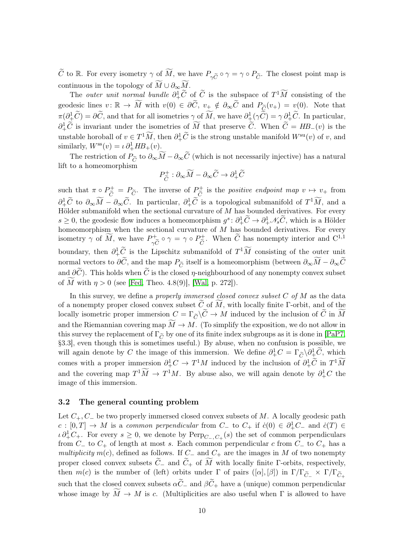$\widetilde{C}$  to R. For every isometry  $\gamma$  of  $\widetilde{M}$ , we have  $P_{\gamma \widetilde{C}} \circ \gamma = \gamma \circ P_{\widetilde{C}}$ . The closest point map is continuous in the topology of  $\widetilde{M} \cup \partial_{\infty} \widetilde{M}$ .

The *outer unit normal bundle*  $\partial^1_+\tilde{C}$  of  $\tilde{C}$  is the subspace of  $T^1\tilde{M}$  consisting of the geodesic lines  $v: \mathbb{R} \to \widetilde{M}$  with  $v(0) \in \partial \widetilde{C}$ ,  $v_+ \notin \partial_{\infty} \widetilde{C}$  and  $P_{\widetilde{C}}(v_+) = v(0)$ . Note that  $\pi(\partial^1_{\pm}\tilde{C}) = \partial \tilde{C}$ , and that for all isometries  $\gamma$  of  $\tilde{M}$ , we have  $\partial^1_{\pm}(\gamma \tilde{C}) = \gamma \partial^1_{\pm}\tilde{C}$ . In particular,  $\partial^1_+\widetilde{C}$  is invariant under the isometries of  $\widetilde{M}$  that preserve  $\widetilde{C}$ . When  $\widetilde{C} = HB_-(v)$  is the unstable horoball of  $v \in T^1 \widetilde{M}$ , then  $\partial^1_+ \widetilde{C}$  is the strong unstable manifold  $W^{\text{su}}(v)$  of v, and similarly,  $W^{\text{ss}}(v) = \iota \partial^1_+ H B_+(v)$ .

The restriction of  $P_{\widetilde{C}}$  to  $\partial_{\infty}\widetilde{M}-\partial_{\infty}\widetilde{C}$  (which is not necessarily injective) has a natural lift to a homeomorphism

$$
P_{\widetilde{C}}^{+} : \partial_{\infty} \widetilde{M} - \partial_{\infty} \widetilde{C} \to \partial_{+}^{1} \widetilde{C}
$$

such that  $\pi \circ P_{\tilde{C}}^+ = P_{\tilde{C}}$ . The inverse of  $P_{\tilde{C}}^+$  $\widetilde{C}$  is the *positive endpoint map*  $v \mapsto v_+$  from  $\partial_{+}^{1}\widetilde{C}$  to  $\partial_{\infty}\widetilde{M} - \partial_{\infty}\widetilde{C}$ . In particular,  $\partial_{+}^{1}\widetilde{C}$  is a topological submanifold of  $T^{1}\widetilde{M}$ , and a Hölder submanifold when the sectional curvature of  $M$  has bounded derivatives. For every  $s \geq 0$ , the geodesic flow induces a homeomorphism  $g^s: \partial^1_+ \widetilde{C} \to \partial^1_+ \mathscr{N}_s \widetilde{C}$ , which is a Hölder homeomorphism when the sectional curvature of  $M$  has bounded derivatives. For every isometry  $\gamma$  of  $\widetilde{M}$ , we have  $P_{\gamma\widetilde{Q}}^+$  $\gamma C$  $\circ \gamma = \gamma \circ P_{\widetilde{\alpha}}^+$  $\tilde{C}$ . When  $\tilde{C}$  has nonempty interior and  $C^{1,1}$ boundary, then  $\partial_+^1 \widetilde{C}$  is the Lipschitz submanifold of  $T^1\widetilde{M}$  consisting of the outer unit normal vectors to  $\partial \tilde{C}$ , and the map  $P_{\tilde{C}}$  itself is a homeomorphism (between  $\partial_{\infty} \widetilde{M} - \partial_{\infty} \widetilde{C}$ and  $\partial \widetilde{C}$ . This holds when  $\widetilde{C}$  is the closed  $\eta$ -neighbourhood of any nonempty convex subset of M with  $\eta > 0$  (see [\[Fed,](#page-40-11) Theo. 4.8(9)], [\[Wal,](#page-43-0) p. 272]).

In this survey, we define a *properly immersed closed convex subset C* of  $M$  as the data of a nonempty proper closed convex subset  $\tilde{C}$  of M, with locally finite Γ-orbit, and of the locally isometric proper immersion  $C = \Gamma_{\tilde{C}} \backslash \tilde{C} \to M$  induced by the inclusion of  $\tilde{C}$  in  $\tilde{M}$ and the Riemannian covering map  $\overline{M} \to M$ . (To simplify the exposition, we do not allow in this survey the replacement of  $\Gamma_{\tilde{C}}$  by one of its finite index subgroups as it is done in [\[PaP7,](#page-42-5) §3.3], even though this is sometimes useful.) By abuse, when no confusion is possible, we will again denote by C the image of this immersion. We define  $\partial^1_+C = \Gamma_{\tilde{C}} \setminus \partial^1_+ \tilde{C}$ , which comes with a proper immersion  $\partial^1_+C \to T^1M$  induced by the inclusion of  $\partial^1_+\tilde{C}$  in  $T^1\tilde{M}$ and the covering map  $T^1\widetilde{M} \to T^1M$ . By abuse also, we will again denote by  $\partial^1_+C$  the image of this immersion.

#### <span id="page-9-0"></span>3.2 The general counting problem

Let  $C_+$ ,  $C_-$  be two properly immersed closed convex subsets of M. A locally geodesic path  $c : [0,T] \to M$  is a common perpendicular from  $C_{-}$  to  $C_{+}$  if  $\dot{c}(0) \in \partial_{+}^{1}C_{-}$  and  $\dot{c}(T) \in$  $\iota \partial^1_+ C_+$ . For every  $s \geq 0$ , we denote by  $\text{Perp}_{C_-,C_+}(s)$  the set of common perpendiculars from  $C_$  to  $C_+$  of length at most s. Each common perpendicular c from  $C_-$  to  $C_+$  has a multiplicity m(c), defined as follows. If  $C_-\$  and  $C_+$  are the images in M of two nonempty proper closed convex subsets  $\widetilde{C}_-$  and  $\widetilde{C}_+$  of  $\widetilde{M}$  with locally finite  $\Gamma$ -orbits, respectively, then  $m(c)$  is the number of (left) orbits under  $\Gamma$  of pairs  $([\alpha], [\beta])$  in  $\Gamma/\Gamma_{\widetilde{C}_-} \times \Gamma/\Gamma_{\widetilde{C}_+}$ such that the closed convex subsets  $\alpha \tilde{C}_-$  and  $\beta \tilde{C}_+$  have a (unique) common perpendicular whose image by  $\tilde{M} \to \tilde{M}$  is c. (Multiplicities are also useful when  $\Gamma$  is allowed to have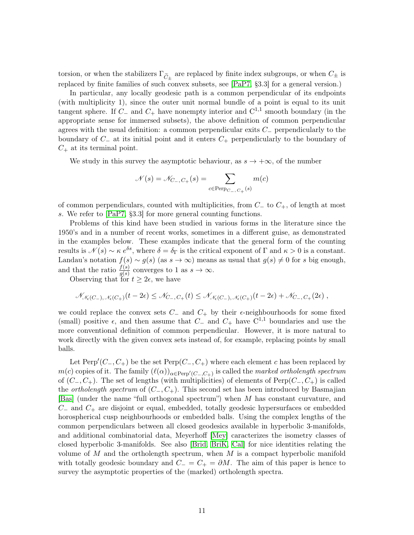torsion, or when the stabilizers  $\Gamma_{\tilde{C}_{\pm}}$  are replaced by finite index subgroups, or when  $C_{\pm}$  is replaced by finite families of such convex subsets, see [\[PaP7,](#page-42-5) §3.3] for a general version.)

In particular, any locally geodesic path is a common perpendicular of its endpoints (with multiplicity 1), since the outer unit normal bundle of a point is equal to its unit tangent sphere. If  $C_-\$  and  $C_+$  have nonempty interior and  $C^{1,1}$  smooth boundary (in the appropriate sense for immersed subsets), the above definition of common perpendicular agrees with the usual definition: a common perpendicular exits  $C_-\$  perpendicularly to the boundary of  $C_-\$  at its initial point and it enters  $C_+$  perpendicularly to the boundary of  $C_+$  at its terminal point.

We study in this survey the asymptotic behaviour, as  $s \to +\infty$ , of the number

$$
\mathcal{N}(s) = \mathcal{N}_{C_-,C_+}(s) = \sum_{c \in \text{Perp}_{C_-,C_+}(s)} m(c)
$$

of common perpendiculars, counted with multiplicities, from  $C_-\text{}$  to  $C_+$ , of length at most s. We refer to [\[PaP7,](#page-42-5) §3.3] for more general counting functions.

Problems of this kind have been studied in various forms in the literature since the 1950's and in a number of recent works, sometimes in a different guise, as demonstrated in the examples below. These examples indicate that the general form of the counting results is  $\mathcal{N}(s) \sim \kappa e^{\delta s}$ , where  $\delta = \delta_{\Gamma}$  is the critical exponent of  $\Gamma$  and  $\kappa > 0$  is a constant. Landau's notation  $f(s) \sim g(s)$  (as  $s \to \infty$ ) means as usual that  $g(s) \neq 0$  for s big enough, and that the ratio  $\frac{f(s)}{g(s)}$  converges to 1 as  $s \to \infty$ .

Observing that for  $t \geq 2\epsilon$ , we have

$$
\mathscr{N}_{\mathscr{N}_{\epsilon}(C_{-}),\mathscr{N}_{\epsilon}(C_{+})}(t-2\epsilon) \leq \mathscr{N}_{C_{-},C_{+}}(t) \leq \mathscr{N}_{\mathscr{N}_{\epsilon}(C_{-}),\mathscr{N}_{\epsilon}(C_{+})}(t-2\epsilon) + \mathscr{N}_{C_{-},C_{+}}(2\epsilon),
$$

we could replace the convex sets  $C_-\$  and  $C_+$  by their  $\epsilon$ -neighbourhoods for some fixed (small) positive  $\epsilon$ , and then assume that  $C_-\$  and  $C_+$  have  $C^{1,1}$  boundaries and use the more conventional definition of common perpendicular. However, it is more natural to work directly with the given convex sets instead of, for example, replacing points by small balls.

Let  $\text{Perp}'(C_-, C_+)$  be the set  $\text{Perp}(C_-, C_+)$  where each element c has been replaced by  $m(c)$  copies of it. The family  $(\ell(\alpha))_{\alpha \in \text{Perp}'(C_-,C_+)}$  is called the marked ortholength spectrum of  $(C_-, C_+)$ . The set of lengths (with multiplicities) of elements of Perp $(C_-, C_+)$  is called the *ortholength spectrum* of  $(C_-, C_+)$ . This second set has been introduced by Basmajian [\[Bas\]](#page-39-6) (under the name "full orthogonal spectrum") when M has constant curvature, and  $C_-\$  and  $C_+$  are disjoint or equal, embedded, totally geodesic hypersurfaces or embedded horospherical cusp neighbourhoods or embedded balls. Using the complex lengths of the common perpendiculars between all closed geodesics available in hyperbolic 3-manifolds, and additional combinatorial data, Meyerhoff [\[Mey\]](#page-41-1) caracterizes the isometry classes of closed hyperbolic 3-manifolds. See also [\[Brid,](#page-39-7) [BriK,](#page-39-8) [Cal\]](#page-39-9) for nice identities relating the volume of  $M$  and the ortholength spectrum, when  $M$  is a compact hyperbolic manifold with totally geodesic boundary and  $C_ - = C_ + = \partial M$ . The aim of this paper is hence to survey the asymptotic properties of the (marked) ortholength spectra.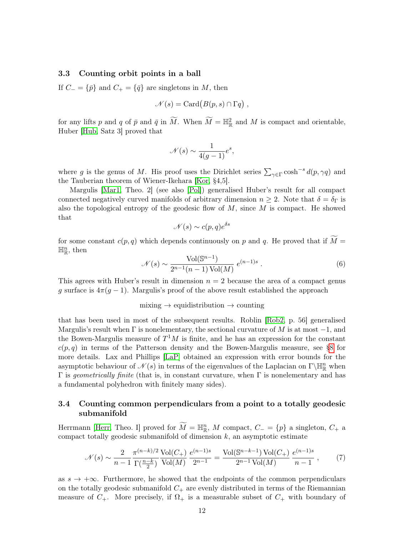#### <span id="page-11-2"></span>3.3 Counting orbit points in a ball

If  $C_ = {\bar{p}}$  and  $C_ + = {\bar{q}}$  are singletons in M, then

$$
\mathcal{N}(s) = \mathrm{Card}(B(p,s) \cap \Gamma q) ,
$$

for any lifts p and q of  $\bar{p}$  and  $\bar{q}$  in  $\widetilde{M}$ . When  $\widetilde{M} = \mathbb{H}^2_{\mathbb{R}}$  and M is compact and orientable, Huber [\[Hub,](#page-40-0) Satz 3] proved that

$$
\mathcal{N}(s) \sim \frac{1}{4(g-1)}e^s,
$$

where g is the genus of M. His proof uses the Dirichlet series  $\sum_{\gamma \in \Gamma} \cosh^{-s} d(p, \gamma q)$  and the Tauberian theorem of Wiener-Ikehara [\[Kor,](#page-41-2) §4,5].

Margulis [\[Mar1,](#page-41-0) Theo. 2] (see also [\[Pol\]](#page-42-11)) generalised Huber's result for all compact connected negatively curved manifolds of arbitrary dimension  $n \geq 2$ . Note that  $\delta = \delta_{\Gamma}$  is also the topological entropy of the geodesic flow of  $M$ , since  $M$  is compact. He showed that

$$
\mathcal{N}(s) \sim c(p,q)e^{\delta s}
$$

for some constant  $c(p, q)$  which depends continuously on p and q. He proved that if  $\widetilde{M}$  =  $\mathbb{H}^n_{\mathbb{R}}$ , then

$$
\mathcal{N}(s) \sim \frac{\text{Vol}(\mathbb{S}^{n-1})}{2^{n-1}(n-1)\,\text{Vol}(M)}\,e^{(n-1)s} \,. \tag{6}
$$

This agrees with Huber's result in dimension  $n = 2$  because the area of a compact genus g surface is  $4\pi(q-1)$ . Margulis's proof of the above result established the approach

### mixing  $\rightarrow$  equidistribution  $\rightarrow$  counting

that has been used in most of the subsequent results. Roblin [\[Rob2,](#page-42-8) p. 56] generalised Margulis's result when  $\Gamma$  is nonelementary, the sectional curvature of M is at most  $-1$ , and the Bowen-Margulis measure of  $T^1M$  is finite, and he has an expression for the constant  $c(p, q)$  in terms of the Patterson density and the Bowen-Margulis measure, see [§8](#page-32-0) for more details. Lax and Phillips [\[LaP\]](#page-41-3) obtained an expression with error bounds for the asymptotic behaviour of  $\mathcal{N}(s)$  in terms of the eigenvalues of the Laplacian on  $\Gamma\backslash\mathbb{H}^n_{\mathbb{R}}$  when Γ is *geometrically finite* (that is, in constant curvature, when Γ is nonelementary and has a fundamental polyhedron with finitely many sides).

# <span id="page-11-1"></span>3.4 Counting common perpendiculars from a point to a totally geodesic submanifold

Herrmann [\[Herr,](#page-40-1) Theo. I] proved for  $\widetilde{M} = \mathbb{H}_{\mathbb{R}}^n$ , M compact,  $C_{-} = \{p\}$  a singleton,  $C_{+}$  a compact totally geodesic submanifold of dimension  $k$ , an asymptotic estimate

<span id="page-11-0"></span>
$$
\mathcal{N}(s) \sim \frac{2}{n-1} \frac{\pi^{(n-k)/2}}{\Gamma(\frac{n-k}{2})} \frac{\text{Vol}(C_+)}{\text{Vol}(M)} \frac{e^{(n-1)s}}{2^{n-1}} = \frac{\text{Vol}(\mathbb{S}^{n-k-1}) \text{Vol}(C_+)}{2^{n-1} \text{Vol}(M)} \frac{e^{(n-1)s}}{n-1},\tag{7}
$$

as  $s \to +\infty$ . Furthermore, he showed that the endpoints of the common perpendiculars on the totally geodesic submanifold  $C_+$  are evenly distributed in terms of the Riemannian measure of  $C_+$ . More precisely, if  $\Omega_+$  is a measurable subset of  $C_+$  with boundary of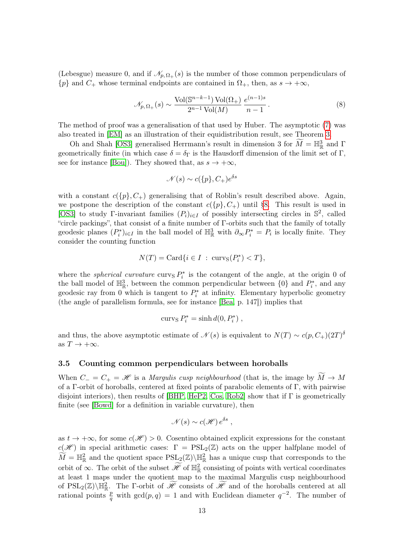(Lebesgue) measure 0, and if  $\mathcal{N}_{p,\Omega_{+}}(s)$  is the number of those common perpendiculars of  ${p}$  and  $C_+$  whose terminal endpoints are contained in  $\Omega_+$ , then, as  $s \to +\infty$ ,

<span id="page-12-0"></span>
$$
\mathcal{N}_{p,\Omega_{+}}(s) \sim \frac{\text{Vol}(\mathbb{S}^{n-k-1})\text{Vol}(\Omega_{+})}{2^{n-1}\text{Vol}(M)}\frac{e^{(n-1)s}}{n-1}.
$$
\n(8)

The method of proof was a generalisation of that used by Huber. The asymptotic [\(7\)](#page-11-0) was also treated in [\[EM\]](#page-40-2) as an illustration of their equidistribution result, see Theorem [3.](#page-15-1)

Oh and Shah [\[OS3\]](#page-41-4) generalised Herrmann's result in dimension 3 for  $\widetilde{M} = \mathbb{H}^3_{\mathbb{R}}$  and  $\Gamma$ geometrically finite (in which case  $\delta = \delta_{\Gamma}$  is the Hausdorff dimension of the limit set of Γ, see for instance [\[Bou\]](#page-39-10)). They showed that, as  $s \to +\infty$ ,

$$
\mathcal{N}(s) \sim c({p}, C_+)e^{\delta s}
$$

with a constant  $c({p}, C_+)$  generalising that of Roblin's result described above. Again, we postpone the description of the constant  $c({p}, {C_+})$  until [§8.](#page-32-0) This result is used in [\[OS3\]](#page-41-4) to study Γ-invariant families  $(P_i)_{i\in I}$  of possibly intersecting circles in  $\mathbb{S}^2$ , called "circle packings", that consist of a finite number of Γ-orbits such that the family of totally geodesic planes  $(P_i^*)_{i\in I}$  in the ball model of  $\mathbb{H}^3_{\mathbb{R}}$  with  $\partial_\infty P_i^* = P_i$  is locally finite. They consider the counting function

$$
N(T) = \text{Card}\{i \in I \; : \; \text{curv}_S(P_i^*) < T\},
$$

where the *spherical curvature* curv<sub>S</sub>  $P_i^*$  is the cotangent of the angle, at the origin 0 of the ball model of  $\mathbb{H}^3_{\mathbb{R}}$ , between the common perpendicular between  $\{0\}$  and  $P_i^*$ , and any geodesic ray from 0 which is tangent to  $P_i^*$  at infinity. Elementary hyperbolic geometry (the angle of parallelism formula, see for instance [\[Bea,](#page-39-11) p. 147]) implies that

$$
curv_S P_i^* = \sinh d(0, P_i^*) ,
$$

and thus, the above asymptotic estimate of  $\mathcal{N}(s)$  is equivalent to  $N(T) \sim c(p, C_{+})(2T)^{\delta}$ as  $T \to +\infty$ .

#### <span id="page-12-1"></span>3.5 Counting common perpendiculars between horoballs

When  $C_ - = C_ + = \mathcal{H}$  is a *Margulis cusp neighbourhood* (that is, the image by  $\widetilde{M} \to M$ of a Γ-orbit of horoballs, centered at fixed points of parabolic elements of Γ, with pairwise disjoint interiors), then results of  $|BHP, HeP2, Cos, Rob2|$  $|BHP, HeP2, Cos, Rob2|$  $|BHP, HeP2, Cos, Rob2|$  $|BHP, HeP2, Cos, Rob2|$  show that if  $\Gamma$  is geometrically finite (see [\[Bowd\]](#page-39-4) for a definition in variable curvature), then

$$
\mathcal{N}(s) \sim c(\mathcal{H}) e^{\delta s} ,
$$

as  $t \to +\infty$ , for some  $c(\mathcal{H}) > 0$ . Cosentino obtained explicit expressions for the constant  $c(\mathscr{H})$  in special arithmetic cases:  $\Gamma = \text{PSL}_2(\mathbb{Z})$  acts on the upper halfplane model of  $\widetilde{M} = \mathbb{H}^2_{\mathbb{R}}$  and the quotient space  $\text{PSL}_2(\mathbb{Z})\backslash \mathbb{H}^2_{\mathbb{R}}$  has a unique cusp that corresponds to the orbit of  $\infty$ . The orbit of the subset  $\widetilde{\mathscr{H}}$  of  $\mathbb{H}^2_{\mathbb{R}}$  consisting of points with vertical coordinates at least 1 maps under the quotient map to the maximal Margulis cusp neighbourhood of  $PSL_2(\mathbb{Z})\backslash \mathbb{H}^2_{\mathbb{R}}$ . The *Γ*-orbit of  $\widetilde{\mathscr{H}}$  consists of  $\widetilde{\mathscr{H}}$  and of the horoballs centered at all rational points  $\frac{p}{q}$  with  $gcd(p, q) = 1$  and with Euclidean diameter  $q^{-2}$ . The number of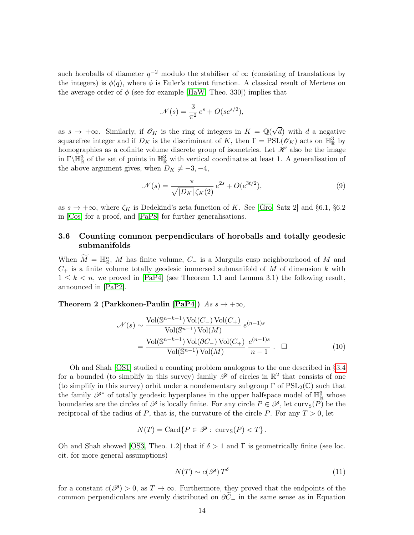such horoballs of diameter  $q^{-2}$  modulo the stabiliser of  $\infty$  (consisting of translations by the integers) is  $\phi(q)$ , where  $\phi$  is Euler's totient function. A classical result of Mertens on the average order of  $\phi$  (see for example [\[HaW,](#page-40-13) Theo. 330]) implies that

$$
\mathcal{N}(s) = \frac{3}{\pi^2} e^s + O(se^{s/2}),
$$

as  $s \to +\infty$ . Similarly, if  $\mathscr{O}_K$  is the ring of integers in  $K = \mathbb{Q}(\sqrt{2\pi})$ d) with  $d$  a negative squarefree integer and if  $D_K$  is the discriminant of K, then  $\Gamma = \text{PSL}(\mathscr{O}_K)$  acts on  $\mathbb{H}^3_{\mathbb{R}}$  by homographies as a cofinite volume discrete group of isometries. Let  $\mathscr H$  also be the image in  $\Gamma\backslash\mathbb{H}^3_{\mathbb{R}}$  of the set of points in  $\mathbb{H}^3_{\mathbb{R}}$  with vertical coordinates at least 1. A generalisation of the above argument gives, when  $D_K \neq -3, -4,$ 

<span id="page-13-3"></span>
$$
\mathcal{N}(s) = \frac{\pi}{\sqrt{|D_K|} \,\zeta_K(2)} \, e^{2s} + O(e^{3t/2}),\tag{9}
$$

as  $s \to +\infty$ , where  $\zeta_K$  is Dedekind's zeta function of K. See [\[Gro,](#page-40-14) Satz 2] and §6.1, §6.2 in [\[Cos\]](#page-39-13) for a proof, and [\[PaP8\]](#page-42-12) for further generalisations.

# <span id="page-13-2"></span>3.6 Counting common perpendiculars of horoballs and totally geodesic submanifolds

When  $\widetilde{M} = \mathbb{H}_{\mathbb{R}}^n$ , M has finite volume,  $C_{-}$  is a Margulis cusp neighbourhood of M and  $C_{+}$  is a finite volume totally geodesic immersed submanifold of M of dimension k with  $1 \leq k \leq n$ , we proved in [\[PaP4\]](#page-42-1) (see Theorem 1.1 and Lemma 3.1) the following result, announced in [\[PaP2\]](#page-42-13).

### Theorem 2 (Parkkonen-Paulin [\[PaP4\]](#page-42-1))  $As s \rightarrow +\infty$ ,

$$
\mathcal{N}(s) \sim \frac{\text{Vol}(\mathbb{S}^{n-k-1}) \text{Vol}(C_-) \text{Vol}(C_+)}{\text{Vol}(\mathbb{S}^{n-1}) \text{Vol}(M)} e^{(n-1)s}
$$

$$
= \frac{\text{Vol}(\mathbb{S}^{n-k-1}) \text{Vol}(\partial C_-) \text{Vol}(C_+)}{\text{Vol}(\mathbb{S}^{n-1}) \text{Vol}(M)} \frac{e^{(n-1)s}}{n-1} . \quad \Box
$$
(10)

Oh and Shah [\[OS1\]](#page-41-5) studied a counting problem analogous to the one described in [§3.4](#page-11-1) for a bounded (to simplify in this survey) family  $\mathscr P$  of circles in  $\mathbb R^2$  that consists of one (to simplify in this survey) orbit under a nonelementary subgroup  $\Gamma$  of  $PSL_2(\mathbb{C})$  such that the family  $\mathscr{P}^*$  of totally geodesic hyperplanes in the upper halfspace model of  $\mathbb{H}^3_{\mathbb{R}}$  whose boundaries are the circles of  $\mathscr P$  is locally finite. For any circle  $P \in \mathscr P$ , let curv<sub>S</sub> $(P)$  be the reciprocal of the radius of P, that is, the curvature of the circle P. For any  $T > 0$ , let

$$
N(T) = \text{Card}\{P \in \mathscr{P} : \text{curv}_{S}(P) < T\}.
$$

Oh and Shah showed [\[OS3,](#page-41-4) Theo. 1.2] that if  $\delta > 1$  and  $\Gamma$  is geometrically finite (see loc. cit. for more general assumptions)

<span id="page-13-1"></span><span id="page-13-0"></span>
$$
N(T) \sim c(\mathscr{P}) T^{\delta} \tag{11}
$$

for a constant  $c(\mathscr{P}) > 0$ , as  $T \to \infty$ . Furthermore, they proved that the endpoints of the common perpendiculars are evenly distributed on  $\partial \tilde{C}_-$  in the same sense as in Equation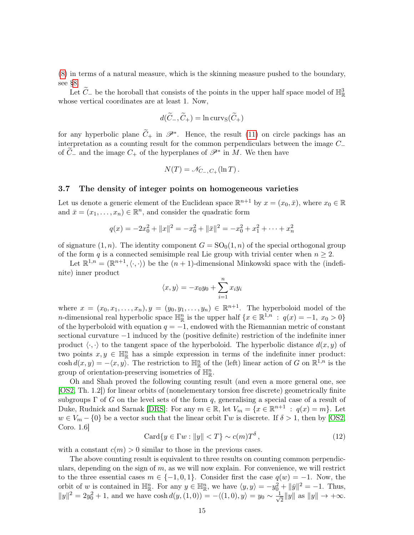[\(8\)](#page-12-0) in terms of a natural measure, which is the skinning measure pushed to the boundary, see [§8.](#page-32-0)

Let  $\widetilde{C}_{-}$  be the horoball that consists of the points in the upper half space model of  $\mathbb{H}^3_{\mathbb{R}}$ whose vertical coordinates are at least 1. Now,

$$
d(\widetilde{C}_-,\widetilde{C}_+) = \ln \mathrm{curv}_\mathrm{S}(\widetilde{C}_+)
$$

for any hyperbolic plane  $\widetilde{C}_+$  in  $\mathscr{P}^*$ . Hence, the result [\(11\)](#page-13-0) on circle packings has an interpretation as a counting result for the common perpendiculars between the image C<sup>−</sup> of  $\widetilde{C}_-$  and the image  $C_+$  of the hyperplanes of  $\mathscr{P}^*$  in M. We then have

$$
N(T) = \mathcal{N}_{C_{-},C_{+}}(\ln T).
$$

#### <span id="page-14-1"></span>3.7 The density of integer points on homogeneous varieties

Let us denote a generic element of the Euclidean space  $\mathbb{R}^{n+1}$  by  $x = (x_0, \bar{x})$ , where  $x_0 \in \mathbb{R}$ and  $\bar{x} = (x_1, \ldots, x_n) \in \mathbb{R}^n$ , and consider the quadratic form

$$
q(x) = -2x_0^2 + ||x||^2 = -x_0^2 + ||\bar{x}||^2 = -x_0^2 + x_1^2 + \dots + x_n^2
$$

of signature  $(1, n)$ . The identity component  $G = SO<sub>0</sub>(1, n)$  of the special orthogonal group of the form q is a connected semisimple real Lie group with trivial center when  $n \geq 2$ .

Let  $\mathbb{R}^{1,n} = (\mathbb{R}^{n+1}, \langle \cdot, \cdot \rangle)$  be the  $(n+1)$ -dimensional Minkowski space with the (indefinite) inner product

$$
\langle x, y \rangle = -x_0 y_0 + \sum_{i=1}^n x_i y_i
$$

where  $x = (x_0, x_1, \ldots, x_n), y = (y_0, y_1, \ldots, y_n) \in \mathbb{R}^{n+1}$ . The hyperboloid model of the *n*-dimensional real hyperbolic space  $\mathbb{H}^n_{\mathbb{R}}$  is the upper half  $\{x \in \mathbb{R}^{1,n} : q(x) = -1, x_0 > 0\}$ of the hyperboloid with equation  $q = -1$ , endowed with the Riemannian metric of constant sectional curvature −1 induced by the (positive definite) restriction of the indefinite inner product  $\langle \cdot, \cdot \rangle$  to the tangent space of the hyperboloid. The hyperbolic distance  $d(x, y)$  of two points  $x, y \in \mathbb{H}_{\mathbb{R}}^n$  has a simple expression in terms of the indefinite inner product: cosh  $d(x, y) = -\langle x, y \rangle$ . The restriction to  $\mathbb{H}^n_{\mathbb{R}}$  of the (left) linear action of G on  $\mathbb{R}^{1,n}$  is the group of orientation-preserving isometries of  $\mathbb{H}_{\mathbb{R}}^n$ .

Oh and Shah proved the following counting result (and even a more general one, see [\[OS2,](#page-41-6) Th. 1.2]) for linear orbits of (nonelementary torsion free discrete) geometrically finite subgroups  $\Gamma$  of G on the level sets of the form q, generalising a special case of a result of Duke, Rudnick and Sarnak [\[DRS\]](#page-39-14): For any  $m \in \mathbb{R}$ , let  $V_m = \{x \in \mathbb{R}^{n+1} : q(x) = m\}$ . Let  $w \in V_m - \{0\}$  be a vector such that the linear orbit  $\Gamma w$  is discrete. If  $\delta > 1$ , then by [\[OS2,](#page-41-6) Coro. 1.6]

<span id="page-14-0"></span>
$$
Card\{y \in \Gamma w : ||y|| < T\} \sim c(m)T^{\delta},\tag{12}
$$

with a constant  $c(m) > 0$  similar to those in the previous cases.

The above counting result is equivalent to three results on counting common perpendiculars, depending on the sign of  $m$ , as we will now explain. For convenience, we will restrict to the three essential cases  $m \in \{-1,0,1\}$ . Consider first the case  $q(w) = -1$ . Now, the orbit of w is contained in  $\mathbb{H}_{\mathbb{R}}^n$ . For any  $y \in \mathbb{H}_{\mathbb{R}}^n$ , we have  $\langle y, y \rangle = -y_0^2 + ||\bar{y}||^2 = -1$ . Thus,  $||y||^2 = 2y_0^2 + 1$ , and we have  $\cosh d(y,(1,0)) = -\langle (1,0), y \rangle = y_0 \sim \frac{1}{\sqrt{2}}$  $\frac{1}{2}||y||$  as  $||y|| \rightarrow +\infty$ .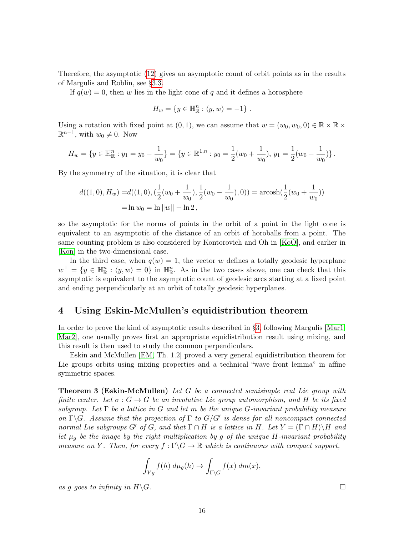Therefore, the asymptotic [\(12\)](#page-14-0) gives an asymptotic count of orbit points as in the results of Margulis and Roblin, see [§3.3.](#page-11-2)

If  $q(w) = 0$ , then w lies in the light cone of q and it defines a horosphere

$$
H_w = \{ y \in \mathbb{H}_{\mathbb{R}}^n : \langle y, w \rangle = -1 \}.
$$

Using a rotation with fixed point at  $(0, 1)$ , we can assume that  $w = (w_0, w_0, 0) \in \mathbb{R} \times \mathbb{R} \times$  $\mathbb{R}^{n-1}$ , with  $w_0 \neq 0$ . Now

$$
H_w = \{ y \in \mathbb{H}_{\mathbb{R}}^n : y_1 = y_0 - \frac{1}{w_0} \} = \{ y \in \mathbb{R}^{1,n} : y_0 = \frac{1}{2}(w_0 + \frac{1}{w_0}), y_1 = \frac{1}{2}(w_0 - \frac{1}{w_0}) \}.
$$

By the symmetry of the situation, it is clear that

$$
d((1,0),H_w) = d((1,0),(\frac{1}{2}(w_0 + \frac{1}{w_0}), \frac{1}{2}(w_0 - \frac{1}{w_0}),0)) = \operatorname{arcosh}(\frac{1}{2}(w_0 + \frac{1}{w_0}))
$$
  
=  $\ln w_0 = \ln ||w|| - \ln 2$ ,

so the asymptotic for the norms of points in the orbit of a point in the light cone is equivalent to an asymptotic of the distance of an orbit of horoballs from a point. The same counting problem is also considered by Kontorovich and Oh in [\[KoO\]](#page-41-7), and earlier in [\[Kon\]](#page-41-8) in the two-dimensional case.

In the third case, when  $q(w) = 1$ , the vector w defines a totally geodesic hyperplane  $w^{\perp} = \{y \in \mathbb{H}_{\mathbb{R}}^n : \langle y, w \rangle = 0\}$  in  $\mathbb{H}_{\mathbb{R}}^n$ . As in the two cases above, one can check that this asymptotic is equivalent to the asymptotic count of geodesic arcs starting at a fixed point and ending perpendicularly at an orbit of totally geodesic hyperplanes.

# <span id="page-15-0"></span>4 Using Eskin-McMullen's equidistribution theorem

In order to prove the kind of asymptotic results described in [§3,](#page-8-1) following Margulis [\[Mar1,](#page-41-0) [Mar2\]](#page-41-9), one usually proves first an appropriate equidistribution result using mixing, and this result is then used to study the common perpendiculars.

Eskin and McMullen [\[EM,](#page-40-2) Th. 1.2] proved a very general equidistribution theorem for Lie groups orbits using mixing properties and a technical "wave front lemma" in affine symmetric spaces.

<span id="page-15-1"></span>Theorem 3 (Eskin-McMullen) Let G be a connected semisimple real Lie group with finite center. Let  $\sigma : G \to G$  be an involutive Lie group automorphism, and H be its fixed subgroup. Let  $\Gamma$  be a lattice in G and let m be the unique G-invariant probability measure on  $\Gamma \backslash G$ . Assume that the projection of  $\Gamma$  to  $G/G'$  is dense for all noncompact connected normal Lie subgroups G' of G, and that  $\Gamma \cap H$  is a lattice in H. Let  $Y = (\Gamma \cap H) \backslash H$  and let  $\mu_g$  be the image by the right multiplication by g of the unique H-invariant probability measure on Y. Then, for every  $f : \Gamma \backslash G \to \mathbb{R}$  which is continuous with compact support,

$$
\int_{Yg} f(h) \, d\mu_g(h) \to \int_{\Gamma \backslash G} f(x) \, dm(x),
$$

as g goes to infinity in  $H\backslash G$ .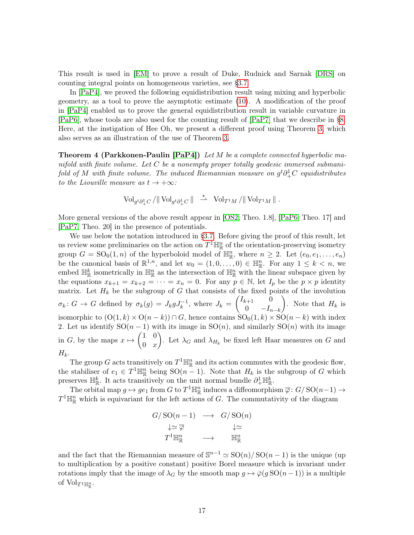This result is used in [\[EM\]](#page-40-2) to prove a result of Duke, Rudnick and Sarnak [\[DRS\]](#page-39-14) on counting integral points on homogeneous varieties, see [§3.7.](#page-14-1)

In [\[PaP4\]](#page-42-1), we proved the following equidistribution result using mixing and hyperbolic geometry, as a tool to prove the asymptotic estimate [\(10\)](#page-13-1). A modification of the proof in [\[PaP4\]](#page-42-1) enabled us to prove the general equidistribution result in variable curvature in [\[PaP6\]](#page-42-4), whose tools are also used for the counting result of [\[PaP7\]](#page-42-5) that we describe in [§8.](#page-32-0) Here, at the instigation of Hee Oh, we present a different proof using Theorem [3,](#page-15-1) which also serves as an illustration of the use of Theorem [3.](#page-15-1)

<span id="page-16-0"></span>Theorem 4 (Parkkonen-Paulin [\[PaP4\]](#page-42-1)) Let M be a complete connected hyperbolic manifold with finite volume. Let  $C$  be a nonempty proper totally geodesic immersed submanifold of M with finite volume. The induced Riemannian measure on  $g^t\partial^1_+C$  equidistributes to the Liouville measure as  $t \to +\infty$ :

$$
\operatorname{Vol}_{g^t \partial^1_+ C}/\|\operatorname{Vol}_{g^t \partial^1_+ C}\| \ \stackrel{*}{\rightharpoonup} \ \operatorname{Vol}_{T^1 M}/\|\operatorname{Vol}_{T^1 M}\| \ .
$$

More general versions of the above result appear in [\[OS2,](#page-41-6) Theo. 1.8], [\[PaP6,](#page-42-4) Theo. 17] and [\[PaP7,](#page-42-5) Theo. 20] in the presence of potentials.

We use below the notation introduced in [§3.7.](#page-14-1) Before giving the proof of this result, let us review some preliminaries on the action on  $T^1\mathbb{H}^n_{\mathbb{R}}$  of the orientation-preserving isometry group  $G = SO_0(1,n)$  of the hyperboloid model of  $\mathbb{H}^n_{\mathbb{R}}$ , where  $n \geq 2$ . Let  $(e_0, e_1, \ldots, e_n)$ be the canonical basis of  $\mathbb{R}^{1,n}$ , and let  $w_0 = (1,0,\ldots,0) \in \mathbb{H}_{\mathbb{R}}^n$ . For any  $1 \leq k < n$ , we embed  $\mathbb{H}^k_{\mathbb{R}}$  isometrically in  $\mathbb{H}^n_{\mathbb{R}}$  as the intersection of  $\mathbb{H}^n_{\mathbb{R}}$  with the linear subspace given by the equations  $x_{k+1} = x_{k+2} = \cdots = x_n = 0$ . For any  $p \in \mathbb{N}$ , let  $I_p$  be the  $p \times p$  identity matrix. Let  $H_k$  be the subgroup of G that consists of the fixed points of the involution  $\sigma_k: G \to G$  defined by  $\sigma_k(g) = J_k g J_k^{-1}$ , where  $J_k = \begin{pmatrix} I_{k+1} & 0 \\ 0 & -I_k \end{pmatrix}$ 0  $-I_{n-k}$ ). Note that  $H_k$  is isomorphic to  $(O(1, k) \times O(n - k)) \cap G$ , hence contains  $SO_0(1, k) \times SO(n - k)$  with index 2. Let us identify  $SO(n-1)$  with its image in  $SO(n)$ , and similarly  $SO(n)$  with its image in G, by the maps  $x \mapsto \begin{pmatrix} 1 & 0 \\ 0 & x \end{pmatrix}$  $0\quad x$ ). Let  $\lambda_G$  and  $\lambda_{H_k}$  be fixed left Haar measures on G and  $H_k$ .

The group G acts transitively on  $T^1\mathbb{H}^n_{\mathbb{R}}$  and its action commutes with the geodesic flow, the stabiliser of  $e_1 \in T^1 \mathbb{H}_{\mathbb{R}}^n$  being  $\text{SO}(n-1)$ . Note that  $H_k$  is the subgroup of G which preserves  $\mathbb{H}_{\mathbb{R}}^k$ . It acts transitively on the unit normal bundle  $\partial^1_+\mathbb{H}_{\mathbb{R}}^k$ .

The orbital map  $g \mapsto ge_1$  from G to  $T^1 \mathbb{H}^n_{\mathbb{R}}$  induces a diffeomorphism  $\overline{\varphi}$ :  $G/\mathrm{SO}(n-1) \to$  $T^1\mathbb{H}^n_{\mathbb{R}}$  which is equivariant for the left actions of G. The commutativity of the diagram

$$
G/\operatorname{SO}(n-1) \longrightarrow G/\operatorname{SO}(n)
$$
  
\n
$$
\downarrow \simeq \overline{\varphi} \qquad \qquad \downarrow \simeq
$$
  
\n
$$
T^{1}\mathbb{H}_{\mathbb{R}}^{n} \longrightarrow \qquad \mathbb{H}_{\mathbb{R}}^{n}
$$

and the fact that the Riemannian measure of  $\mathbb{S}^{n-1} \simeq SO(n)/SO(n-1)$  is the unique (up to multiplication by a positive constant) positive Borel measure which is invariant under rotations imply that the image of  $\lambda_G$  by the smooth map  $g \mapsto \overline{\varphi}(g\,SO(n-1))$  is a multiple of  $\mathrm{Vol}_{T^1 \mathbb{H}^n_{\mathbb{R}}}$ .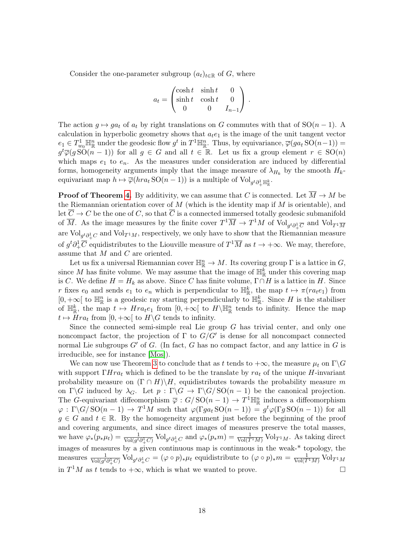Consider the one-parameter subgroup  $(a_t)_{t\in\mathbb{R}}$  of G, where

$$
a_t = \begin{pmatrix} \cosh t & \sinh t & 0 \\ \sinh t & \cosh t & 0 \\ 0 & 0 & I_{n-1} \end{pmatrix}.
$$

The action  $g \mapsto ga_t$  of  $a_t$  by right translations on G commutes with that of SO $(n-1)$ . A calculation in hyperbolic geometry shows that  $a_t e_1$  is the image of the unit tangent vector  $e_1 \in T_{w_0}^1 \mathbb{H}^n_{\mathbb{R}}$  under the geodesic flow  $g^t$  in  $T^1 \mathbb{H}^n_{\mathbb{R}}$ . Thus, by equivariance,  $\overline{\varphi}(ga_t \text{SO}(n-1)) =$  $g^t\overline{\varphi}(g\widetilde{SO}(n-1))$  for all  $g\in G$  and all  $t\in\mathbb{R}$ . Let us fix a group element  $r\in\mathrm{SO}(n)$ which maps  $e_1$  to  $e_n$ . As the measures under consideration are induced by differential forms, homogeneity arguments imply that the image measure of  $\lambda_{H_k}$  by the smooth  $H_k$ equivariant map  $h \mapsto \overline{\varphi}(hra_t\operatorname{SO}(n-1))$  is a multiple of  $\operatorname{Vol}_{g^t \partial^1_+\mathbb{H}^k_\mathbb{R}}$ .

**Proof of Theorem [4.](#page-16-0)** By additivity, we can assume that C is connected. Let  $\overline{M} \to M$  be the Riemannian orientation cover of  $M$  (which is the identity map if  $M$  is orientable), and let  $\overline{C} \to C$  be the one of C, so that  $\overline{C}$  is a connected immersed totally geodesic submanifold of  $\overline{M}$ . As the image measures by the finite cover  $T^1\overline{M} \to T^1M$  of  $Vol_{g^t \partial^1_+\overline{C}}$  and  $Vol_{T^1\overline{M}}$ are  $\text{Vol}_{g^t \partial^1_+ C}$  and  $\text{Vol}_{T^1 M}$ , respectively, we only have to show that the Riemannian measure of  $g^t \partial^1_+ \overline{C}$  equidistributes to the Liouville measure of  $T^1\overline{M}$  as  $t \to +\infty$ . We may, therefore, assume that M and C are oriented.

Let us fix a universal Riemannian cover  $\mathbb{H}^n_{\mathbb{R}} \to M$ . Its covering group  $\Gamma$  is a lattice in  $G$ , since M has finite volume. We may assume that the image of  $\mathbb{H}_{\mathbb{R}}^k$  under this covering map is C. We define  $H = H_k$  as above. Since C has finite volume,  $\Gamma \cap H$  is a lattice in H. Since r fixes  $e_0$  and sends  $e_1$  to  $e_n$  which is perpendicular to  $\mathbb{H}_{\mathbb{R}}^k$ , the map  $t \mapsto \pi(r_{i}e_1)$  from [0, +∞[ to  $\mathbb{H}^n_{\mathbb{R}}$  is a geodesic ray starting perpendicularly to  $\mathbb{H}^k_{\mathbb{R}}$ . Since H is the stabiliser of  $\mathbb{H}_{\mathbb{R}}^k$ , the map  $t \mapsto Hra_te_1$  from  $[0, +\infty[$  to  $H\backslash\mathbb{H}_{\mathbb{R}}^n$  tends to infinity. Hence the map  $t \mapsto Hra_t$  from  $[0, +\infty[$  to  $H\backslash G$  tends to infinity.

Since the connected semi-simple real Lie group  $G$  has trivial center, and only one noncompact factor, the projection of  $\Gamma$  to  $G/G'$  is dense for all noncompact connected normal Lie subgroups  $G'$  of G. (In fact, G has no compact factor, and any lattice in G is irreducible, see for instance [\[Mos\]](#page-41-10)).

We can now use Theorem [3](#page-15-1) to conclude that as t tends to  $+\infty$ , the measure  $\mu_t$  on  $\Gamma \backslash G$ with support  $\Gamma Hra_t$  which is defined to be the translate by  $ra_t$  of the unique H-invariant probability measure on  $(\Gamma \cap H)\backslash H$ , equidistributes towards the probability measure m on  $\Gamma \backslash G$  induced by  $\lambda_G$ . Let  $p : \Gamma \backslash G \to \Gamma \backslash G / \mathrm{SO}(n-1)$  be the canonical projection. The G-equivariant diffeomorphism  $\overline{\varphi}: G/\mathrm{SO}(n-1) \to T^1 \mathbb{H}_{\mathbb{R}}^n$  induces a diffeomorphism  $\varphi : \Gamma \backslash G / \mathrm{SO}(n-1) \to T^1M$  such that  $\varphi(\Gamma ga_t \mathrm{SO}(n-1)) = g^t \varphi(\Gamma g \mathrm{SO}(n-1))$  for all  $g \in G$  and  $t \in \mathbb{R}$ . By the homogeneity argument just before the beginning of the proof and covering arguments, and since direct images of measures preserve the total masses, we have  $\varphi_*(p_*\mu_t) = \frac{1}{\text{Vol}(g^t \partial_+^1 C)} \text{Vol}_{g^t \partial_+^1 C}$  and  $\varphi_*(p_*m) = \frac{1}{\text{Vol}(T^1 M)} \text{Vol}_{T^1 M}$ . As taking direct images of measures by a given continuous map is continuous in the weak-\* topology, the measures  $\frac{1}{\text{Vol}(g^t \partial^1_+ C)} \text{Vol}_{g^t \partial^1_+ C} = (\varphi \circ p)_* \mu_t$  equidistribute to  $(\varphi \circ p)_* m = \frac{1}{\text{Vol}(T^1 M)} \text{Vol}_{T^1 M}$ in  $T^1M$  as t tends to  $+\infty$ , which is what we wanted to prove.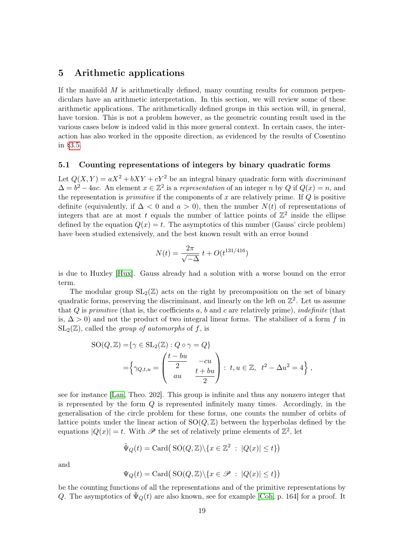# <span id="page-18-0"></span>5 Arithmetic applications

If the manifold  $M$  is arithmetically defined, many counting results for common perpendiculars have an arithmetic interpretation. In this section, we will review some of these arithmetic applications. The arithmetically defined groups in this section will, in general, have torsion. This is not a problem however, as the geometric counting result used in the various cases below is indeed valid in this more general context. In certain cases, the interaction has also worked in the opposite direction, as evidenced by the results of Cosentino in [§3.5.](#page-12-1)

#### <span id="page-18-1"></span>5.1 Counting representations of integers by binary quadratic forms

Let  $Q(X, Y) = aX^2 + bXY + cY^2$  be an integral binary quadratic form with *discriminant*  $\Delta = b^2 - 4ac$ . An element  $x \in \mathbb{Z}^2$  is a representation of an integer n by Q if  $Q(x) = n$ , and the representation is *primitive* if the components of  $x$  are relatively prime. If  $Q$  is positive definite (equivalently, if  $\Delta < 0$  and  $a > 0$ ), then the number  $N(t)$  of representations of integers that are at most t equals the number of lattice points of  $\mathbb{Z}^2$  inside the ellipse defined by the equation  $Q(x) = t$ . The asymptotics of this number (Gauss' circle problem) have been studied extensively, and the best known result with an error bound

$$
N(t) = \frac{2\pi}{\sqrt{-\Delta}} t + O(t^{131/416})
$$

is due to Huxley [\[Hux\]](#page-40-15). Gauss already had a solution with a worse bound on the error term.

The modular group  $SL_2(\mathbb{Z})$  acts on the right by precomposition on the set of binary quadratic forms, preserving the discriminant, and linearly on the left on  $\mathbb{Z}^2$ . Let us assume that  $Q$  is primitive (that is, the coefficients  $a, b$  and  $c$  are relatively prime), indefinite (that is,  $\Delta > 0$  and not the product of two integral linear forms. The stabiliser of a form f in  $SL_2(\mathbb{Z})$ , called the group of automorphs of f, is

$$
SO(Q, \mathbb{Z}) = \{ \gamma \in SL_2(\mathbb{Z}) : Q \circ \gamma = Q \}
$$
  
= 
$$
\left\{ \gamma_{Q,t,u} = \begin{pmatrix} \frac{t - bu}{2} & -cu \\ au & \frac{t + bu}{2} \end{pmatrix} : t, u \in \mathbb{Z}, t^2 - \Delta u^2 = 4 \right\},
$$

see for instance [\[Lan,](#page-41-11) Theo. 202]. This group is infinite and thus any nonzero integer that is represented by the form  $Q$  is represented infinitely many times. Accordingly, in the generalisation of the circle problem for these forms, one counts the number of orbits of lattice points under the linear action of  $SO(Q, \mathbb{Z})$  between the hyperbolas defined by the equations  $|Q(x)| = t$ . With  $\mathscr P$  the set of relatively prime elements of  $\mathbb{Z}^2$ , let

$$
\tilde{\Psi}_Q(t) = \text{Card}(\text{SO}(Q,\mathbb{Z})\backslash\{x\in\mathbb{Z}^2 : |Q(x)|\leq t\})
$$

and

$$
\Psi_Q(t) = \mathrm{Card}\big(\operatorname{SO}(Q,{\mathbb Z}) \backslash \{x\in \mathscr{P} \ : \ |Q(x)|\leq t\}\big)
$$

be the counting functions of all the representations and of the primitive representations by Q. The asymptotics of  $\Psi_Q(t)$  are also known, see for example [\[Coh,](#page-39-15) p. 164] for a proof. It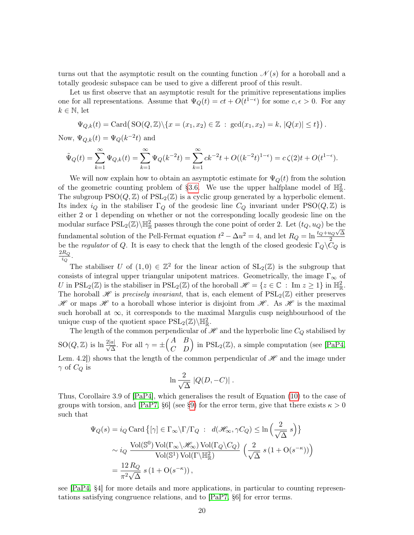turns out that the asymptotic result on the counting function  $\mathcal{N}(s)$  for a horoball and a totally geodesic subspace can be used to give a different proof of this result.

Let us first observe that an asymptotic result for the primitive representations implies one for all representations. Assume that  $\Psi_Q(t) = ct + O(t^{1-\epsilon})$  for some  $c, \epsilon > 0$ . For any  $k \in \mathbb{N}$ , let

$$
\Psi_{Q,k}(t) = \text{Card}(SO(Q,\mathbb{Z})\setminus\{x = (x_1,x_2) \in \mathbb{Z} : \text{gcd}(x_1,x_2) = k, |Q(x)| \le t\}).
$$

Now,  $\Psi_{Q,k}(t) = \Psi_Q(k^{-2}t)$  and

$$
\tilde{\Psi}_Q(t) = \sum_{k=1}^{\infty} \Psi_{Q,k}(t) = \sum_{k=1}^{\infty} \Psi_Q(k^{-2}t) = \sum_{k=1}^{\infty} ck^{-2}t + O((k^{-2}t)^{1-\epsilon}) = c\,\zeta(2)t + O(t^{1-\epsilon}).
$$

We will now explain how to obtain an asymptotic estimate for  $\Psi_{\mathcal{O}}(t)$  from the solution of the geometric counting problem of [§3.6.](#page-13-2) We use the upper halfplane model of  $\mathbb{H}_{\mathbb{R}}^2$ . The subgroup  $PSO(Q, \mathbb{Z})$  of  $PSL_2(\mathbb{Z})$  is a cyclic group generated by a hyperbolic element. Its index  $i_Q$  in the stabiliser  $\Gamma_Q$  of the geodesic line  $C_Q$  invariant under PSO $(Q, \mathbb{Z})$  is either 2 or 1 depending on whether or not the corresponding locally geodesic line on the modular surface  $PSL_2(\mathbb{Z})\backslash \mathbb{H}^2_{\mathbb{R}}$  passes through the cone point of order 2. Let  $(t_Q, u_Q)$  be the fundamental solution of the Pell-Fermat equation  $t^2 - \Delta u^2 = 4$ , and let  $R_Q = \ln \frac{t_Q + u_Q \sqrt{\Delta}}{2}$ 2 be the regulator of Q. It is easy to check that the length of the closed geodesic  $\Gamma_Q\backslash\overline{C}_Q$  is  $\frac{2R_Q}{i_Q}$ .  $i_Q$ 

The stabiliser U of  $(1,0) \in \mathbb{Z}^2$  for the linear action of  $SL_2(\mathbb{Z})$  is the subgroup that consists of integral upper triangular unipotent matrices. Geometrically, the image  $\Gamma_{\infty}$  of U in  $PSL_2(\mathbb{Z})$  is the stabiliser in  $PSL_2(\mathbb{Z})$  of the horoball  $\mathscr{H} = \{z \in \mathbb{C} : \text{Im } z \geq 1\}$  in  $\mathbb{H}_{\mathbb{R}}^2$ . The horoball  $\mathscr H$  is precisely invariant, that is, each element of  $PSL_2(\mathbb Z)$  either preserves  $\mathscr H$  or maps  $\mathscr H$  to a horoball whose interior is disjoint from  $\mathscr H$ . As  $\mathscr H$  is the maximal such horoball at  $\infty$ , it corresponds to the maximal Margulis cusp neighbourhood of the unique cusp of the quotient space  $\text{PSL}_2(\mathbb{Z})\backslash \mathbb{H}^2_{\mathbb{R}}$ .

The length of the common perpendicular of  $\mathcal{H}$  and the hyperbolic line  $C_Q$  stabilised by  $SO(Q, \mathbb{Z})$  is  $\ln \frac{2|a|}{\sqrt{\Delta}}$ . For all  $\gamma = \pm \begin{pmatrix} A & B \\ C & D \end{pmatrix}$  in  $PSL_2(\mathbb{Z})$ , a simple computation (see [\[PaP4,](#page-42-1) Lem. 4.2) shows that the length of the common perpendicular of  $\mathscr H$  and the image under  $\gamma$  of  $C_Q$  is

$$
\ln \frac{2}{\sqrt{\Delta}} |Q(D, -C)| .
$$

Thus, Corollaire 3.9 of [\[PaP4\]](#page-42-1), which generalises the result of Equation [\(10\)](#page-13-1) to the case of groups with torsion, and [\[PaP7,](#page-42-5) §6] (see [§9\)](#page-35-0) for the error term, give that there exists  $\kappa > 0$ such that

$$
\Psi_Q(s) = i_Q \operatorname{Card} \left\{ [\gamma] \in \Gamma_{\infty} \backslash \Gamma / \Gamma_Q : d(\mathscr{H}_{\infty}, \gamma C_Q) \le \ln \left( \frac{2}{\sqrt{\Delta}} s \right) \right\}
$$
  
\$\sim i\_Q \frac{\operatorname{Vol}(\mathbb{S}^0) \operatorname{Vol}(\Gamma\_{\infty} \backslash \mathscr{H}\_{\infty}) \operatorname{Vol}(\Gamma\_Q \backslash C\_Q)}{\operatorname{Vol}(\mathbb{S}^1) \operatorname{Vol}(\Gamma \backslash \mathbb{H}\_{\mathbb{R}}^2)} \left( \frac{2}{\sqrt{\Delta}} s \left( 1 + \operatorname{O}(s^{-\kappa}) \right) \right) \newline = \frac{12 \, R\_Q}{\pi^2 \sqrt{\Delta}} s \left( 1 + \operatorname{O}(s^{-\kappa}) \right), \end{aligned}

see [\[PaP4,](#page-42-1) §4] for more details and more applications, in particular to counting representations satisfying congruence relations, and to [\[PaP7,](#page-42-5) §6] for error terms.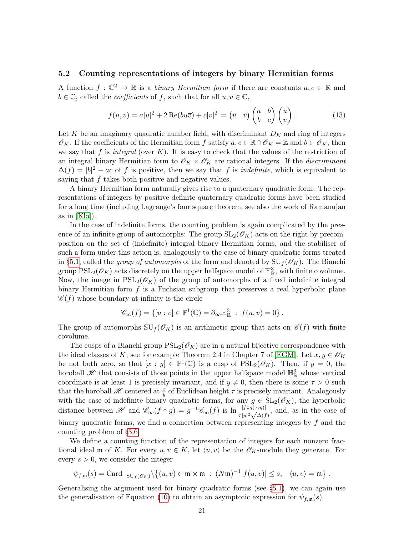#### 5.2 Counting representations of integers by binary Hermitian forms

A function  $f: \mathbb{C}^2 \to \mathbb{R}$  is a *binary Hermitian form* if there are constants  $a, c \in \mathbb{R}$  and  $b \in \mathbb{C}$ , called the *coefficients* of f, such that for all  $u, v \in \mathbb{C}$ ,

<span id="page-20-1"></span>
$$
f(u,v) = a|u|^2 + 2\operatorname{Re}(bu\overline{v}) + c|v|^2 = (\overline{u} \quad \overline{v})\begin{pmatrix} a & b \\ \overline{b} & c \end{pmatrix}\begin{pmatrix} u \\ v \end{pmatrix}.
$$
 (13)

Let K be an imaginary quadratic number field, with discriminant  $D_K$  and ring of integers  $\mathscr{O}_K$ . If the coefficients of the Hermitian form f satisfy  $a, c \in \mathbb{R} \cap \mathscr{O}_K = \mathbb{Z}$  and  $b \in \mathscr{O}_K$ , then we say that f is integral (over  $K$ ). It is easy to check that the values of the restriction of an integral binary Hermitian form to  $\mathscr{O}_K \times \mathscr{O}_K$  are rational integers. If the *discriminant*  $\Delta(f) = |b|^2 - ac$  of f is positive, then we say that f is *indefinite*, which is equivalent to saying that f takes both positive and negative values.

A binary Hermitian form naturally gives rise to a quaternary quadratic form. The representations of integers by positive definite quaternary quadratic forms have been studied for a long time (including Lagrange's four square theorem, see also the work of Ramanujan as in [\[Klo\]](#page-41-12)).

In the case of indefinite forms, the counting problem is again complicated by the presence of an infinite group of automorphs: The group  $SL_2(\mathscr{O}_K)$  acts on the right by precomposition on the set of (indefinite) integral binary Hermitian forms, and the stabiliser of such a form under this action is, analogously to the case of binary quadratic forms treated in [§5.1,](#page-18-1) called the *group of automorphs* of the form and denoted by  $SU_f(\mathscr{O}_K)$ . The Bianchi group  $PSL_2(\mathscr{O}_K)$  acts discretely on the upper halfspace model of  $\mathbb{H}^3_{\mathbb{R}}$ , with finite covolume. Now, the image in  $PSL_2(\mathscr{O}_K)$  of the group of automorphs of a fixed indefinite integral binary Hermitian form  $f$  is a Fuchsian subgroup that preserves a real hyperbolic plane  $\mathscr{C}(f)$  whose boundary at infinity is the circle

$$
\mathscr{C}_{\infty}(f) = \{ [u : v] \in \mathbb{P}^1(\mathbb{C}) = \partial_{\infty} \mathbb{H}^3_{\mathbb{R}} : f(u, v) = 0 \}.
$$

The group of automorphs  $\mathrm{SU}_f(\mathscr{O}_K)$  is an arithmetic group that acts on  $\mathscr{C}(f)$  with finite covolume.

The cusps of a Bianchi group  $PSL_2(\mathscr{O}_K)$  are in a natural bijective correspondence with the ideal classes of K, see for example Theorem 2.4 in Chapter 7 of [\[EGM\]](#page-40-16). Let  $x, y \in \mathscr{O}_K$ be not both zero, so that  $[x : y] \in \mathbb{P}^1(\mathbb{C})$  is a cusp of  $PSL_2(\mathscr{O}_K)$ . Then, if  $y = 0$ , the horoball  $\mathscr H$  that consists of those points in the upper halfspace model  $\mathbb{H}^3_{\mathbb{R}}$  whose vertical coordinate is at least 1 is precisely invariant, and if  $y \neq 0$ , then there is some  $\tau > 0$  such that the horoball  $\mathscr H$  centered at  $\frac{x}{y}$  of Euclidean height  $\tau$  is precisely invariant. Analogously with the case of indefinite binary quadratic forms, for any  $g \in SL_2(\mathscr{O}_K)$ , the hyperbolic distance between H and  $\mathscr{C}_{\infty}(f \circ g) = g^{-1}\mathscr{C}_{\infty}(f)$  is  $\ln \frac{|f \circ g(x,y)|}{\tau |y|^2 \sqrt{\Delta(f)}}$ , and, as in the case of binary quadratic forms, we find a connection between representing integers by  $f$  and the counting problem of [§3.6.](#page-13-2)

We define a counting function of the representation of integers for each nonzero fractional ideal m of K. For every  $u, v \in K$ , let  $\langle u, v \rangle$  be the  $\mathscr{O}_K$ -module they generate. For every  $s > 0$ , we consider the integer

$$
\psi_{f,\mathfrak{m}}(s) = \text{Card}_{\mathrm{SU}_f(\mathscr{O}_K)} \setminus \left\{(u,v) \in \mathfrak{m} \times \mathfrak{m} \ : \ (N\mathfrak{m})^{-1} | f(u,v) | \leq s, \quad \langle u,v \rangle = \mathfrak{m} \right\}.
$$

<span id="page-20-0"></span>Generalising the argument used for binary quadratic forms (see [§5.1\)](#page-18-1), we can again use the generalisation of Equation [\(10\)](#page-13-1) to obtain an asymptotic expression for  $\psi_{f,\mathfrak{m}}(s)$ .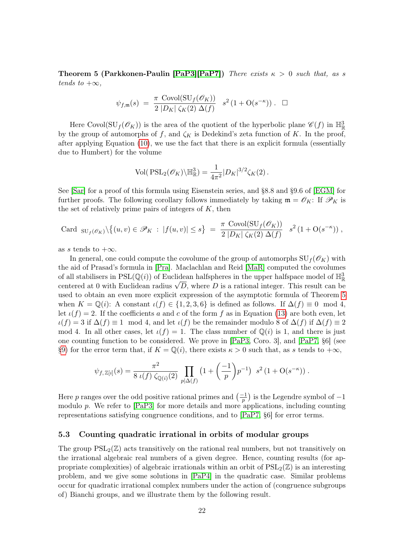**Theorem 5 (Parkkonen-Paulin [\[PaP3\]](#page-42-2)[\[PaP7\]](#page-42-5))** There exists  $\kappa > 0$  such that, as s tends to  $+\infty$ ,

$$
\psi_{f,\mathfrak{m}}(s) = \frac{\pi \operatorname{Covol}(\operatorname{SU}_f(\mathscr{O}_K))}{2|D_K| \zeta_K(2) \Delta(f)} \quad s^2 \left(1 + \mathrm{O}(s^{-\kappa})\right). \quad \Box
$$

Here Covol( $SU_f(\mathscr{O}_K)$ ) is the area of the quotient of the hyperbolic plane  $\mathscr{C}(f)$  in  $\mathbb{H}^3_{\mathbb{R}}$ by the group of automorphs of f, and  $\zeta_K$  is Dedekind's zeta function of K. In the proof, after applying Equation [\(10\)](#page-13-1), we use the fact that there is an explicit formula (essentially due to Humbert) for the volume

$$
Vol(PSL_2(\mathscr{O}_K)\backslash \mathbb{H}_\mathbb{R}^3) = \frac{1}{4\pi^2} |D_K|^{3/2} \zeta_K(2).
$$

See [\[Sar\]](#page-42-14) for a proof of this formula using Eisenstein series, and §8.8 and §9.6 of [\[EGM\]](#page-40-16) for further proofs. The following corollary follows immediately by taking  $\mathfrak{m} = \mathcal{O}_K$ : If  $\mathcal{P}_K$  is the set of relatively prime pairs of integers of  $K$ , then

Card 
$$
_{SU_f(\mathscr{O}_K)}\setminus \{(u,v)\in\mathscr{P}_K: |f(u,v)|\leq s\} = \frac{\pi \text{ Covol}(\text{SU}_f(\mathscr{O}_K))}{2|D_K|\zeta_K(2)\Delta(f)} s^2 (1+\text{O}(s^{-\kappa}))
$$
,

as s tends to  $+\infty$ .

In general, one could compute the covolume of the group of automorphs  $SU_f(\mathscr{O}_K)$  with the aid of Prasad's formula in [\[Pra\]](#page-42-15). Maclachlan and Reid [\[MaR\]](#page-41-13) computed the covolumes of all stabilisers in  $PSL(\mathbb{Q}(i))$  of Euclidean halfspheres in the upper halfspace model of  $\mathbb{H}^3_{\mathbb{R}}$ or an stabilisers in  $PSL(\mathbb{Q}(i))$  or Euclidean radius  $\sqrt{D}$ , where D is a rational integer. This result can be centered at 0 with Euclidean radius  $\sqrt{D}$ , where D is a rational integer. This result can be used to obtain an even more explicit expression of the asymptotic formula of Theorem [5](#page-20-0) when  $K = \mathbb{Q}(i)$ : A constant  $\iota(f) \in \{1, 2, 3, 6\}$  is defined as follows. If  $\Delta(f) \equiv 0 \mod 4$ , let  $\iota(f) = 2$ . If the coefficients a and c of the form f as in Equation [\(13\)](#page-20-1) are both even, let  $\iota(f) = 3$  if  $\Delta(f) \equiv 1 \mod 4$ , and let  $\iota(f)$  be the remainder modulo 8 of  $\Delta(f)$  if  $\Delta(f) \equiv 2$ mod 4. In all other cases, let  $\iota(f) = 1$ . The class number of  $\mathbb{Q}(i)$  is 1, and there is just one counting function to be considered. We prove in [\[PaP3,](#page-42-2) Coro. 3], and [\[PaP7,](#page-42-5) §6] (see [§9\)](#page-35-0) for the error term that, if  $K = \mathbb{Q}(i)$ , there exists  $\kappa > 0$  such that, as s tends to  $+\infty$ ,

$$
\psi_{f,\,\mathbb{Z}[i]}(s) = \frac{\pi^2}{8 \,\iota(f)\,\zeta_{\mathbb{Q}(i)}(2)} \prod_{p|\Delta(f)} \left(1 + \left(\frac{-1}{p}\right)p^{-1}\right) \, s^2 \left(1 + \mathcal{O}(s^{-\kappa})\right).
$$

Here p ranges over the odd positive rational primes and  $\left(\frac{-1}{p}\right)$  is the Legendre symbol of  $-1$ modulo p. We refer to [\[PaP3\]](#page-42-2) for more details and more applications, including counting representations satisfying congruence conditions, and to [\[PaP7,](#page-42-5) §6] for error terms.

#### 5.3 Counting quadratic irrational in orbits of modular groups

The group  $PSL_2(\mathbb{Z})$  acts transitively on the rational real numbers, but not transitively on the irrational algebraic real numbers of a given degree. Hence, counting results (for appropriate complexities) of algebraic irrationals within an orbit of  $PSL_2(\mathbb{Z})$  is an interesting problem, and we give some solutions in [\[PaP4\]](#page-42-1) in the quadratic case. Similar problems occur for quadratic irrational complex numbers under the action of (congruence subgroups of) Bianchi groups, and we illustrate them by the following result.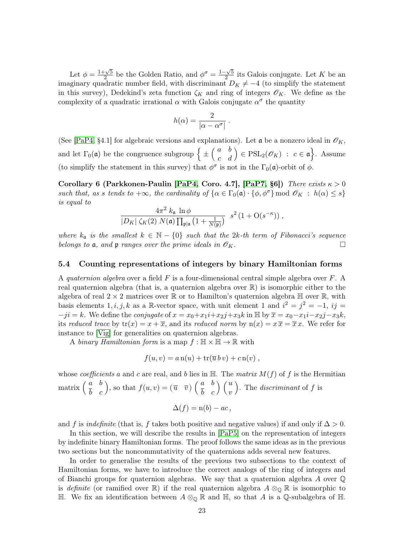Let  $\phi = \frac{1+\sqrt{5}}{2}$  $\frac{\sqrt{5}}{2}$  be the Golden Ratio, and  $\phi^{\sigma} = \frac{1-\sqrt{5}}{2}$  $\frac{1-\sqrt{5}}{2}$  its Galois conjugate. Let K be an imaginary quadratic number field, with discriminant  $D_K \neq -4$  (to simplify the statement in this survey), Dedekind's zeta function  $\zeta_K$  and ring of integers  $\mathscr{O}_K$ . We define as the complexity of a quadratic irrational  $\alpha$  with Galois conjugate  $\alpha^{\sigma}$  the quantity

$$
h(\alpha) = \frac{2}{|\alpha - \alpha^{\sigma}|}
$$

.

(See [\[PaP4,](#page-42-1) §4.1] for algebraic versions and explanations). Let  $\mathfrak{a}$  be a nonzero ideal in  $\mathcal{O}_K$ , and let  $\Gamma_0(\mathfrak{a})$  be the congruence subgroup  $\left\{\pm\begin{pmatrix} a & b \\ c & d \end{pmatrix} \in \text{PSL}_2(\mathscr{O}_K) : c \in \mathfrak{a} \right\}$ . Assume (to simplify the statement in this survey) that  $\phi^{\sigma}$  is not in the  $\Gamma_0(\mathfrak{a})$ -orbit of  $\phi$ .

Corollary 6 (Parkkonen-Paulin [\[PaP4,](#page-42-1) Coro. 4.7], [\[PaP7,](#page-42-5) §6]) There exists  $\kappa > 0$ such that, as s tends to  $+\infty$ , the cardinality of  $\{\alpha \in \Gamma_0(\mathfrak{a}) \cdot \{\phi, \phi^\sigma\} \text{ mod } \mathcal{O}_K : h(\alpha) \leq s\}$ is equal to

$$
\frac{4\pi^2 k_{\mathfrak{a}} \ln \phi}{|D_K| \zeta_K(2) N(\mathfrak{a}) \prod_{\mathfrak{p}|\mathfrak{a}} \left(1 + \frac{1}{N(\mathfrak{p})}\right)} s^2 \left(1 + \mathcal{O}(s^{-\kappa})\right),
$$

where  $k_a$  is the smallest  $k \in \mathbb{N} - \{0\}$  such that the 2k-th term of Fibonacci's sequence belongs to  $\mathfrak a$ , and  $\mathfrak p$  ranges over the prime ideals in  $\mathscr O_K$ .

#### 5.4 Counting representations of integers by binary Hamiltonian forms

A quaternion algebra over a field  $F$  is a four-dimensional central simple algebra over  $F$ . A real quaternion algebra (that is, a quaternion algebra over R) is isomorphic either to the algebra of real  $2 \times 2$  matrices over  $\mathbb R$  or to Hamilton's quaternion algebra  $\mathbb H$  over  $\mathbb R$ , with basis elements 1, i, j, k as a R-vector space, with unit element 1 and  $i^2 = j^2 = -1$ , ij =  $-ji = k$ . We define the *conjugate* of  $x = x_0 + x_1i + x_2j + x_3k$  in  $\mathbb{H}$  by  $\overline{x} = x_0 - x_1i - x_2j - x_3k$ , its reduced trace by  $tr(x) = x + \overline{x}$ , and its reduced norm by  $n(x) = x\overline{x} = \overline{x}x$ . We refer for instance to [\[Vig\]](#page-43-1) for generalities on quaternion algebras.

A binary Hamiltonian form is a map  $f : \mathbb{H} \times \mathbb{H} \to \mathbb{R}$  with

$$
f(u, v) = a n(u) + tr(\overline{u} \, bv) + c n(v) ,
$$

whose coefficients a and c are real, and b lies in  $\mathbb{H}$ . The matrix  $M(f)$  of f is the Hermitian matrix  $\begin{pmatrix} a & b \\ \overline{b} & c \end{pmatrix}$ , so that  $f(u, v) = (\overline{u} \quad \overline{v}) \begin{pmatrix} a & b \\ \overline{b} & c \end{pmatrix} \begin{pmatrix} u \\ v \end{pmatrix}$ ). The *discriminant* of  $f$  is

$$
\Delta(f) = \mathbf{n}(b) - ac,
$$

and f is indefinite (that is, f takes both positive and negative values) if and only if  $\Delta > 0$ .

In this section, we will describe the results in [\[PaP5\]](#page-42-3) on the representation of integers by indefinite binary Hamiltonian forms. The proof follows the same ideas as in the previous two sections but the noncommutativity of the quaternions adds several new features.

In order to generalise the results of the previous two subsections to the context of Hamiltonian forms, we have to introduce the correct analogs of the ring of integers and of Bianchi groups for quaternion algebras. We say that a quaternion algebra  $A$  over  $\mathbb Q$ is definite (or ramified over R) if the real quaternion algebra  $A \otimes_{\mathbb{Q}} \mathbb{R}$  is isomorphic to H. We fix an identification between  $A \otimes_{\mathbb{Q}} \mathbb{R}$  and H, so that A is a Q-subalgebra of H.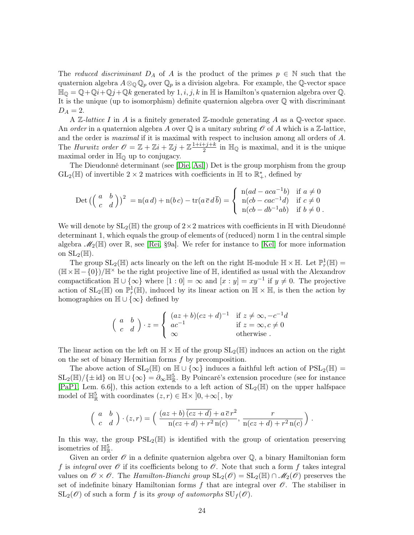The reduced discriminant  $D_A$  of A is the product of the primes  $p \in \mathbb{N}$  such that the quaternion algebra  $A\otimes_{\mathbb{Q}}\mathbb{Q}_p$  over  $\mathbb{Q}_p$  is a division algebra. For example, the  $\mathbb{Q}$ -vector space  $\mathbb{H}_{\mathbb{Q}} = \mathbb{Q} + \mathbb{Q}i + \mathbb{Q}j + \mathbb{Q}k$  generated by  $1, i, j, k$  in  $\mathbb{H}$  is Hamilton's quaternion algebra over  $\mathbb{Q}$ . It is the unique (up to isomorphism) definite quaternion algebra over Q with discriminant  $D_A = 2.$ 

A  $\mathbb Z$ -lattice I in A is a finitely generated  $\mathbb Z$ -module generating A as a  $\mathbb Q$ -vector space. An order in a quaternion algebra A over  $\mathbb Q$  is a unitary subring  $\mathscr O$  of A which is a Z-lattice, and the order is maximal if it is maximal with respect to inclusion among all orders of A. The Hurwitz order  $\mathscr{O} = \mathbb{Z} + \mathbb{Z}i + \mathbb{Z}j + \mathbb{Z}\frac{1+i+j+k}{2}$  $\frac{+j+k}{2}$  in  $\mathbb{H}_{\mathbb{Q}}$  is maximal, and it is the unique maximal order in  $\mathbb{H}_{\Omega}$  up to conjugacy.

The Dieudonné determinant (see [\[Die,](#page-39-16) [Asl\]](#page-38-0)) Det is the group morphism from the group GL<sub>2</sub>( $\mathbb{H}$ ) of invertible 2 × 2 matrices with coefficients in  $\mathbb{H}$  to  $\mathbb{R}^*_+$ , defined by

$$
\text{Det}\left(\begin{pmatrix} a & b \\ c & d \end{pmatrix}\right)^2 = n(a\,d) + n(b\,c) - \text{tr}(a\,\overline{c}\,d\,\overline{b}) = \begin{cases} n(ad - aca^{-1}b) & \text{if } a \neq 0 \\ n(cb - cac^{-1}d) & \text{if } c \neq 0 \\ n(cb - db^{-1}ab) & \text{if } b \neq 0 \end{cases}
$$

We will denote by  $SL_2(\mathbb{H})$  the group of  $2\times 2$  matrices with coefficients in  $\mathbb{H}$  with Dieudonné determinant 1, which equals the group of elements of (reduced) norm 1 in the central simple algebra  $\mathscr{M}_2(\mathbb{H})$  over  $\mathbb{R}$ , see [\[Rei,](#page-42-16) §9a]. We refer for instance to [\[Kel\]](#page-41-14) for more information on  $SL_2(\mathbb{H})$ .

The group  $SL_2(\mathbb{H})$  acts linearly on the left on the right  $\mathbb{H}$ -module  $\mathbb{H} \times \mathbb{H}$ . Let  $\mathbb{P}_r^1(\mathbb{H})$  =  $(H \times H - \{0\})/H^{\times}$  be the right projective line of H, identified as usual with the Alexandrov compactification  $\mathbb{H} \cup {\infty}$  where  $[1:0] = \infty$  and  $[x:y] = xy^{-1}$  if  $y \neq 0$ . The projective action of  $SL_2(\mathbb{H})$  on  $\mathbb{P}_r^1(\mathbb{H})$ , induced by its linear action on  $\mathbb{H} \times \mathbb{H}$ , is then the action by homographies on  $\mathbb{H} \cup {\infty}$  defined by

$$
\begin{pmatrix} a & b \ c & d \end{pmatrix} \cdot z = \begin{cases} (az+b)(cz+d)^{-1} & \text{if } z \neq \infty, -c^{-1}d \\ ac^{-1} & \text{if } z = \infty, c \neq 0 \\ \infty & \text{otherwise} \end{cases}
$$

The linear action on the left on  $\mathbb{H} \times \mathbb{H}$  of the group  $SL_2(\mathbb{H})$  induces an action on the right on the set of binary Hermitian forms f by precomposition.

The above action of  $SL_2(\mathbb{H})$  on  $\mathbb{H} \cup {\infty}$  induces a faithful left action of  $PSL_2(\mathbb{H}) =$  $SL_2(\mathbb{H})/\{\pm id\}$  on  $\mathbb{H} \cup \{\infty\} = \partial_{\infty} \mathbb{H}_{\mathbb{R}}^5$ . By Poincaré's extension procedure (see for instance [\[PaP1,](#page-42-17) Lem. 6.6]), this action extends to a left action of  $SL_2(\mathbb{H})$  on the upper halfspace model of  $\mathbb{H}_{\mathbb{R}}^5$  with coordinates  $(z, r) \in \mathbb{H} \times ]0, +\infty[$ , by

$$
\begin{pmatrix} a & b \\ c & d \end{pmatrix} \cdot (z,r) = \left( \frac{(az+b)\overline{(cz+d)}+a\,\overline{c}\,r^2}{n(cz+d)+r^2\,n(c)}, \frac{r}{n(cz+d)+r^2\,n(c)} \right).
$$

In this way, the group  $PSL_2(\mathbb{H})$  is identified with the group of orientation preserving isometries of  $\mathbb{H}^5_{\mathbb{R}}$ .

Given an order  $\mathscr O$  in a definite quaternion algebra over  $\mathbb Q$ , a binary Hamiltonian form f is integral over  $\mathscr O$  if its coefficients belong to  $\mathscr O$ . Note that such a form f takes integral values on  $\mathscr{O} \times \mathscr{O}$ . The Hamilton-Bianchi group  $SL_2(\mathscr{O}) = SL_2(\mathbb{H}) \cap \mathscr{M}_2(\mathscr{O})$  preserves the set of indefinite binary Hamiltonian forms f that are integral over  $\mathscr O$ . The stabiliser in  $SL_2(\mathscr{O})$  of such a form f is its group of automorphs  $SU_f(\mathscr{O})$ .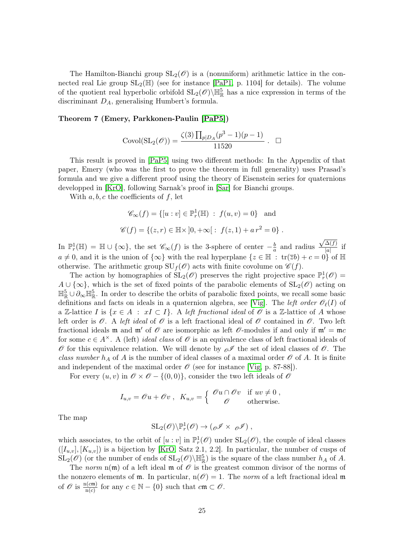The Hamilton-Bianchi group  $SL_2(\mathcal{O})$  is a (nonuniform) arithmetic lattice in the connected real Lie group  $SL_2(\mathbb{H})$  (see for instance [\[PaP1,](#page-42-17) p. 1104] for details). The volume of the quotient real hyperbolic orbifold  $SL_2(\mathcal{O})\backslash\mathbb{H}_{\mathbb{R}}^5$  has a nice expression in terms of the discriminant  $D_A$ , generalising Humbert's formula.

#### Theorem 7 (Emery, Parkkonen-Paulin [\[PaP5\]](#page-42-3))

Covol
$$
(SL_2(\mathscr{O})) = \frac{\zeta(3) \prod_{p \mid D_A} (p^3 - 1)(p - 1)}{11520}
$$
.  $\Box$ 

This result is proved in [\[PaP5\]](#page-42-3) using two different methods: In the Appendix of that paper, Emery (who was the first to prove the theorem in full generality) uses Prasad's formula and we give a different proof using the theory of Eisenstein series for quaternions developped in [\[KrO\]](#page-41-15), following Sarnak's proof in [\[Sar\]](#page-42-14) for Bianchi groups.

With  $a, b, c$  the coefficients of f, let

$$
\mathscr{C}_{\infty}(f) = \{ [u : v] \in \mathbb{P}_r^1(\mathbb{H}) : f(u, v) = 0 \}
$$
 and  
 $\mathscr{C}(f) = \{ (z, r) \in \mathbb{H} \times ]0, +\infty[ : f(z, 1) + a r^2 = 0 \}.$ 

In  $\mathbb{P}_r^1(\mathbb{H}) = \mathbb{H} \cup {\infty}$ , the set  $\mathscr{C}_{\infty}(f)$  is the 3-sphere of center  $-\frac{b}{a}$  $\frac{b}{a}$  and radius  $\sqrt{\Delta(f)}$  $\frac{\Delta(J)}{|a|}$  if  $a \neq 0$ , and it is the union of  $\{\infty\}$  with the real hyperplane  $\{z \in \mathbb{H} : \text{tr}(\overline{z}b) + c = 0\}$  of  $\mathbb{H}$ otherwise. The arithmetic group  $\mathrm{SU}_f(\mathscr{O})$  acts with finite covolume on  $\mathscr{C}(f)$ .

The action by homographies of  $SL_2(\mathcal{O})$  preserves the right projective space  $\mathbb{P}_r^1(\mathcal{O})$  =  $A \cup \{\infty\}$ , which is the set of fixed points of the parabolic elements of  $SL_2(\mathscr{O})$  acting on  $\mathbb{H}_{\mathbb{R}}^5 \cup \partial_{\infty} \mathbb{H}_{\mathbb{R}}^5$ . In order to describe the orbits of parabolic fixed points, we recall some basic definitions and facts on ideals in a quaternion algebra, see [\[Vig\]](#page-43-1). The *left order*  $\mathcal{O}_{\ell}(I)$  of a Z-lattice I is  $\{x \in A : xI \subset I\}$ . A left fractional ideal of  $\mathcal O$  is a Z-lattice of A whose left order is  $\mathscr O$ . A left ideal of  $\mathscr O$  is a left fractional ideal of  $\mathscr O$  contained in  $\mathscr O$ . Two left fractional ideals m and m' of  $\mathcal O$  are isomorphic as left  $\mathcal O$ -modules if and only if  $m' = mc$ for some  $c \in A^{\times}$ . A (left) ideal class of  $\mathcal O$  is an equivalence class of left fractional ideals of  $\mathscr O$  for this equivalence relation. We will denote by  $\mathscr O$  the set of ideal classes of  $\mathscr O$ . The class number  $h_A$  of A is the number of ideal classes of a maximal order  $\mathcal O$  of A. It is finite and independent of the maximal order  $\mathcal O$  (see for instance [\[Vig,](#page-43-1) p. 87-88]).

For every  $(u, v)$  in  $\mathscr{O} \times \mathscr{O} - \{(0, 0)\}\)$ , consider the two left ideals of  $\mathscr{O}$ 

$$
I_{u,v} = \mathscr{O}u + \mathscr{O}v \ , \ K_{u,v} = \left\{ \begin{array}{cc} \mathscr{O}u \cap \mathscr{O}v & \text{if } uv \neq 0 \\ \mathscr{O} & \text{otherwise.} \end{array} \right.
$$

The map

$$
SL_2(\mathscr{O})\backslash \mathbb{P}_r^1(\mathscr{O})\to (\mathscr{A}\times \mathscr{A}) ,
$$

which associates, to the orbit of  $[u : v]$  in  $\mathbb{P}^1_r(\mathscr{O})$  under  $SL_2(\mathscr{O})$ , the couple of ideal classes  $([I_{u,v}], [K_{u,v}])$  is a bijection by [\[KrO,](#page-41-15) Satz 2.1, 2.2]. In particular, the number of cusps of  $SL_2(\mathscr{O})$  (or the number of ends of  $SL_2(\mathscr{O})\backslash\mathbb{H}_{\mathbb{R}}^5$ ) is the square of the class number  $h_A$  of A.

The norm  $n(m)$  of a left ideal m of  $\mathcal O$  is the greatest common divisor of the norms of the nonzero elements of  $m$ . In particular,  $n(\mathcal{O}) = 1$ . The norm of a left fractional ideal m of  $\mathscr O$  is  $\frac{n(cm)}{n(c)}$  for any  $c \in \mathbb N - \{0\}$  such that  $c m \subset \mathscr O$ .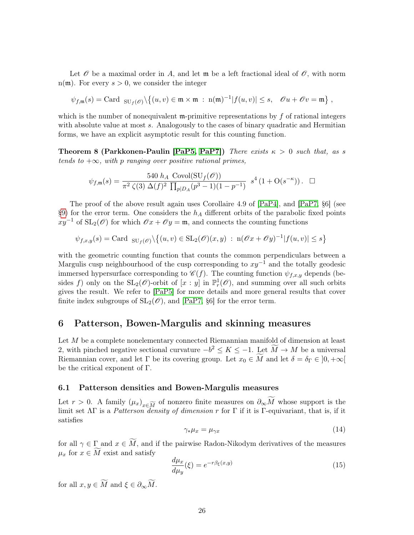Let  $\mathscr O$  be a maximal order in A, and let  $\mathfrak m$  be a left fractional ideal of  $\mathscr O$ , with norm  $n(m)$ . For every  $s > 0$ , we consider the integer

$$
\psi_{f,\mathfrak{m}}(s) = \text{Card}_{\text{SU}_f(\mathscr{O})} \setminus \left\{ (u,v) \in \mathfrak{m} \times \mathfrak{m} \ : \ \mathrm{n}(\mathfrak{m})^{-1} | f(u,v) | \leq s, \quad \mathscr{O}u + \mathscr{O}v = \mathfrak{m} \right\},
$$

which is the number of nonequivalent  $\mathfrak{m}$ -primitive representations by f of rational integers with absolute value at most s. Analogously to the cases of binary quadratic and Hermitian forms, we have an explicit asymptotic result for this counting function.

**Theorem 8 (Parkkonen-Paulin [\[PaP5,](#page-42-3) [PaP7\]](#page-42-5))** There exists  $\kappa > 0$  such that, as s tends to  $+\infty$ , with p ranging over positive rational primes,

$$
\psi_{f,\mathfrak{m}}(s) = \frac{540 \ h_A \ \text{Covol}(\text{SU}_f(\mathscr{O}))}{\pi^2 \ \zeta(3) \ \Delta(f)^2 \ \prod_{p \mid D_A} (p^3 - 1)(1 - p^{-1})} \ s^4 \left(1 + \text{O}(s^{-\kappa})\right). \ \ \Box
$$

The proof of the above result again uses Corollaire 4.9 of [\[PaP4\]](#page-42-1), and [\[PaP7,](#page-42-5) §6] (see [§9\)](#page-35-0) for the error term. One considers the  $h_A$  different orbits of the parabolic fixed points  $xy^{-1}$  of SL<sub>2</sub>( $\mathcal{O}$ ) for which  $\mathcal{O}x + \mathcal{O}y = \mathfrak{m}$ , and connects the counting functions

$$
\psi_{f,x,y}(s) = \text{Card}_{\text{SU}_f(\mathscr{O})} \setminus \left\{ (u,v) \in \text{SL}_2(\mathscr{O})(x,y) \; : \; \text{n}(\mathscr{O}x + \mathscr{O}y)^{-1} | f(u,v) | \le s \right\}
$$

with the geometric counting function that counts the common perpendiculars between a Margulis cusp neighbourhood of the cusp corresponding to  $xy^{-1}$  and the totally geodesic immersed hypersurface corresponding to  $\mathscr{C}(f)$ . The counting function  $\psi_{f,x,y}$  depends (besides f) only on the  $SL_2(\mathcal{O})$ -orbit of  $[x:y]$  in  $\mathbb{P}^1_r(\mathcal{O})$ , and summing over all such orbits gives the result. We refer to [\[PaP5\]](#page-42-3) for more details and more general results that cover finite index subgroups of  $SL_2(\mathcal{O})$ , and [\[PaP7,](#page-42-5) §6] for the error term.

# <span id="page-25-0"></span>6 Patterson, Bowen-Margulis and skinning measures

Let M be a complete nonelementary connected Riemannian manifold of dimension at least 2, with pinched negative sectional curvature  $-b^2 \le K \le -1$ . Let  $\widetilde{M} \to M$  be a universal Riemannian cover, and let  $\Gamma$  be its covering group. Let  $x_0 \in M$  and let  $\delta = \delta_{\Gamma} \in [0, +\infty[$ be the critical exponent of Γ.

#### 6.1 Patterson densities and Bowen-Margulis measures

Let  $r > 0$ . A family  $(\mu_x)_{x \in \widetilde{M}}$  of nonzero finite measures on  $\partial_{\infty}M$  whose support is the limit act AF is a Batterson density of dimension  $x$  for F if it is E conjugationt, that is if it limit set  $\Lambda \Gamma$  is a *Patterson density of dimension r* for  $\Gamma$  if it is  $\Gamma$ -equivariant, that is, if it satisfies

$$
\gamma_* \mu_x = \mu_{\gamma x} \tag{14}
$$

for all  $\gamma \in \Gamma$  and  $x \in \widetilde{M}$ , and if the pairwise Radon-Nikodym derivatives of the measures  $\mu_x$  for  $x \in M$  exist and satisfy

$$
\frac{d\mu_x}{d\mu_y}(\xi) = e^{-r\beta_\xi(x,y)}\tag{15}
$$

for all  $x, y \in \widetilde{M}$  and  $\xi \in \partial_{\infty} \widetilde{M}$ .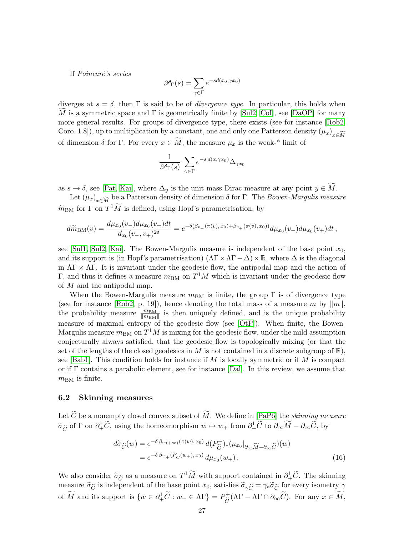If Poincaré's series

$$
\mathscr{P}_{\Gamma}(s) = \sum_{\gamma \in \Gamma} e^{-sd(x_0, \gamma x_0)}
$$

diverges at  $s = \delta$ , then  $\Gamma$  is said to be of *divergence type*. In particular, this holds when M is a symmetric space and  $\Gamma$  is geometrically finite by [\[Sul2,](#page-43-2) [CoI\]](#page-39-17), see [\[DaOP\]](#page-39-18) for many more general results. For groups of divergence type, there exists (see for instance [\[Rob2,](#page-42-8) Coro. 1.8]), up to multiplication by a constant, one and only one Patterson density  $(\mu_x)_{x \in \widetilde{M}}$ of dimension  $\delta$  for Γ: For every  $x \in \widetilde{M}$ , the measure  $\mu_x$  is the weak-\* limit of

$$
\frac{1}{\mathscr{P}_{\Gamma}(s)}\sum_{\gamma\in\Gamma}e^{-s\,d(x,\gamma x_0)}\Delta_{\gamma x_0}
$$

as  $s \to \delta$ , see [\[Pat,](#page-42-18) [Kai\]](#page-40-17), where  $\Delta_y$  is the unit mass Dirac measure at any point  $y \in M$ .

Let  $(\mu_x)_{x \in \widetilde{M}}$  be a Patterson density of dimension  $\delta$  for  $\Gamma$ . The Bowen-Margulis measure  $\widetilde{m}_{BM}$  for  $\Gamma$  on  $T^1\widetilde{M}$  is defined, using Hopf's parametrisation, by

$$
d\widetilde{m}_{\rm BM}(v) = \frac{d\mu_{x_0}(v_-)d\mu_{x_0}(v_+)dt}{d_{x_0}(v_-, v_+)^{2\delta}} = e^{-\delta(\beta_{v_-}(\pi(v), x_0) + \beta_{v_+}(\pi(v), x_0))}d\mu_{x_0}(v_-)d\mu_{x_0}(v_+)dt,
$$

see [\[Sul1,](#page-43-3) [Sul2,](#page-43-2) [Kai\]](#page-40-17). The Bowen-Margulis measure is independent of the base point  $x_0$ , and its support is (in Hopf's parametrisation)  $(\Lambda \Gamma \times \Lambda \Gamma - \Delta) \times \mathbb{R}$ , where  $\Delta$  is the diagonal in  $\Lambda \Gamma \times \Lambda \Gamma$ . It is invariant under the geodesic flow, the antipodal map and the action of  $\Gamma$ , and thus it defines a measure  $m_{BM}$  on  $T^{1}M$  which is invariant under the geodesic flow of M and the antipodal map.

When the Bowen-Margulis measure  $m_{BM}$  is finite, the group  $\Gamma$  is of divergence type (see for instance [\[Rob2,](#page-42-8) p. 19]), hence denoting the total mass of a measure m by  $||m||$ , the probability measure  $\frac{m_{\text{BM}}}{\|m_{\text{BM}}\|}$  is then uniquely defined, and is the unique probability measure of maximal entropy of the geodesic flow (see [\[OtP\]](#page-42-19)). When finite, the Bowen-Margulis measure  $m_{BM}$  on  $T^{1}M$  is mixing for the geodesic flow, under the mild assumption conjecturally always satisfied, that the geodesic flow is topologically mixing (or that the set of the lengths of the closed geodesics in M is not contained in a discrete subgroup of  $\mathbb{R}$ ), see [\[Bab1\]](#page-38-1). This condition holds for instance if  $M$  is locally symmetric or if  $M$  is compact or if Γ contains a parabolic element, see for instance [\[Dal\]](#page-39-19). In this review, we assume that  $m_{\text{BM}}$  is finite.

#### 6.2 Skinning measures

Let  $\widetilde{C}$  be a nonempty closed convex subset of  $\widetilde{M}$ . We define in [\[PaP6\]](#page-42-4) the *skinning measure*  $\widetilde{\sigma}_{\widetilde{C}}$  of  $\Gamma$  on  $\partial_+^1 \widetilde{C}$ , using the homeomorphism  $w \mapsto w_+$  from  $\partial_+^1 \widetilde{C}$  to  $\partial_{\infty} \widetilde{M} - \partial_{\infty} \widetilde{C}$ , by

$$
d\tilde{\sigma}_{\tilde{C}}(w) = e^{-\delta \beta_{w(+\infty)}(\pi(w), x_0)} d(P_{\tilde{C}}^+)_*(\mu_{x_0}|_{\partial_{\infty} \widetilde{M} - \partial_{\infty} \tilde{C}})(w)
$$
  
= 
$$
e^{-\delta \beta_{w_+}(P_{\tilde{C}}(w_+), x_0)} d\mu_{x_0}(w_+).
$$
 (16)

We also consider  $\tilde{\sigma}_{\tilde{C}}$  as a measure on  $T^1\tilde{M}$  with support contained in  $\partial^1_+\tilde{C}$ . The skinning<br>measure  $\tilde{\sigma}_{\tilde{C}}$  is independent of the base point  $x$ , satisfies  $\tilde{\sigma}_{\tilde{C}} = \tilde{\sigma}_{\tilde{C}} \tilde{\sigma}_{\tilde{$ measure  $\tilde{\sigma}_{\tilde{C}}$  is independent of the base point  $x_0$ , satisfies  $\tilde{\sigma}_{\gamma \tilde{C}} = \gamma_* \tilde{\sigma}_{\tilde{C}}$  for every isometry  $\gamma$ of  $\widetilde{M}$  and its support is  $\{w \in \partial^1_+\widetilde{C} : w_+ \in \Lambda\Gamma\} = P^+_{\widetilde{C}}$  $\overline{C}^+ (\Lambda \Gamma - \Lambda \Gamma \cap \partial_\infty C)$ . For any  $x \in M$ ,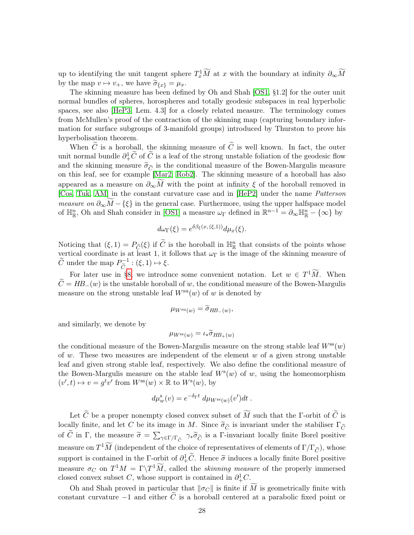up to identifying the unit tangent sphere  $T_x^1\widetilde{M}$  at x with the boundary at infinity  $\partial_{\infty}\widetilde{M}$ by the map  $v \mapsto v_+$ , we have  $\widetilde{\sigma}_{\{x\}} = \mu_x$ .

The skinning measure has been defined by Oh and Shah [\[OS1,](#page-41-5) §1.2] for the outer unit normal bundles of spheres, horospheres and totally geodesic subspaces in real hyperbolic spaces, see also [\[HeP3,](#page-40-6) Lem. 4.3] for a closely related measure. The terminology comes from McMullen's proof of the contraction of the skinning map (capturing boundary information for surface subgroups of 3-manifold groups) introduced by Thurston to prove his hyperbolisation theorem.

When  $\tilde{C}$  is a horoball, the skinning measure of  $\tilde{C}$  is well known. In fact, the outer unit normal bundle  $\partial^1_+\widetilde{C}$  of  $\widetilde{C}$  is a leaf of the strong unstable foliation of the geodesic flow and the skinning measure  $\tilde{\sigma}_{\tilde{C}}$  is the conditional measure of the Bowen-Margulis measure on this leaf, see for example [\[Mar2,](#page-41-9) [Rob2\]](#page-42-8). The skinning measure of a horoball has also appeared as a measure on  $\partial_{\infty}M$  with the point at infinity  $\xi$  of the horoball removed in [\[Cos,](#page-39-13) [Tuk,](#page-43-4) [AM\]](#page-38-2) in the constant curvature case and in [\[HeP2\]](#page-40-12) under the name Patterson measure on  $\partial_{\infty}M-\{\xi\}$  in the general case. Furthermore, using the upper halfspace model of  $\mathbb{H}_{\mathbb{R}}^n$ , Oh and Shah consider in [\[OS1\]](#page-41-5) a measure  $\omega_{\Gamma}$  defined in  $\mathbb{R}^{n-1} = \partial_{\infty} \mathbb{H}_{\mathbb{R}}^n - \{\infty\}$  by

$$
d\omega_{\Gamma}(\xi) = e^{\delta\beta_{\xi}(x,(\xi,1))} d\mu_x(\xi).
$$

Noticing that  $(\xi, 1) = P_{\widetilde{C}}(\xi)$  if  $\widetilde{C}$  is the horoball in  $\mathbb{H}^n_R$  that consists of the points whose vertical coordinate is at least 1, it follows that  $\omega_{\Gamma}$  is the image of the skinning measure of  $\widetilde{C}$  under the map  $P_{\widetilde{C}}^{-1} : (\xi, 1) \mapsto \xi$ .  $\overline{C}$ 

For later use in [§8,](#page-32-0) we introduce some convenient notation. Let  $w \in T^1 \tilde{M}$ . When  $\widetilde{C} = HB_{-}(w)$  is the unstable horoball of w, the conditional measure of the Bowen-Margulis measure on the strong unstable leaf  $W^{su}(w)$  of w is denoted by

$$
\mu_{W^{\rm su}(w)} = \widetilde{\sigma}_{HB_{-}(w)},
$$

and similarly, we denote by

$$
\mu_{W^{\rm ss}(w)} = \iota_* \widetilde{\sigma}_{HB_+(w)}
$$

the conditional measure of the Bowen-Margulis measure on the strong stable leaf  $W^{\rm ss}(w)$ of w. These two measures are independent of the element  $w$  of a given strong unstable leaf and given strong stable leaf, respectively. We also define the conditional measure of the Bowen-Margulis measure on the stable leaf  $W^s(w)$  of w, using the homeomorphism  $(v', t) \mapsto v = g^t v'$  from  $W^{ss}(w) \times \mathbb{R}$  to  $W^s(w)$ , by

$$
d\mu_w^{\rm s}(v) = e^{-\delta_{\Gamma}t} d\mu_{W^{\rm ss}(w)}(v')dt.
$$

Let  $\widetilde{C}$  be a proper nonempty closed convex subset of  $\widetilde{M}$  such that the Γ-orbit of  $\widetilde{C}$  is locally finite, and let C be its image in M. Since  $\tilde{\sigma}_{\tilde{C}}$  is invariant under the stabiliser  $\Gamma_{\tilde{C}}$ of C in Γ, the measure  $\tilde{\sigma} = \sum_{\gamma \in \Gamma/\Gamma_{\tilde{C}}} \gamma_* \tilde{\sigma}_{\tilde{C}}$  is a Γ-invariant locally finite Borel positive measure on  $T^1\widetilde{M}$  (independent of the choice of representatives of elements of  $\Gamma/\Gamma_{\widetilde{C}}$ ), whose support is contained in the Γ-orbit of  $\partial_+^1 \tilde{C}$ . Hence  $\tilde{\sigma}$  induces a locally finite Borel positive measure  $\sigma_C$  on  $T^1M = \Gamma \backslash T^1\widetilde{M}$ , called the *skinning measure* of the properly immersed closed convex subset C, whose support is contained in  $\partial_+^1 C$ .

Oh and Shah proved in particular that  $\|\sigma_C\|$  is finite if  $\widetilde{M}$  is geometrically finite with constant curvature  $-1$  and either  $\tilde{C}$  is a horoball centered at a parabolic fixed point or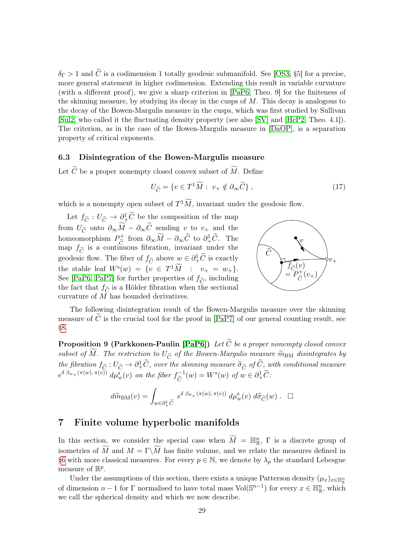$\delta_{\Gamma} > 1$  and  $\tilde{C}$  is a codimension 1 totally geodesic submanifold. See [\[OS3,](#page-41-4) §5] for a precise, more general statement in higher codimension. Extending this result in variable curvature (with a different proof), we give a sharp criterion in [\[PaP6,](#page-42-4) Theo. 9] for the finiteness of the skinning measure, by studying its decay in the cusps of  $M$ . This decay is analogous to the decay of the Bowen-Margulis measure in the cusps, which was first studied by Sullivan [\[Sul2\]](#page-43-2) who called it the fluctuating density property (see also [\[SV\]](#page-43-5) and [\[HeP2,](#page-40-12) Theo. 4.1]). The criterion, as in the case of the Bowen-Margulis measure in [\[DaOP\]](#page-39-18), is a separation property of critical exponents.

## 6.3 Disintegration of the Bowen-Margulis measure

Let  $\widetilde{C}$  be a proper nonempty closed convex subset of  $\widetilde{M}$ . Define

$$
U_{\widetilde{C}} = \{ v \in T^1 \widetilde{M} : \ v_+ \notin \partial_{\infty} \widetilde{C} \}, \tag{17}
$$

which is a nonempty open subset of  $T^1\widetilde{M}$ , invariant under the geodesic flow.

Let  $f_{\widetilde{C}} : U_{\widetilde{C}} \to \partial^1_{+} \widetilde{C}$  be the composition of the map from  $U_{\widetilde{C}}$  onto  $\partial_{\infty} M - \partial_{\infty} C$  sending v to  $v_{+}$  and the homeomorphism  $P_{\tilde{c}}^+$  $\widetilde{C}$  from  $\partial_{\infty} \widetilde{M} - \partial_{\infty} \widetilde{C}$  to  $\partial_{+}^{1} \widetilde{C}$ . The map  $f_{\widetilde{C}}$  is a continuous fibration, invariant under the geodesic flow. The fiber of  $f_{\widetilde{C}}$  above  $w \in \partial^1_+\widetilde{C}$  is exactly the stable leaf  $W^s(w) = \{v \in T^1 \tilde{M} : v_+ = w_+\}.$ See [\[PaP6,](#page-42-4) [PaP7\]](#page-42-5) for further properties of  $f_{\widetilde{C}}$ , including the fact that  $f_{\tilde{C}}$  is a Hölder fibration when the sectional curvature of M has bounded derivatives.



The following disintegration result of the Bowen-Margulis measure over the skinning measure of  $\hat{C}$  is the crucial tool for the proof in [\[PaP7\]](#page-42-5) of our general counting result, see [§8.](#page-32-0)

<span id="page-28-1"></span>**Proposition 9 (Parkkonen-Paulin [\[PaP6\]](#page-42-4))** Let  $\widetilde{C}$  be a proper nonempty closed convex subset of  $\widetilde{M}$ . The restriction to  $U_{\widetilde{C}}$  of the Bowen-Margulis measure  $\widetilde{m}_{\text{BM}}$  disintegrates by the fibration  $f_{\tilde{C}} : U_{\tilde{C}} \to \partial^1_+ \tilde{C}$ , over the skinning measure  $\tilde{\sigma}_{\tilde{C}}$  of  $\tilde{C}$ , with conditional measure  $e^{\delta \beta_{w_+}(\pi(w),\pi(v))} d\mu_w^s(v)$  on the fiber  $f_{\widetilde{C}}^{-1}$  $\mathcal{C}_{\mathcal{C}}$  $(w) = W^s(w)$  of  $w \in \partial^1_+ \widetilde{C}$ :

$$
d\widetilde{m}_{\text{BM}}(v) = \int_{w \in \partial^1_+\widetilde{C}} e^{\delta \beta_{w_+}(\pi(w), \pi(v))} d\mu_w^s(v) d\widetilde{\sigma}_{\widetilde{C}}(w) . \quad \Box
$$

# <span id="page-28-0"></span>7 Finite volume hyperbolic manifolds

In this section, we consider the special case when  $\widetilde{M} = \mathbb{H}_{\mathbb{R}}^n$ ,  $\Gamma$  is a discrete group of isometries of  $\widetilde{M}$  and  $M = \Gamma \backslash \widetilde{M}$  has finite volume, and we relate the measures defined in [§6](#page-25-0) with more classical measures. For every  $p \in \mathbb{N}$ , we denote by  $\lambda_p$  the standard Lebesgue measure of  $\mathbb{R}^p$ .

Under the assumptions of this section, there exists a unique Patterson density  $(\mu_x)_{x \in \mathbb{H}_{\mathbb{R}}^n}$ of dimension  $n-1$  for  $\Gamma$  normalised to have total mass Vol( $\mathbb{S}^{n-1}$ ) for every  $x \in \mathbb{H}_{\mathbb{R}}^n$ , which we call the spherical density and which we now describe.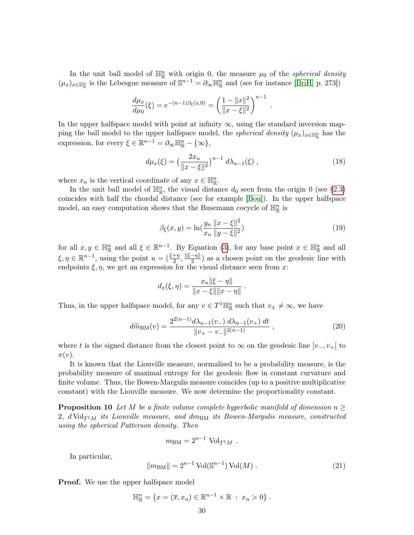In the unit ball model of  $\mathbb{H}^n_{\mathbb{R}}$  with origin 0, the measure  $\mu_0$  of the *spherical density*  $(\mu_x)_{x \in \mathbb{H}_{\mathbb{R}}^n}$  is the Lebesgue measure of  $\mathbb{S}^{n-1} = \partial_\infty \mathbb{H}_{\mathbb{R}}^n$  and (see for instance [\[BriH,](#page-39-2) p. 273])

$$
\frac{d\mu_x}{d\mu_0}(\xi) = e^{-(n-1)\beta_{\xi}(x,0)} = \left(\frac{1 - \|x\|^2}{\|x - \xi\|^2}\right)^{n-1}.
$$

In the upper halfspace model with point at infinity  $\infty$ , using the standard inversion mapping the ball model to the upper halfspace model, the *spherical density*  $(\mu_x)_{x \in \mathbb{H}_{\mathbb{R}}^n}$  has the expression, for every  $\xi \in \mathbb{R}^{n-1} = \partial_{\infty} \mathbb{H}_{\mathbb{R}}^n - {\infty}$ ,

<span id="page-29-1"></span>
$$
d\mu_x(\xi) = \left(\frac{2x_n}{\|x-\xi\|^2}\right)^{n-1} d\lambda_{n-1}(\xi) ,\qquad (18)
$$

where  $x_n$  is the vertical coordinate of any  $x \in \mathbb{H}_{\mathbb{R}}^n$ .

In the unit ball model of  $\mathbb{H}_{\mathbb{R}}^n$ , the visual distance  $d_0$  seen from the origin 0 (see [§2.3\)](#page-3-1) coincides with half the chordal distance (see for example [\[Bou\]](#page-39-10)). In the upper halfspace model, an easy computation shows that the Busemann cocycle of  $\mathbb{H}^n_{\mathbb{R}}$  is

<span id="page-29-2"></span>
$$
\beta_{\xi}(x, y) = \ln\left(\frac{y_n}{x_n} \frac{\|x - \xi\|^2}{\|y - \xi\|^2}\right) \tag{19}
$$

for all  $x, y \in \mathbb{H}_{\mathbb{R}}^n$  and all  $\xi \in \mathbb{R}^{n-1}$ . By Equation [\(3\)](#page-4-2), for any base point  $x \in \mathbb{H}_{\mathbb{R}}^n$  and all  $\xi, \eta \in \mathbb{R}^{n-1}$ , using the point  $u = \left(\frac{\xi + \eta}{2}, \frac{\|\xi - \eta\|}{2}\right)$  $\frac{-\eta_{\parallel}}{2}$  as a chosen point on the geodesic line with endpoints  $\xi, \eta$ , we get an expression for the visual distance seen from x:

$$
d_x(\xi, \eta) = \frac{x_n ||\xi - \eta||}{||x - \xi|| ||x - \eta||}.
$$

Thus, in the upper halfspace model, for any  $v \in T^1 \mathbb{H}^n_{\mathbb{R}}$  such that  $v_{\pm} \neq \infty$ , we have

<span id="page-29-0"></span>
$$
d\widetilde{m}_{BM}(v) = \frac{2^{2(n-1)}d\lambda_{n-1}(v_-) d\lambda_{n-1}(v_+) dt}{\|v_+ - v_-\|^{2(n-1)}} ,
$$
\n(20)

where t is the signed distance from the closest point to  $\infty$  on the geodesic line  $|v_-, v_+|$  to  $\pi(v)$ .

It is known that the Liouville measure, normalised to be a probability measure, is the probability measure of maximal entropy for the geodesic flow in constant curvature and finite volume. Thus, the Bowen-Margulis measure coincides (up to a positive multiplicative constant) with the Liouville measure. We now determine the proportionality constant.

**Proposition 10** Let M be a finite volume complete hyperbolic manifold of dimension  $n \geq$ 2,  $d \text{Vol}_{T^1M}$  its Liouville measure, and  $dm_{BM}$  its Bowen-Margulis measure, constructed using the spherical Patterson density. Then

$$
m_{\text{BM}} = 2^{n-1} \text{ Vol}_{T^1 M} .
$$

In particular,

<span id="page-29-3"></span>
$$
||m_{BM}|| = 2^{n-1} \operatorname{Vol}(\mathbb{S}^{n-1}) \operatorname{Vol}(M) . \tag{21}
$$

**Proof.** We use the upper halfspace model

$$
\mathbb{H}_{\mathbb{R}}^{n} = \{x = (\overline{x}, x_n) \in \mathbb{R}^{n-1} \times \mathbb{R} : x_n > 0\}.
$$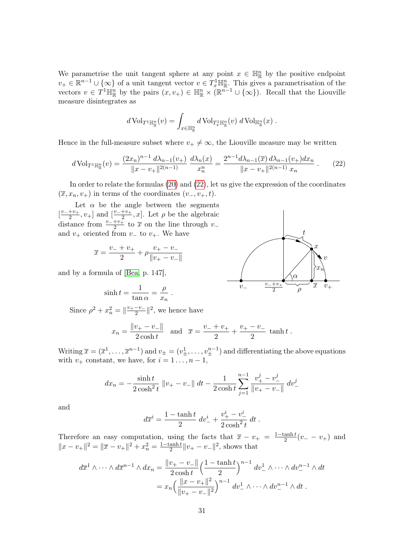We parametrise the unit tangent sphere at any point  $x \in \mathbb{H}_{\mathbb{R}}^n$  by the positive endpoint  $v_+ \in \mathbb{R}^{n-1} \cup \{\infty\}$  of a unit tangent vector  $v \in T_x^1 \mathbb{H}^n_{\mathbb{R}}$ . This gives a parametrisation of the vectors  $v \in T^1 \mathbb{H}^n_{\mathbb{R}}$  by the pairs  $(x, v_+) \in \mathbb{H}^n_{\mathbb{R}} \times (\mathbb{R}^{n-1} \cup {\infty})$ . Recall that the Liouville measure disintegrates as

$$
d\operatorname{Vol}_{T^1\mathbb{H}^n_{\mathbb{R}}}(v)=\int_{x\in\mathbb{H}^n_{\mathbb{R}}}d\operatorname{Vol}_{T^1_x\mathbb{H}^n_{\mathbb{R}}}(v)\;d\operatorname{Vol}_{\mathbb{H}^n_{\mathbb{R}}}(x)\;.
$$

Hence in the full-measure subset where  $v_+ \neq \infty$ , the Liouville measure may be written

<span id="page-30-0"></span>
$$
d\operatorname{Vol}_{T^{1}\mathbb{H}_{\mathbb{R}}^{n}}(v) = \frac{(2x_{n})^{n-1} d\lambda_{n-1}(v_{+})}{\|x - v_{+}\|^{2(n-1)}} \frac{d\lambda_{n}(x)}{x_{n}^{n}} = \frac{2^{n-1} d\lambda_{n-1}(\overline{x}) d\lambda_{n-1}(v_{+}) dx_{n}}{\|x - v_{+}\|^{2(n-1)} x_{n}} . \tag{22}
$$

In order to relate the formulas [\(20\)](#page-29-0) and [\(22\)](#page-30-0), let us give the expression of the coordinates  $(\overline{x}, x_n, v_+)$  in terms of the coordinates  $(v_-, v_+, t)$ .

Let  $\alpha$  be the angle between the segments  $\left[\frac{v_-+v_+}{2}\right]$  $\frac{+v_{+}}{2}$ ,  $v_{+}$ ] and  $\left[\frac{v_{-}+v_{+}}{2}\right]$  $\frac{+v_+}{2}$ , *x*. Let  $\rho$  be the algebraic distance from  $\frac{v_-+v_+}{2}$  to  $\bar{x}$  on the line through  $v_$ and  $v_+$  oriented from  $v_+$  to  $v_+$ . We have

$$
\overline{x} = \frac{v_- + v_+}{2} + \rho \frac{v_+ - v_-}{\|v_+ - v_-\|}
$$

and by a formula of [\[Bea,](#page-39-11) p. 147],

$$
\sinh t = \frac{1}{\tan \alpha} = \frac{\rho}{x_n} \; .
$$

Since  $\rho^2 + x_n^2 = ||\frac{v_+ - v_-}{2}$  $\frac{-v_-}{2}$ ||<sup>2</sup>, we hence have

$$
x_n = \frac{\|v_+ - v_-\|}{2\cosh t}
$$
 and  $\overline{x} = \frac{v_- + v_+}{2} + \frac{v_+ - v_-}{2}$   $\tanh t$ .

Writing  $\bar{x} = (\bar{x}^1, \ldots, \bar{x}^{n-1})$  and  $v_{\pm} = (v_{\pm}^1, \ldots, v_{\pm}^{n-1})$  and differentiating the above equations with  $v_+$  constant, we have, for  $i = 1 \ldots, n - 1$ ,

$$
dx_n = -\frac{\sinh t}{2\cosh^2 t} \|v_+ - v_-\| dt - \frac{1}{2\cosh t} \sum_{j=1}^{n-1} \frac{v_+^j - v_-^j}{\|v_+ - v_-\|} dv_-^j
$$

and

$$
d\overline{x}^i = \frac{1 - \tanh t}{2} dv_-^i + \frac{v_+^i - v_-^i}{2 \cosh^2 t} dt.
$$

Therefore an easy computation, using the facts that  $\bar{x} - v_+ = \frac{1-\tanh t}{2}$  $\frac{\text{anh} t}{2}(v_- - v_+)$  and  $||x - v_+||^2 = ||\overline{x} - v_+||^2 + x_n^2 = \frac{1 - \tanh t}{2}$  $\frac{\text{anh} t}{2} ||v_+ - v_-||^2$ , shows that

$$
d\overline{x}^{1} \wedge \cdots \wedge d\overline{x}^{n-1} \wedge dx_{n} = \frac{\|v_{+} - v_{-}\|}{2 \cosh t} \left(\frac{1 - \tanh t}{2}\right)^{n-1} dv_{-}^{1} \wedge \cdots \wedge dv_{-}^{n-1} \wedge dt
$$

$$
= x_{n} \left(\frac{\|x - v_{+}\|^{2}}{\|v_{+} - v_{-}\|^{2}}\right)^{n-1} dv_{-}^{1} \wedge \cdots \wedge dv_{-}^{n-1} \wedge dt.
$$

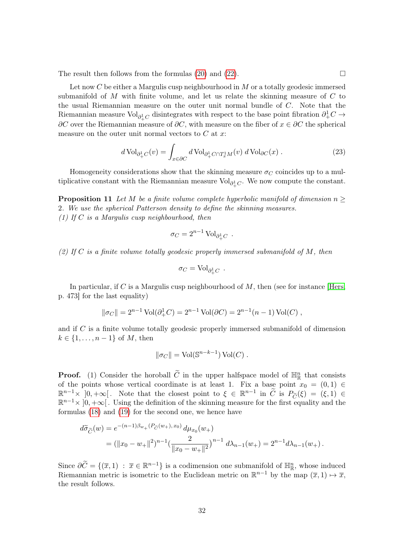The result then follows from the formulas  $(20)$  and  $(22)$ .

Let now C be either a Margulis cusp neighbourhood in M or a totally geodesic immersed submanifold of  $M$  with finite volume, and let us relate the skinning measure of  $C$  to the usual Riemannian measure on the outer unit normal bundle of C. Note that the Riemannian measure Vol $_{\partial^1_+C}$  disintegrates with respect to the base point fibration  $\partial^1_+C \to$  $\partial C$  over the Riemannian measure of  $\partial C$ , with measure on the fiber of  $x \in \partial C$  the spherical measure on the outer unit normal vectors to  $C$  at  $x$ :

<span id="page-31-0"></span>
$$
d\operatorname{Vol}_{\partial^1_{+}C}(v) = \int_{x \in \partial C} d\operatorname{Vol}_{\partial^1_{+}C \cap T_x^1 M}(v) \, d\operatorname{Vol}_{\partial C}(x) \, . \tag{23}
$$

Homogeneity considerations show that the skinning measure  $\sigma_C$  coincides up to a multiplicative constant with the Riemannian measure  $\text{Vol}_{\partial^1_+ C}$ . We now compute the constant.

<span id="page-31-1"></span>**Proposition 11** Let M be a finite volume complete hyperbolic manifold of dimension  $n \geq$ 2. We use the spherical Patterson density to define the skinning measures. (1) If C is a Margulis cusp neighbourhood, then

$$
\sigma_C = 2^{n-1} \operatorname{Vol}_{\partial^1_+ C} \,\, .
$$

(2) If C is a finite volume totally geodesic properly immersed submanifold of M, then

$$
\sigma_C = \text{Vol}_{\partial^1_+ C} \ .
$$

In particular, if C is a Margulis cusp neighbourhood of  $M$ , then (see for instance Hers, p. 473] for the last equality)

$$
\|\sigma_C\| = 2^{n-1} \operatorname{Vol}(\partial_+^1 C) = 2^{n-1} \operatorname{Vol}(\partial C) = 2^{n-1}(n-1) \operatorname{Vol}(C) ,
$$

and if C is a finite volume totally geodesic properly immersed submanifold of dimension  $k \in \{1, \ldots, n-1\}$  of M, then

$$
\|\sigma_C\| = \text{Vol}(\mathbb{S}^{n-k-1})\,\text{Vol}(C) \ .
$$

**Proof.** (1) Consider the horoball  $\widetilde{C}$  in the upper halfspace model of  $\mathbb{H}^n_{\mathbb{R}}$  that consists of the points whose vertical coordinate is at least 1. Fix a base point  $x_0 = (0, 1) \in$  $\mathbb{R}^{n-1}\times [0,+\infty[$ . Note that the closest point to  $\xi \in \mathbb{R}^{n-1}$  in  $\widetilde{C}$  is  $P_{\widetilde{C}}(\xi) = (\xi,1) \in \mathbb{R}^{n-1}$ .  $\mathbb{R}^{n-1}\times\left]0,+\infty\right[$ . Using the definition of the skinning measure for the first equality and the formulas [\(18\)](#page-29-1) and [\(19\)](#page-29-2) for the second one, we hence have

$$
d\tilde{\sigma}_{\tilde{C}}(w) = e^{-(n-1)\beta_{w_{+}}(P_{\tilde{C}}(w_{+}), x_{0})} d\mu_{x_{0}}(w_{+})
$$
  
=  $(\|x_{0} - w_{+}\|^{2})^{n-1} (\frac{2}{\|x_{0} - w_{+}\|^{2}})^{n-1} d\lambda_{n-1}(w_{+}) = 2^{n-1} d\lambda_{n-1}(w_{+}).$ 

Since  $\partial \widetilde{C} = \{(\overline{x}, 1) : \overline{x} \in \mathbb{R}^{n-1}\}\$ is a codimension one submanifold of  $\mathbb{H}^n_{\mathbb{R}}$ , whose induced Riemannian metric is isometric to the Euclidean metric on  $\mathbb{R}^{n-1}$  by the map  $(\overline{x}, 1) \mapsto \overline{x}$ , the result follows.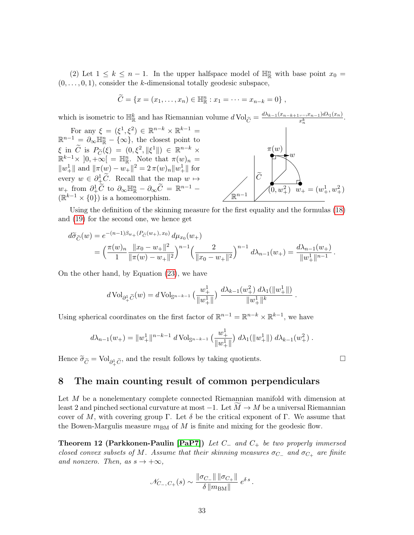(2) Let  $1 \leq k \leq n-1$ . In the upper halfspace model of  $\mathbb{H}^n_{\mathbb{R}}$  with base point  $x_0 =$  $(0, \ldots, 0, 1)$ , consider the k-dimensional totally geodesic subspace,

$$
\widetilde{C} = \{x = (x_1, \ldots, x_n) \in \mathbb{H}_{\mathbb{R}}^n : x_1 = \cdots = x_{n-k} = 0\},\,
$$

which is isometric to  $\mathbb{H}_{\mathbb{R}}^k$  and has Riemannian volume  $d \text{Vol}_{\widetilde{C}} = \frac{d\lambda_{k-1}(x_{n-k+1},...,x_{n-1})d\lambda_1(x_n)}{x_n^k}$  $\overline{x_{n}^{k}}$ .

For any  $\xi = (\xi^1, \xi^2) \in \mathbb{R}^{n-k} \times \mathbb{R}^{k-1} =$  $\mathbb{R}^{n-1} = \partial_{\infty} \mathbb{H}^n_{\mathbb{R}} - \{\infty\},\$  the closest point to  $\xi$  in  $\widetilde{C}$  is  $P_{\widetilde{C}}(\xi) = (0, \xi^2, \|\xi^1\|) \in \mathbb{R}^{n-k} \times$ <br>  $\mathbb{R}^{k-1} \times [0, \log_{\xi} \xi]$   $\mathbb{R}^m$ . Note that  $\pi(\omega)$  $\mathbb{R}^{k-1}\times\left]0,+\infty\right[$  =  $\mathbb{H}_{\mathbb{R}}^n$ . Note that  $\pi(w)_n$  =  $||w_+||$  and  $||\pi(w) - w_+||^2 = 2 \pi(w)_n ||w_+||$  for every  $w \in \partial^1_{+} \widetilde{C}$ . Recall that the map  $w \mapsto$  $w_+$  from  $\partial^1_+\widetilde{C}$  to  $\partial_\infty \mathbb{H}^n_{\mathbb{R}} - \partial_\infty \widetilde{C} = \mathbb{R}^{n-1}$  $(\mathbb{R}^{k-1}\times\{0\})$  is a homeomorphism.



.

Using the definition of the skinning measure for the first equality and the formulas [\(18\)](#page-29-1) and [\(19\)](#page-29-2) for the second one, we hence get

$$
d\tilde{\sigma}_{\tilde{C}}(w) = e^{-(n-1)\beta_{w_{+}}(P_{\tilde{C}}(w_{+}), x_{0})} d\mu_{x_{0}}(w_{+})
$$
  
=  $\left(\frac{\pi(w)_{n}}{1} \frac{\|x_{0} - w_{+}\|^{2}}{\|\pi(w) - w_{+}\|^{2}}\right)^{n-1} \left(\frac{2}{\|x_{0} - w_{+}\|^{2}}\right)^{n-1} d\lambda_{n-1}(w_{+}) = \frac{d\lambda_{n-1}(w_{+})}{\|w_{+}^{1}\|^{n-1}}.$ 

On the other hand, by Equation [\(23\)](#page-31-0), we have

$$
d\operatorname{Vol}_{\partial^1_+\widetilde{C}}(w)=d\operatorname{Vol}_{\mathbb{S}^{n-k-1}}\big(\frac{w_+^1}{\|w_+^1\|}\big)\, \frac{d\lambda_{k-1}(w_+^2)\; d\lambda_1(\|w_+^1\|)}{\|w_+^1\|^k}
$$

Using spherical coordinates on the first factor of  $\mathbb{R}^{n-1} = \mathbb{R}^{n-k} \times \mathbb{R}^{k-1}$ , we have

$$
d\lambda_{n-1}(w_+) = \|w_+^1\|^{n-k-1} d\operatorname{Vol}_{\mathbb{S}^{n-k-1}}\left(\frac{w_+^1}{\|w_+^1\|}\right) d\lambda_1(\|w_+^1\|) d\lambda_{k-1}(w_+^2).
$$

Hence  $\widetilde{\sigma}_{\widetilde{C}} = \mathrm{Vol}_{\partial^1_+\widetilde{C}},$  and the result follows by taking quotients.

# <span id="page-32-0"></span>8 The main counting result of common perpendiculars

Let M be a nonelementary complete connected Riemannian manifold with dimension at least 2 and pinched sectional curvature at most  $-1$ . Let  $M \rightarrow M$  be a universal Riemannian cover of M, with covering group Γ. Let  $\delta$  be the critical exponent of Γ. We assume that the Bowen-Margulis measure  $m_{BM}$  of M is finite and mixing for the geodesic flow.

<span id="page-32-1"></span>Theorem 12 (Parkkonen-Paulin [\[PaP7\]](#page-42-5)) Let  $C_$  and  $C_+$  be two properly immersed closed convex subsets of M. Assume that their skinning measures  $\sigma_{C-}$  and  $\sigma_{C+}$  are finite and nonzero. Then, as  $s \to +\infty$ ,

$$
\mathscr{N}_{C_-,C_+}(s)\sim\frac{\|\sigma_{C_-}\|\,\|\sigma_{C_+}\|}{\delta\,\|m_{\text{BM}}\|}\;e^{\delta\,s}\,.
$$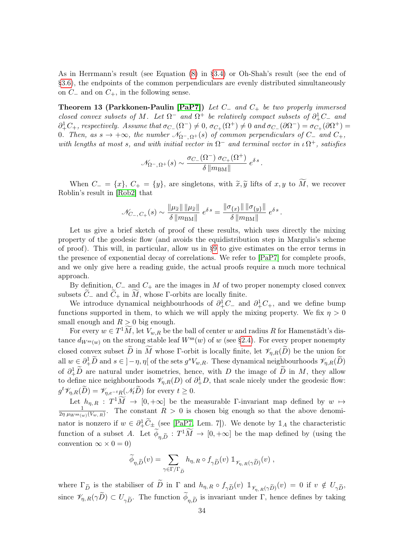As in Herrmann's result (see Equation [\(8\)](#page-12-0) in [§3.4\)](#page-11-1) or Oh-Shah's result (see the end of [§3.6\)](#page-13-2), the endpoints of the common perpendiculars are evenly distributed simultaneously on  $C_-\$  and on  $C_+$ , in the following sense.

<span id="page-33-0"></span>Theorem 13 (Parkkonen-Paulin [\[PaP7\]](#page-42-5)) Let  $C_$  and  $C_+$  be two properly immersed closed convex subsets of M. Let  $\Omega^-$  and  $\Omega^+$  be relatively compact subsets of  $\partial^1_+C_-$  and  $\partial_+^1C_+$ , respectively. Assume that  $\sigma_{C_-}(\Omega^-) \neq 0$ ,  $\sigma_{C_+}(\Omega^+) \neq 0$  and  $\sigma_{C_-}(\partial \Omega^-) = \sigma_{C_+}(\partial \Omega^+) =$ 0. Then, as  $s \to +\infty$ , the number  $\mathcal{N}_{\Omega^-,\Omega^+}(s)$  of common perpendiculars of  $C_-\$  and  $C_+$ , with lengths at most s, and with initial vector in  $\Omega^-$  and terminal vector in  $\iota \Omega^+$ , satisfies

$$
\mathscr{N}_{\Omega^-, \, \Omega^+}(s) \sim \frac{\sigma_{C_-}(\Omega^-) \; \sigma_{C_+}(\Omega^+)}{\delta \, \|m_{\rm BM}\|} \; e^{\delta \, s} \, .
$$

When  $C_ = \{x\}, C_+ = \{y\},\$ are singletons, with  $\widetilde{x}, \widetilde{y}$  lifts of  $x, y$  to  $\widetilde{M}$ , we recover Roblin's result in [\[Rob2\]](#page-42-8) that

$$
\mathcal{N}_{C_{-},C_{+}}(s) \sim \frac{\|\mu_{\widetilde{x}}\| \|\mu_{\widetilde{x}}\|}{\delta \|\mbox{m}_{\rm BM}\|} e^{\delta\,s} = \frac{\|\sigma_{\{x\}}\| \|\sigma_{\{y\}}\|}{\delta \|\mbox{m}_{\rm BM}\|} e^{\delta\,s} \,.
$$

Let us give a brief sketch of proof of these results, which uses directly the mixing property of the geodesic flow (and avoids the equidistribution step in Margulis's scheme of proof). This will, in particular, allow us in [§9](#page-35-0) to give estimates on the error terms in the presence of exponential decay of correlations. We refer to [\[PaP7\]](#page-42-5) for complete proofs, and we only give here a reading guide, the actual proofs require a much more technical approach.

By definition,  $C_-\$  and  $C_+$  are the images in M of two proper nonempty closed convex subsets  $C_-\$  and  $C_+$  in M, whose  $\Gamma$ -orbits are locally finite.

We introduce dynamical neighbourhoods of  $\partial_+^1 C_-$  and  $\partial_+^1 C_+$ , and we define bump functions supported in them, to which we will apply the mixing property. We fix  $\eta > 0$ small enough and  $R > 0$  big enough.

For every  $w \in T^1 \tilde{M}$ , let  $V_{w,R}$  be the ball of center w and radius R for Hamenstädt's distance  $d_{W^{\text{ss}}(w)}$  on the strong stable leaf  $W^{\text{ss}}(w)$  of w (see [§2.4\)](#page-5-0). For every proper nonempty closed convex subset  $\widetilde{D}$  in  $\widetilde{M}$  whose Γ-orbit is locally finite, let  $\mathscr{V}_{n,R}(\widetilde{D})$  be the union for all  $w \in \partial^1_+ \widetilde{D}$  and  $s \in ]-\eta, \eta[$  of the sets  $g^s V_{w,R}$ . These dynamical neighbourhoods  $\mathscr{V}_{\eta,R}(\widetilde{D})$ of  $\partial_+^1 \tilde{D}$  are natural under isometries, hence, with D the image of  $\tilde{D}$  in M, they allow to define nice neighbourhoods  $\mathcal{V}_{\eta,R}(D)$  of  $\partial^1_+D$ , that scale nicely under the geodesic flow:  $g^t \mathscr{V}_{\eta,R}(\widetilde{D}) = \mathscr{V}_{\eta,e^{-t}R}(\mathscr{N}_t \widetilde{D})$  for every  $t \geq 0$ .

Let  $h_{\eta,R}$ :  $T^1\widetilde{M} \to [0,+\infty]$  be the measurable Γ-invariant map defined by  $w \mapsto$ 1  $\frac{1}{2\eta \mu_{W^{ss}(w)}(V_{w,R})}$ . The constant  $R > 0$  is chosen big enough so that the above denominator is nonzero if  $w \in \partial^1_+\widetilde{C}_\pm$  (see [\[PaP7,](#page-42-5) Lem. 7]). We denote by  $\mathbb{1}_A$  the characteristic function of a subset A. Let  $\widetilde{\phi}_{\eta,\widetilde{D}} : T^1\widetilde{M} \to [0, +\infty]$  be the map defined by (using the convention  $\infty \times 0 = 0$ 

$$
\widetilde{\phi}_{\eta,\widetilde{D}}(v) = \sum_{\gamma \in \Gamma/\Gamma_{\widetilde{D}}} h_{\eta,R} \circ f_{\gamma\widetilde{D}}(v) \mathbbm{1}_{\mathscr{V}_{\eta,R}(\gamma\widetilde{D})}(v) ,
$$

where  $\Gamma_{\tilde{D}}$  is the stabiliser of  $\tilde{D}$  in  $\Gamma$  and  $h_{\eta,R} \circ f_{\gamma\tilde{D}}(v) \mathbb{1}_{\mathscr{V}_{\eta,R}(\gamma\tilde{D})}(v) = 0$  if  $v \notin U_{\gamma\tilde{D}}$ , since  $\mathscr{V}_{\eta,R}(\gamma D) \subset U_{\gamma \tilde{D}}$ . The function  $\phi_{\eta,\tilde{D}}$  is invariant under  $\Gamma$ , hence defines by taking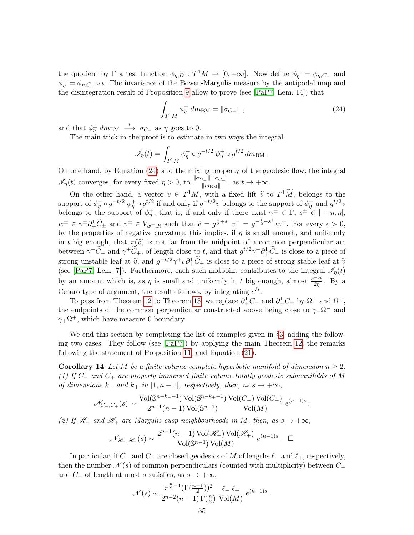the quotient by  $\Gamma$  a test function  $\phi_{\eta,D}: T^1M \to [0,+\infty]$ . Now define  $\phi_{\eta}^- = \phi_{\eta,C_-}$  and  $\phi_{\eta}^{+} = \phi_{\eta,C_{+}} \circ \iota$ . The invariance of the Bowen-Margulis measure by the antipodal map and the disintegration result of Proposition [9](#page-28-1) allow to prove (see [\[PaP7,](#page-42-5) Lem. 14]) that

<span id="page-34-0"></span>
$$
\int_{T^1 M} \phi_{\eta}^{\pm} dm_{\rm BM} = \|\sigma_{C_{\pm}}\| \;, \tag{24}
$$

and that  $\phi_{\eta}^{\pm}$  dm<sub>BM</sub>  $\longrightarrow \sigma_{C_{\pm}}$  as  $\eta$  goes to 0.

The main trick in the proof is to estimate in two ways the integral

$$
\mathscr{I}_{\eta}(t) = \int_{T^1M} \phi_{\eta}^- \circ g^{-t/2} \phi_{\eta}^+ \circ g^{t/2} dm_{\text{BM}}.
$$

On one hand, by Equation [\(24\)](#page-34-0) and the mixing property of the geodesic flow, the integral  $\mathscr{I}_\eta(t)$  converges, for every fixed  $\eta > 0$ , to  $\frac{\|\sigma_{C_-}\| \|\sigma_{C_-}\|}{\|\sigma_{\text{DMM}}\|}$  $\frac{t-\ln\log C - 1}{\|m_{\text{BM}}\|}$  as  $t \to +\infty$ .

On the other hand, a vector  $v \in T^1M$ , with a fixed lift  $\tilde{v}$  to  $T^1M$ , belongs to the support of  $\phi_{\eta}^- \circ g^{-t/2} \phi_{\eta}^+ \circ g^{t/2}$  if and only if  $g^{-t/2}v$  belongs to the support of  $\phi_{\eta}^-$  and  $g^{t/2}v$ belongs to the support of  $\phi_{\eta}^{+}$ , that is, if and only if there exist  $\gamma^{\pm} \in \Gamma$ ,  $s^{\pm} \in \gamma$ ,  $\eta$ ,  $\eta$ ,  $w^{\pm} \in \gamma^{\pm} \partial_{+}^{1} \widetilde{C}_{\pm}$  and  $v^{\pm} \in V_{w^{\pm},R}$  such that  $\widetilde{v} = g^{\frac{t}{2} + s^{-}} v^{-} = g^{-\frac{t}{2} - s^{+}} v^{+}$ . For every  $\epsilon > 0$ , by the properties of negative curvature, this implies, if  $\eta$  is small enough, and uniformly in t big enough, that  $\pi(\tilde{v})$  is not far from the midpoint of a common perpendicular arc between  $\gamma^{-}\tilde{C}_{-}$  and  $\gamma^{+}\tilde{C}_{+}$ , of length close to t, and that  $g^{t/2}\gamma^{-}\partial_{+}^{1}\tilde{C}_{-}$  is close to a piece of strong unstable leaf at  $\tilde{v}$ , and  $g^{-t/2}\gamma^+ \iota \partial^1_+ \tilde{C}_+$  is close to a piece of strong stable leaf at  $\tilde{v}$ <br>(see [BeP7, I cm, 7]). Eurthermore, each such midnes to entribute to the integral  $\mathcal{J}(t)$ (see [\[PaP7,](#page-42-5) Lem. 7]). Furthermore, each such midpoint contributes to the integral  $\mathscr{I}_{\eta}(t)$ by an amount which is, as  $\eta$  is small and uniformly in t big enough, almost  $\frac{e^{-\delta t}}{2\eta}$ . By a Cesaro type of argument, the results follows, by integrating  $e^{\delta t}$ .

To pass from Theorem [12](#page-32-1) to Theorem [13,](#page-33-0) we replace  $\partial^1_+C_-$  and  $\partial^1_+C_+$  by  $\Omega^-$  and  $\Omega^+$ , the endpoints of the common perpendicular constructed above being close to  $\gamma_-\Omega^-$  and  $\gamma_+\Omega^+$ , which have measure 0 boundary.

We end this section by completing the list of examples given in [§3,](#page-8-1) adding the following two cases. They follow (see [\[PaP7\]](#page-42-5)) by applying the main Theorem [12,](#page-32-1) the remarks following the statement of Proposition [11,](#page-31-1) and Equation [\(21\)](#page-29-3).

<span id="page-34-1"></span>**Corollary 14** Let M be a finite volume complete hyperbolic manifold of dimension  $n \geq 2$ . (1) If  $C_$  and  $C_+$  are properly immersed finite volume totally geodesic submanifolds of M of dimensions k<sub>−</sub> and k<sub>+</sub> in [1, n − 1], respectively, then, as  $s \rightarrow +\infty$ ,

$$
\mathcal{N}_{C_-,C_+}(s) \sim \frac{\text{Vol}(\mathbb{S}^{n-k_--1}) \text{Vol}(\mathbb{S}^{n-k_+-1})}{2^{n-1}(n-1) \text{Vol}(\mathbb{S}^{n-1})} \frac{\text{Vol}(C_-) \text{Vol}(C_+)}{\text{Vol}(M)} e^{(n-1)s}
$$

.

(2) If  $\mathcal{H}_-$  and  $\mathcal{H}_+$  are Margulis cusp neighbourhoods in M, then, as  $s \to +\infty$ ,

$$
\mathcal{N}_{\mathcal{H}_-, \mathcal{H}_+}(s) \sim \frac{2^{n-1}(n-1) \operatorname{Vol}(\mathcal{H}_-) \operatorname{Vol}(\mathcal{H}_+)}{\operatorname{Vol}(\mathbb{S}^{n-1}) \operatorname{Vol}(M)} e^{(n-1)s} . \quad \Box
$$

In particular, if  $C_-\$  and  $C_+$  are closed geodesics of M of lengths  $\ell_-\$  and  $\ell_+$ , respectively, then the number  $\mathcal{N}(s)$  of common perpendiculars (counted with multiplicity) between  $C_-\$ and  $C_+$  of length at most s satisfies, as  $s \to +\infty$ ,

$$
\mathcal{N}(s) \sim \frac{\pi^{\frac{n}{2}-1}(\Gamma(\frac{n-1}{2}))^2}{2^{n-2}(n-1)\Gamma(\frac{n}{2})} \frac{\ell_{-} \ell_{+}}{\text{Vol}(M)} e^{(n-1)s}.
$$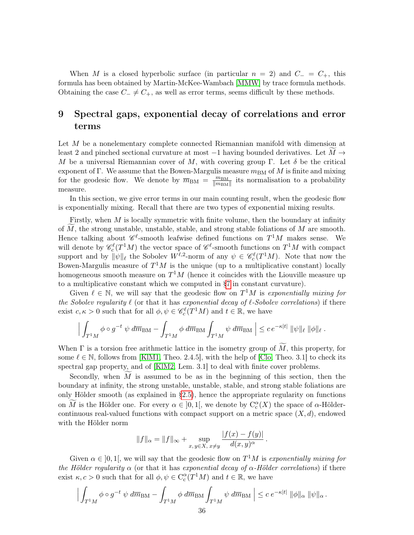When M is a closed hyperbolic surface (in particular  $n = 2$ ) and  $C = C_{+}$ , this formula has been obtained by Martin-McKee-Wambach [\[MMW\]](#page-41-16) by trace formula methods. Obtaining the case  $C_+ \neq C_+$ , as well as error terms, seems difficult by these methods.

# <span id="page-35-0"></span>9 Spectral gaps, exponential decay of correlations and error terms

Let M be a nonelementary complete connected Riemannian manifold with dimension at least 2 and pinched sectional curvature at most  $-1$  having bounded derivatives. Let  $M \rightarrow$ M be a universal Riemannian cover of M, with covering group Γ. Let  $\delta$  be the critical exponent of Γ. We assume that the Bowen-Margulis measure  $m_{BM}$  of M is finite and mixing for the geodesic flow. We denote by  $\overline{m}_{BM} = \frac{m_{BM}}{\|m_{BM}\|}$  $\frac{m_{\text{BM}}}{\|m_{\text{BM}}\|}$  its normalisation to a probability measure.

In this section, we give error terms in our main counting result, when the geodesic flow is exponentially mixing. Recall that there are two types of exponential mixing results.

Firstly, when M is locally symmetric with finite volume, then the boundary at infinity of  $\widetilde{M}$ , the strong unstable, unstable, stable, and strong stable foliations of  $M$  are smooth. Hence talking about  $\mathscr{C}^{\ell}$ -smooth leafwise defined functions on  $T^{1}M$  makes sense. We will denote by  $\mathscr{C}_c^{\ell}(T^1M)$  the vector space of  $\mathscr{C}^{\ell}$ -smooth functions on  $T^1M$  with compact support and by  $\|\psi\|_{\ell}$  the Sobolev  $W^{\ell,2}$ -norm of any  $\psi \in \mathscr{C}_c^{\ell}(T^1M)$ . Note that now the Bowen-Margulis measure of  $T^1M$  is the unique (up to a multiplicative constant) locally homogeneous smooth measure on  $T^{1}M$  (hence it coincides with the Liouville measure up to a multiplicative constant which we computed in [§7](#page-28-0) in constant curvature).

Given  $\ell \in \mathbb{N}$ , we will say that the geodesic flow on  $T^1M$  is exponentially mixing for the Sobolev regularity  $\ell$  (or that it has exponential decay of  $\ell$ -Sobolev correlations) if there exist  $c, \kappa > 0$  such that for all  $\phi, \psi \in \mathcal{C}_c^{\ell}(T^1M)$  and  $t \in \mathbb{R}$ , we have

$$
\Big| \int_{T^1M} \phi \circ g^{-t} \; \psi \; d\overline{m}_{\text{BM}} - \int_{T^1M} \phi \; d\overline{m}_{\text{BM}} \int_{T^1M} \psi \; d\overline{m}_{\text{BM}} \; \Big| \leq c \, e^{-\kappa|t|} \; \|\psi\|_{\ell} \; \|\phi\|_{\ell} \; .
$$

When  $\Gamma$  is a torsion free arithmetic lattice in the isometry group of  $\widetilde{M}$ , this property, for some  $\ell \in \mathbb{N}$ , follows from [\[KlM1,](#page-41-17) Theo. 2.4.5], with the help of [\[Clo,](#page-39-20) Theo. 3.1] to check its spectral gap property, and of [\[KlM2,](#page-41-18) Lem. 3.1] to deal with finite cover problems.

Secondly, when  $\widetilde{M}$  is assumed to be as in the beginning of this section, then the boundary at infinity, the strong unstable, unstable, stable, and strong stable foliations are only Hölder smooth (as explained in [§2.5\)](#page-7-0), hence the appropriate regularity on functions on  $\widetilde{M}$  is the Hölder one. For every  $\alpha \in ]0,1[$ , we denote by  $C_c^{\alpha}(X)$  the space of  $\alpha$ -Höldercontinuous real-valued functions with compact support on a metric space  $(X, d)$ , endowed with the Hölder norm

$$
||f||_{\alpha} = ||f||_{\infty} + \sup_{x, y \in X, x \neq y} \frac{|f(x) - f(y)|}{d(x, y)^{\alpha}}.
$$

Given  $\alpha \in [0,1]$ , we will say that the geodesic flow on  $T^1M$  is exponentially mixing for the Hölder regularity  $\alpha$  (or that it has exponential decay of  $\alpha$ -Hölder correlations) if there exist  $\kappa, c > 0$  such that for all  $\phi, \psi \in C_c^{\alpha}(T^1M)$  and  $t \in \mathbb{R}$ , we have

$$
\Big| \int_{T^1M} \phi \circ g^{-t} \; \psi \; d\overline{m}_{\text{BM}} - \int_{T^1M} \phi \; d\overline{m}_{\text{BM}} \int_{T^1M} \psi \; d\overline{m}_{\text{BM}} \; \Big| \leq c \; e^{-\kappa|t|} \; \|\phi\|_{\alpha} \; \|\psi\|_{\alpha} \; .
$$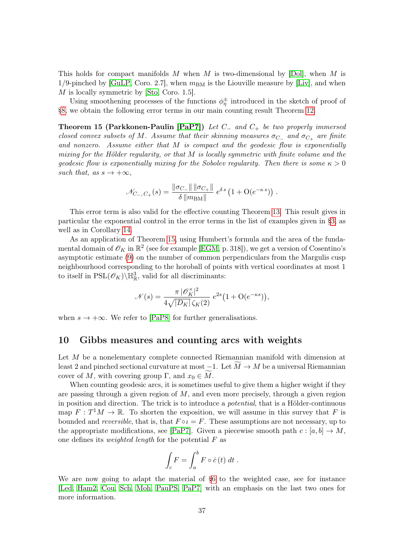This holds for compact manifolds M when M is two-dimensional by  $[Dol]$ , when M is 1/9-pinched by  $|G \text{uLP}$ , Coro. 2.7, when  $m_{BM}$  is the Liouville measure by  $|L \text{i} v|$ , and when M is locally symmetric by [\[Sto,](#page-42-20) Coro. 1.5].

Using smoothening processes of the functions  $\phi_{\eta}^{\pm}$  introduced in the sketch of proof of [§8,](#page-32-0) we obtain the following error terms in our main counting result Theorem [12.](#page-32-1)

<span id="page-36-1"></span>Theorem 15 (Parkkonen-Paulin [\[PaP7\]](#page-42-5)) Let C<sup>−</sup> and C<sup>+</sup> be two properly immersed closed convex subsets of M. Assume that their skinning measures  $\sigma_{C-}$  and  $\sigma_{C+}$  are finite and nonzero. Assume either that M is compact and the geodesic flow is exponentially mixing for the Hölder regularity, or that M is locally symmetric with finite volume and the geodesic flow is exponentially mixing for the Sobolev regularity. Then there is some  $\kappa > 0$ such that, as  $s \to +\infty$ ,

$$
\mathcal{N}_{C_{-},C_{+}}(s) = \frac{\|\sigma_{C_{-}}\| \|\sigma_{C_{+}}\|}{\delta \|m_{\text{BM}}\|} e^{\delta s} \left(1 + \text{O}(e^{-\kappa s})\right).
$$

This error term is also valid for the effective counting Theorem [13.](#page-33-0) This result gives in particular the exponential control in the error terms in the list of examples given in [§3,](#page-8-1) as well as in Corollary [14.](#page-34-1)

As an application of Theorem [15,](#page-36-1) using Humbert's formula and the area of the fundamental domain of  $\mathscr{O}_K$  in  $\mathbb{R}^2$  (see for example [\[EGM,](#page-40-16) p. 318]), we get a version of Cosentino's asymptotic estimate [\(9\)](#page-13-3) on the number of common perpendiculars from the Margulis cusp neighbourhood corresponding to the horoball of points with vertical coordinates at most 1 to itself in  $PSL(\mathscr{O}_K)\backslash \mathbb{H}^3_{\mathbb{R}}$ , valid for all discriminants:

$$
\mathcal{N}(s) = \frac{\pi\,|\mathscr{O}_K^\times|^2}{4\sqrt{|D_K|}\,\zeta_K(2)}\;e^{2s}\big(1+\mathcal{O}(e^{-\kappa s})\big),
$$

when  $s \to +\infty$ . We refer to [\[PaP8\]](#page-42-12) for further generalisations.

# <span id="page-36-0"></span>10 Gibbs measures and counting arcs with weights

Let M be a nonelementary complete connected Riemannian manifold with dimension at least 2 and pinched sectional curvature at most  $-1$ . Let  $M \rightarrow M$  be a universal Riemannian cover of M, with covering group Γ, and  $x_0 \in M$ .

When counting geodesic arcs, it is sometimes useful to give them a higher weight if they are passing through a given region of  $M$ , and even more precisely, through a given region in position and direction. The trick is to introduce a potential, that is a Hölder-continuous map  $F: T<sup>1</sup>M \to \mathbb{R}$ . To shorten the exposition, we will assume in this survey that F is bounded and reversible, that is, that  $F \circ \iota = F$ . These assumptions are not necessary, up to the appropriate modifications, see [\[PaP7\]](#page-42-5). Given a piecewise smooth path  $c : [a, b] \to M$ , one defines its *weighted length* for the potential  $F$  as

$$
\int_{c} F = \int_{a}^{b} F \circ \dot{c} (t) dt .
$$

We are now going to adapt the material of [§6](#page-25-0) to the weighted case, see for instance [\[Led,](#page-41-20) [Ham2,](#page-40-20) [Cou,](#page-39-22) [Sch,](#page-42-21) [Moh,](#page-41-21) [PauPS,](#page-42-9) [PaP7\]](#page-42-5) with an emphasis on the last two ones for more information.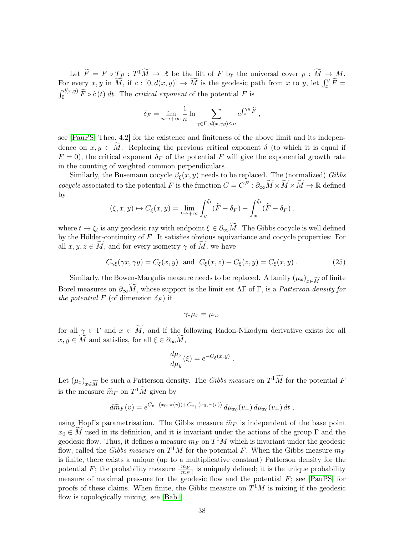Let  $\widetilde{F} = F \circ T_p : T^1 \widetilde{M} \to \mathbb{R}$  be the lift of F by the universal cover  $p : \widetilde{M} \to M$ . For every  $x, y$  in  $\widetilde{M}$ , if  $c : [0, d(x, y)] \to \widetilde{M}$  is the geodesic path from  $x$  to  $y$ , let  $\int_x^y \widetilde{F} =$  $\int_0^{d(x,y)} \tilde{F} \circ \dot{c}(t) dt$ . The critical exponent of the potential F is

$$
\delta_F = \lim_{n \to +\infty} \frac{1}{n} \ln \sum_{\gamma \in \Gamma, d(x, \gamma y) \le n} e^{\int_x^{\gamma y} \tilde{F}},
$$

see [\[PauPS,](#page-42-9) Theo. 4.2] for the existence and finiteness of the above limit and its independence on  $x, y \in M$ . Replacing the previous critical exponent  $\delta$  (to which it is equal if  $F = 0$ , the critical exponent  $\delta_F$  of the potential F will give the exponential growth rate in the counting of weighted common perpendiculars.

Similarly, the Busemann cocycle  $\beta_{\xi}(x, y)$  needs to be replaced. The (normalized) Gibbs cocycle associated to the potential F is the function  $C = C^F : \partial_\infty \widetilde{M} \times \widetilde{M} \to \mathbb{R}$  defined by

$$
(\xi, x, y) \mapsto C_{\xi}(x, y) = \lim_{t \to +\infty} \int_{y}^{\xi_t} (\widetilde{F} - \delta_F) - \int_{x}^{\xi_t} (\widetilde{F} - \delta_F),
$$

where  $t \mapsto \xi_t$  is any geodesic ray with endpoint  $\xi \in \partial_\infty M$ . The Gibbs cocycle is well defined by the Hölder-continuity of F. It satisfies obvious equivariance and cocycle properties: For all  $x, y, z \in M$ , and for every isometry  $\gamma$  of  $\widetilde{M}$ , we have

$$
C_{\gamma\xi}(\gamma x, \gamma y) = C_{\xi}(x, y) \text{ and } C_{\xi}(x, z) + C_{\xi}(z, y) = C_{\xi}(x, y). \qquad (25)
$$

Similarly, the Bowen-Margulis measure needs to be replaced. A family  $(\mu_x)_{x \in \widetilde{M}}$  of finite Borel measures on  $\partial_{\infty}M$ , whose support is the limit set  $\Lambda\Gamma$  of  $\Gamma$ , is a *Patterson density for* the potential F (of dimension  $\delta_F$ ) if

$$
\gamma_*\mu_x=\mu_{\gamma x}
$$

for all  $\gamma \in \Gamma$  and  $x \in M$ , and if the following Radon-Nikodym derivative exists for all  $x, y \in M$  and satisfies, for all  $\xi \in \partial_{\infty}M$ ,

$$
\frac{d\mu_x}{d\mu_y}(\xi) = e^{-C_{\xi}(x,y)}.
$$

Let  $(\mu_x)_{x \in \widetilde{M}}$  be such a Patterson density. The Gibbs measure on  $T^1\widetilde{M}$  for the potential F is the measure  $\widetilde{m}_F$  on  $T^1\widetilde{M}$  given by

$$
d\widetilde{m}_F(v) = e^{C_{v_-}(x_0, \pi(v)) + C_{v_+}(x_0, \pi(v))} d\mu_{x_0}(v_-) d\mu_{x_0}(v_+) dt,
$$

using Hopf's parametrisation. The Gibbs measure  $\widetilde{m}_F$  is independent of the base point  $x_0 \in M$  used in its definition, and it is invariant under the actions of the group  $\Gamma$  and the geodesic flow. Thus, it defines a measure  $m_F$  on  $T^1M$  which is invariant under the geodesic flow, called the *Gibbs measure* on  $T^1M$  for the potential F. When the Gibbs measure  $m_F$ is finite, there exists a unique (up to a multiplicative constant) Patterson density for the potential F; the probability measure  $\frac{m_F}{\|m_F\|}$  is uniquely defined; it is the unique probability measure of maximal pressure for the geodesic flow and the potential  $F$ ; see [\[PauPS\]](#page-42-9) for proofs of these claims. When finite, the Gibbs measure on  $T<sup>1</sup>M$  is mixing if the geodesic flow is topologically mixing, see [\[Bab1\]](#page-38-1).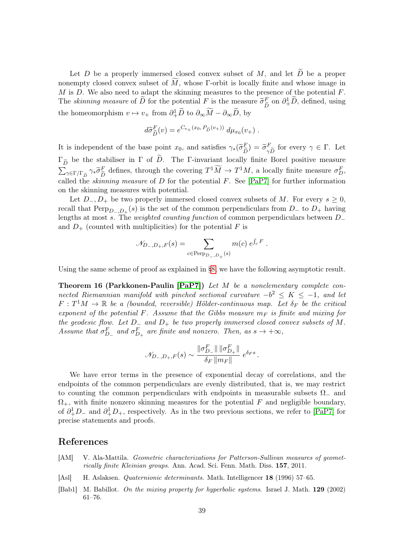Let  $D$  be a properly immersed closed convex subset of  $M$ , and let  $\overline{D}$  be a proper nonempty closed convex subset of  $M$ , whose Γ-orbit is locally finite and whose image in  $M$  is  $D$ . We also need to adapt the skinning measures to the presence of the potential  $F$ . The *skinning measure* of  $\widetilde{D}$  for the potential F is the measure  $\widetilde{\sigma}_{\widetilde{L}}^F$  $\tilde{D} \text{ on } \partial^1_+ \tilde{D}$ , defined, using the homeomorphism  $v \mapsto v_+$  from  $\partial_+^1 \widetilde{D}$  to  $\partial_{\infty} \widetilde{M} - \partial_{\infty} \widetilde{D}$ , by

$$
d\widetilde{\sigma}_{\widetilde{D}}^F(v) = e^{C_{v_+}(x_0, P_{\widetilde{D}}(v_+))} d\mu_{x_0}(v_+).
$$

It is independent of the base point  $x_0$ , and satisfies  $\gamma_*(\widetilde{\sigma}_{\widetilde{D}}^F) = \widetilde{\sigma}_{\gamma \widetilde{D}}^F$  for every  $\gamma \in \Gamma$ . Let  $D'$   $\gamma D$  $\Gamma_{\tilde{D}}$  be the stabiliser in  $\Gamma$  of D. The Γ-invariant locally finite Borel positive measure  $\sum_{\gamma \in \Gamma/\Gamma_{\widetilde{D}}} \gamma_* \widetilde{\sigma}_{\widetilde{L}}^F$ E defines, through the covering  $T^1 \tilde{M} \to T^1 M$ , a locally finite measure  $\sigma_D^F$ , called the *skinning measure* of  $D$  for the potential  $F$ . See [\[PaP7\]](#page-42-5) for further information on the skinning measures with potential.

Let  $D_-, D_+$  be two properly immersed closed convex subsets of M. For every  $s \geq 0$ , recall that  $\text{Perp}_{D_-,D_+}(s)$  is the set of the common perpendiculars from  $D_-$  to  $D_+$  having lengths at most s. The weighted counting function of common perpendiculars between D<sup>−</sup> and  $D_{+}$  (counted with multiplicities) for the potential F is

$$
\mathcal{N}_{D_-,D_+,F}(s) = \sum_{c \in \text{Perp}_{D_-,D_+}(s)} m(c) e^{\int_c F}.
$$

Using the same scheme of proof as explained in [§8,](#page-32-0) we have the following asymptotic result.

Theorem 16 (Parkkonen-Paulin [\[PaP7\]](#page-42-5)) Let M be a nonelementary complete connected Riemannian manifold with pinched sectional curvature  $-b^2 \le K \le -1$ , and let  $F: T<sup>1</sup>M \to \mathbb{R}$  be a (bounded, reversible) Hölder-continuous map. Let  $\delta_F$  be the critical exponent of the potential F. Assume that the Gibbs measure  $m_F$  is finite and mixing for the geodesic flow. Let  $D_-\$  and  $D_+$  be two properly immersed closed convex subsets of M. Assume that  $\sigma_{D_{-}}^{F}$  and  $\sigma_{D_{+}}^{F}$  are finite and nonzero. Then, as  $s \to +\infty$ ,

$$
\mathscr{N}_{D_-,D_+,F}(s)\sim\frac{\|\sigma^F_{D_-}\|\,\|\sigma^F_{D_+}\|}{\delta_F\,\|m_F\|}\;e^{\delta_F s}\,.
$$

We have error terms in the presence of exponential decay of correlations, and the endpoints of the common perpendiculars are evenly distributed, that is, we may restrict to counting the common perpendiculars with endpoints in measurable subsets  $\Omega_{-}$  and  $\Omega_{+}$ , with finite nonzero skinning measures for the potential F and negligible boundary, of  $\partial_+^1 D_-$  and  $\partial_+^1 D_+$ , respectively. As in the two previous sections, we refer to [\[PaP7\]](#page-42-5) for precise statements and proofs.

# References

- <span id="page-38-2"></span>[AM] V. Ala-Mattila. Geometric characterizations for Patterson-Sullivan measures of geometrically finite Kleinian groups. Ann. Acad. Sci. Fenn. Math. Diss. 157, 2011.
- <span id="page-38-0"></span>[Asl] H. Aslaksen. Quaternionic determinants. Math. Intelligencer 18 (1996) 57–65.
- <span id="page-38-1"></span>[Bab1] M. Babillot. On the mixing property for hyperbolic systems. Israel J. Math. 129 (2002) 61–76.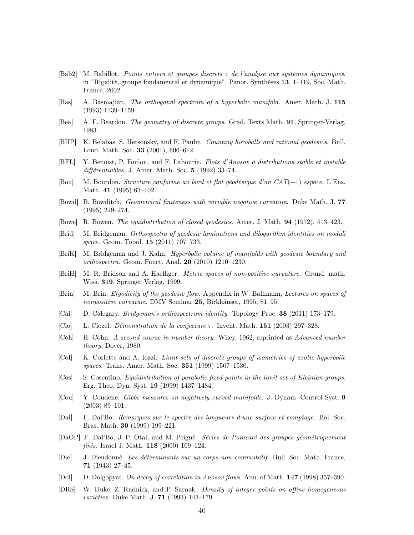- <span id="page-39-0"></span>[Bab2] M. Babillot. Points entiers et groupes discrets : de l'analyse aux systèmes dynamiques. in "Rigidité, groupe fondamental et dynamique", Panor. Synthèses 13, 1–119, Soc. Math. France, 2002.
- <span id="page-39-6"></span>[Bas] A. Basmajian. The orthogonal spectrum of a hyperbolic manifold. Amer. Math. J. 115 (1993) 1139–1159.
- <span id="page-39-11"></span>[Bea] A. F. Beardon. The geometry of discrete groups. Grad. Texts Math. 91, Springer-Verlag, 1983.
- <span id="page-39-12"></span>[BHP] K. Belabas, S. Hersonsky, and F. Paulin. Counting horoballs and rational geodesics. Bull. Lond. Math. Soc. 33 (2001), 606–612.
- <span id="page-39-5"></span>[BFL] Y. Benoist, P. Foulon, and F. Labourie. Flots d'Anosov à distributions stable et instable différentiables. J. Amer. Math. Soc. 5 (1992) 33–74.
- <span id="page-39-10"></span>[Bou] M. Bourdon. Structure conforme au bord et flot géodésique d'un CAT(−1) espace. L'Ens. Math. 41 (1995) 63–102.
- <span id="page-39-4"></span>[Bowd] B. Bowditch. Geometrical finiteness with variable negative curvature. Duke Math. J. 77 (1995) 229–274.
- <span id="page-39-1"></span>[Bowe] R. Bowen. The equidistribution of closed geodesics. Amer. J. Math. 94 (1972), 413–423.
- <span id="page-39-7"></span>[Brid] M. Bridgeman. Orthospectra of geodesic laminations and dilogarithm identities on moduli space. Geom. Topol. **15** (2011) 707-733.
- <span id="page-39-8"></span>[BriK] M. Bridgeman and J. Kahn. Hyperbolic volume of manifolds with geodesic boundary and orthospectra. Geom. Funct. Anal. 20 (2010) 1210–1230.
- <span id="page-39-2"></span>[BriH] M. R. Bridson and A. Haefliger. Metric spaces of non-positive curvature. Grund. math. Wiss. 319, Springer Verlag, 1999.
- <span id="page-39-3"></span>[Brin] M. Brin. Ergodicity of the geodesic flow. Appendix in W. Ballmann, Lectures on spaces of nonpositive curvature, DMV Seminar 25, Birkhäuser, 1995, 81–95.
- <span id="page-39-9"></span>[Cal] D. Calegary. Bridgeman's orthospectrum identity. Topology Proc. 38 (2011) 173–179.
- <span id="page-39-20"></span>[Clo] L. Clozel. *Démonstration de la conjecture*  $\tau$ . Invent. Math. **151** (2003) 297–328.
- <span id="page-39-15"></span>[Coh] H. Cohn. A second course in number theory. Wiley, 1962, reprinted as Advanced number theory, Dover, 1980.
- <span id="page-39-17"></span>[CoI] K. Corlette and A. Iozzi. Limit sets of discrete groups of isometries of exotic hyperbolic spaces. Trans. Amer. Math. Soc. 351 (1999) 1507–1530.
- <span id="page-39-13"></span>[Cos] S. Cosentino. Equidistribution of parabolic fixed points in the limit set of Kleinian groups. Erg. Theo. Dyn. Syst. 19 (1999) 1437–1484.
- <span id="page-39-22"></span>[Cou] Y. Coudene. Gibbs measures on negatively curved manifolds. J. Dynam. Control Syst. 9 (2003) 89–101.
- <span id="page-39-19"></span>[Dal] F. Dal'Bo. Remarques sur le spectre des longueurs d'une surface et comptage. Bol. Soc. Bras. Math. 30 (1999) 199–221.
- <span id="page-39-18"></span>[DaOP] F. Dal'Bo, J.-P. Otal, and M. Peigné. Séries de Poincaré des groupes géométriquement finis. Israel J. Math. **118** (2000) 109-124.
- <span id="page-39-16"></span>[Die] J. Dieudonné. Les déterminants sur un corps non commutatif. Bull. Soc. Math. France, 71 (1943) 27–45.
- <span id="page-39-21"></span>[Dol] D. Dolgopyat. On decay of correlation in Anosov flows. Ann. of Math. 147 (1998) 357–390.
- <span id="page-39-14"></span>[DRS] W. Duke, Z. Rudnick, and P. Sarnak. Density of integer points on affine homogeneous varieties. Duke Math. J. **71** (1993) 143-179.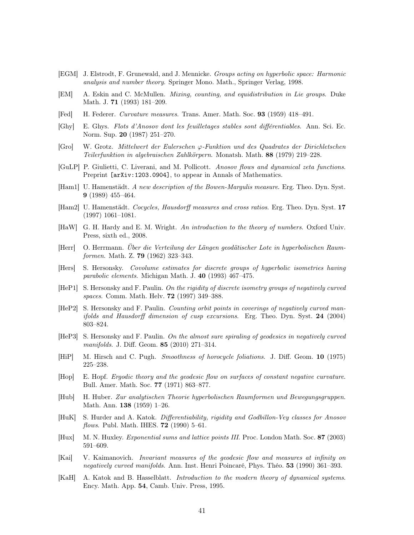- <span id="page-40-16"></span>[EGM] J. Elstrodt, F. Grunewald, and J. Mennicke. Groups acting on hyperbolic space: Harmonic analysis and number theory. Springer Mono. Math., Springer Verlag, 1998.
- <span id="page-40-2"></span>[EM] A. Eskin and C. McMullen. Mixing, counting, and equidistribution in Lie groups. Duke Math. J. 71 (1993) 181–209.
- <span id="page-40-11"></span>[Fed] H. Federer. Curvature measures. Trans. Amer. Math. Soc. 93 (1959) 418–491.
- <span id="page-40-10"></span>[Ghy] E. Ghys. Flots d'Anosov dont les feuilletages stables sont différentiables. Ann. Sci. Ec. Norm. Sup. 20 (1987) 251–270.
- <span id="page-40-14"></span>[Gro] W. Grotz. Mittelwert der Eulerschen ϕ-Funktion und des Quadrates der Dirichletschen Teilerfunktion in algebraischen Zahlkörpern. Monatsh. Math. 88 (1979) 219–228.
- <span id="page-40-19"></span>[GuLP] P. Giulietti, C. Liverani, and M. Pollicott. Anosov flows and dynamical zeta functions. Preprint [arXiv:1203.0904], to appear in Annals of Mathematics.
- <span id="page-40-4"></span>[Ham1] U. Hamenstädt. A new description of the Bowen-Margulis measure. Erg. Theo. Dyn. Syst. 9 (1989) 455–464.
- <span id="page-40-20"></span>[Ham2] U. Hamenstädt. Cocycles, Hausdorff measures and cross ratios. Erg. Theo. Dyn. Syst. 17 (1997) 1061–1081.
- <span id="page-40-13"></span>[HaW] G. H. Hardy and E. M. Wright. An introduction to the theory of numbers. Oxford Univ. Press, sixth ed., 2008.
- <span id="page-40-1"></span>[Herr] O. Herrmann. Über die Verteilung der Längen geodätischer Lote in hyperbolischen Raumformen. Math. Z. **79** (1962) 323-343.
- <span id="page-40-18"></span>[Hers] S. Hersonsky. Covolume estimates for discrete groups of hyperbolic isometries having parabolic elements. Michigan Math. J. 40 (1993) 467–475.
- <span id="page-40-5"></span>[HeP1] S. Hersonsky and F. Paulin. On the rigidity of discrete isometry groups of negatively curved spaces. Comm. Math. Helv. 72 (1997) 349–388.
- <span id="page-40-12"></span>[HeP2] S. Hersonsky and F. Paulin. Counting orbit points in coverings of negatively curved manifolds and Hausdorff dimension of cusp excursions. Erg. Theo. Dyn. Syst. 24 (2004) 803–824.
- <span id="page-40-6"></span>[HeP3] S. Hersonsky and F. Paulin. On the almost sure spiraling of geodesics in negatively curved manifolds. J. Diff. Geom. 85 (2010) 271–314.
- <span id="page-40-9"></span>[HiP] M. Hirsch and C. Pugh. Smoothness of horocycle foliations. J. Diff. Geom. 10 (1975) 225–238.
- <span id="page-40-3"></span>[Hop] E. Hopf. Ergodic theory and the geodesic flow on surfaces of constant negative curvature. Bull. Amer. Math. Soc. 77 (1971) 863–877.
- <span id="page-40-0"></span>[Hub] H. Huber. Zur analytischen Theorie hyperbolischen Raumformen und Bewegungsgruppen. Math. Ann. 138 (1959) 1–26.
- <span id="page-40-8"></span>[HuK] S. Hurder and A. Katok. Differentiability, rigidity and Godbillon-Vey classes for Anosov *flows.* Publ. Math. IHES. **72** (1990) 5–61.
- <span id="page-40-15"></span>[Hux] M. N. Huxley. Exponential sums and lattice points III. Proc. London Math. Soc. 87 (2003) 591–609.
- <span id="page-40-17"></span>[Kai] V. Kaimanovich. Invariant measures of the geodesic flow and measures at infinity on negatively curved manifolds. Ann. Inst. Henri Poincaré, Phys. Théo. 53 (1990) 361–393.
- <span id="page-40-7"></span>[KaH] A. Katok and B. Hasselblatt. Introduction to the modern theory of dynamical systems. Ency. Math. App. 54, Camb. Univ. Press, 1995.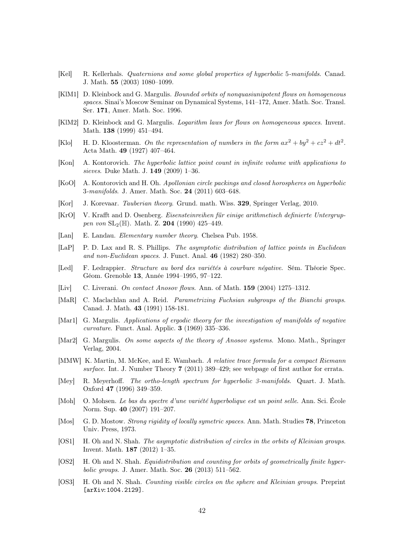- <span id="page-41-14"></span>[Kel] R. Kellerhals. Quaternions and some global properties of hyperbolic 5-manifolds. Canad. J. Math. 55 (2003) 1080–1099.
- <span id="page-41-17"></span>[KlM1] D. Kleinbock and G. Margulis. Bounded orbits of nonquasiunipotent flows on homogeneous spaces. Sinai's Moscow Seminar on Dynamical Systems, 141–172, Amer. Math. Soc. Transl. Ser. 171, Amer. Math. Soc. 1996.
- <span id="page-41-18"></span>[KlM2] D. Kleinbock and G. Margulis. Logarithm laws for flows on homogeneous spaces. Invent. Math. 138 (1999) 451–494.
- <span id="page-41-12"></span>[Klo] H. D. Kloosterman. On the representation of numbers in the form  $ax^2 + by^2 + cz^2 + dt^2$ . Acta Math. 49 (1927) 407–464.
- <span id="page-41-8"></span>[Kon] A. Kontorovich. The hyperbolic lattice point count in infinite volume with applications to sieves. Duke Math. J. 149 (2009) 1–36.
- <span id="page-41-7"></span>[KoO] A. Kontorovich and H. Oh. Apollonian circle packings and closed horospheres on hyperbolic 3-manifolds. J. Amer. Math. Soc. 24 (2011) 603–648.
- <span id="page-41-2"></span>[Kor] J. Korevaar. Tauberian theory. Grund. math. Wiss. 329, Springer Verlag, 2010.
- <span id="page-41-15"></span>[KrO] V. Krafft and D. Osenberg. Eisensteinreihen für einige arithmetisch definierte Untergruppen von  $SL_2(\mathbb{H})$ . Math. Z. 204 (1990) 425–449.
- <span id="page-41-11"></span>[Lan] E. Landau. Elementary number theory. Chelsea Pub. 1958.
- <span id="page-41-3"></span>[LaP] P. D. Lax and R. S. Phillips. The asymptotic distribution of lattice points in Euclidean and non-Euclidean spaces. J. Funct. Anal. 46 (1982) 280–350.
- <span id="page-41-20"></span>[Led] F. Ledrappier. Structure au bord des variétés à courbure négative. Sém. Théorie Spec. Géom. Grenoble 13, Année 1994–1995, 97–122.
- <span id="page-41-19"></span>[Liv] C. Liverani. On contact Anosov flows. Ann. of Math. 159 (2004) 1275–1312.
- <span id="page-41-13"></span>[MaR] C. Maclachlan and A. Reid. Parametrizing Fuchsian subgroups of the Bianchi groups. Canad. J. Math. 43 (1991) 158-181.
- <span id="page-41-0"></span>[Mar1] G. Margulis. Applications of ergodic theory for the investigation of manifolds of negative curvature. Funct. Anal. Applic. 3 (1969) 335–336.
- <span id="page-41-9"></span>[Mar2] G. Margulis. On some aspects of the theory of Anosov systems. Mono. Math., Springer Verlag, 2004.
- <span id="page-41-16"></span>[MMW] K. Martin, M. McKee, and E. Wambach. A relative trace formula for a compact Riemann surface. Int. J. Number Theory 7 (2011) 389–429; see webpage of first author for errata.
- <span id="page-41-1"></span>[Mey] R. Meyerhoff. The ortho-length spectrum for hyperbolic 3-manifolds. Quart. J. Math. Oxford 47 (1996) 349–359.
- <span id="page-41-21"></span>[Moh] O. Mohsen. Le bas du spectre d'une variété hyperbolique est un point selle. Ann. Sci. École Norm. Sup. 40 (2007) 191–207.
- <span id="page-41-10"></span>[Mos] G. D. Mostow. Strong rigidity of locally symetric spaces. Ann. Math. Studies 78, Princeton Univ. Press, 1973.
- <span id="page-41-5"></span>[OS1] H. Oh and N. Shah. The asymptotic distribution of circles in the orbits of Kleinian groups. Invent. Math. 187 (2012) 1–35.
- <span id="page-41-6"></span>[OS2] H. Oh and N. Shah. Equidistribution and counting for orbits of geometrically finite hyper*bolic groups.* J. Amer. Math. Soc. **26** (2013) 511–562.
- <span id="page-41-4"></span>[OS3] H. Oh and N. Shah. Counting visible circles on the sphere and Kleinian groups. Preprint [arXiv:1004.2129].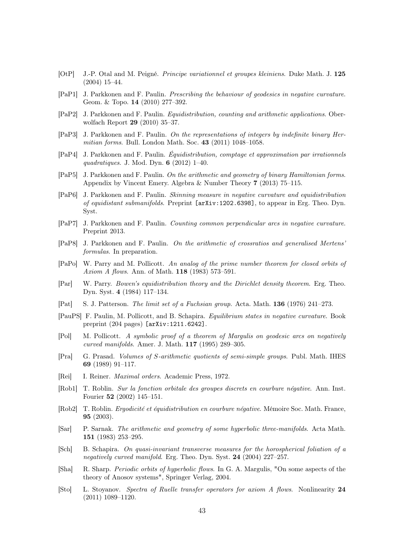- <span id="page-42-19"></span>[OtP] J.-P. Otal and M. Peigné. Principe variationnel et groupes kleiniens. Duke Math. J. 125 (2004) 15–44.
- <span id="page-42-17"></span>[PaP1] J. Parkkonen and F. Paulin. Prescribing the behaviour of geodesics in negative curvature. Geom. & Topo. 14 (2010) 277–392.
- <span id="page-42-13"></span>[PaP2] J. Parkkonen and F. Paulin. Equidistribution, counting and arithmetic applications. Oberwolfach Report 29 (2010) 35–37.
- <span id="page-42-2"></span>[PaP3] J. Parkkonen and F. Paulin. On the representations of integers by indefinite binary Hermitian forms. Bull. London Math. Soc. 43 (2011) 1048–1058.
- <span id="page-42-1"></span>[PaP4] J. Parkkonen and F. Paulin. Équidistribution, comptage et approximation par irrationnels quadratiques. J. Mod. Dyn. 6 (2012) 1–40.
- <span id="page-42-3"></span>[PaP5] J. Parkkonen and F. Paulin. On the arithmetic and geometry of binary Hamiltonian forms. Appendix by Vincent Emery. Algebra & Number Theory 7 (2013) 75–115.
- <span id="page-42-4"></span>[PaP6] J. Parkkonen and F. Paulin. Skinning measure in negative curvature and equidistribution of equidistant submanifolds. Preprint [arXiv:1202.6398], to appear in Erg. Theo. Dyn. Syst.
- <span id="page-42-5"></span>[PaP7] J. Parkkonen and F. Paulin. Counting common perpendicular arcs in negative curvature. Preprint 2013.
- <span id="page-42-12"></span>[PaP8] J. Parkkonen and F. Paulin. On the arithmetic of crossratios and generalised Mertens' formulas. In preparation.
- <span id="page-42-6"></span>[PaPo] W. Parry and M. Pollicott. An analog of the prime number theorem for closed orbits of Axiom A flows. Ann. of Math. **118** (1983) 573-591.
- <span id="page-42-7"></span>[Par] W. Parry. Bowen's equidistribution theory and the Dirichlet density theorem. Erg. Theo. Dyn. Syst. 4 (1984) 117–134.
- <span id="page-42-18"></span>[Pat] S. J. Patterson. The limit set of a Fuchsian group. Acta. Math. 136 (1976) 241–273.
- <span id="page-42-9"></span>[PauPS] F. Paulin, M. Pollicott, and B. Schapira. Equilibrium states in negative curvature. Book preprint (204 pages) [arXiv:1211.6242].
- <span id="page-42-11"></span>[Pol] M. Pollicott. A symbolic proof of a theorem of Margulis on geodesic arcs on negatively curved manifolds. Amer. J. Math. 117 (1995) 289–305.
- <span id="page-42-15"></span>[Pra] G. Prasad. Volumes of S-arithmetic quotients of semi-simple groups. Publ. Math. IHES 69 (1989) 91–117.
- <span id="page-42-16"></span>[Rei] I. Reiner. Maximal orders. Academic Press, 1972.
- <span id="page-42-10"></span>[Rob1] T. Roblin. Sur la fonction orbitale des groupes discrets en courbure négative. Ann. Inst. Fourier 52 (2002) 145–151.
- <span id="page-42-8"></span>[Rob2] T. Roblin. Ergodicité et équidistribution en courbure négative. Mémoire Soc. Math. France, 95 (2003).
- <span id="page-42-14"></span>[Sar] P. Sarnak. The arithmetic and geometry of some hyperbolic three-manifolds. Acta Math. 151 (1983) 253–295.
- <span id="page-42-21"></span>[Sch] B. Schapira. On quasi-invariant transverse measures for the horospherical foliation of a negatively curved manifold. Erg. Theo. Dyn. Syst. 24 (2004) 227–257.
- <span id="page-42-0"></span>[Sha] R. Sharp. Periodic orbits of hyperbolic flows. In G. A. Margulis, "On some aspects of the theory of Anosov systems", Springer Verlag, 2004.
- <span id="page-42-20"></span>[Sto] L. Stoyanov. Spectra of Ruelle transfer operators for axiom A flows. Nonlinearity 24 (2011) 1089–1120.